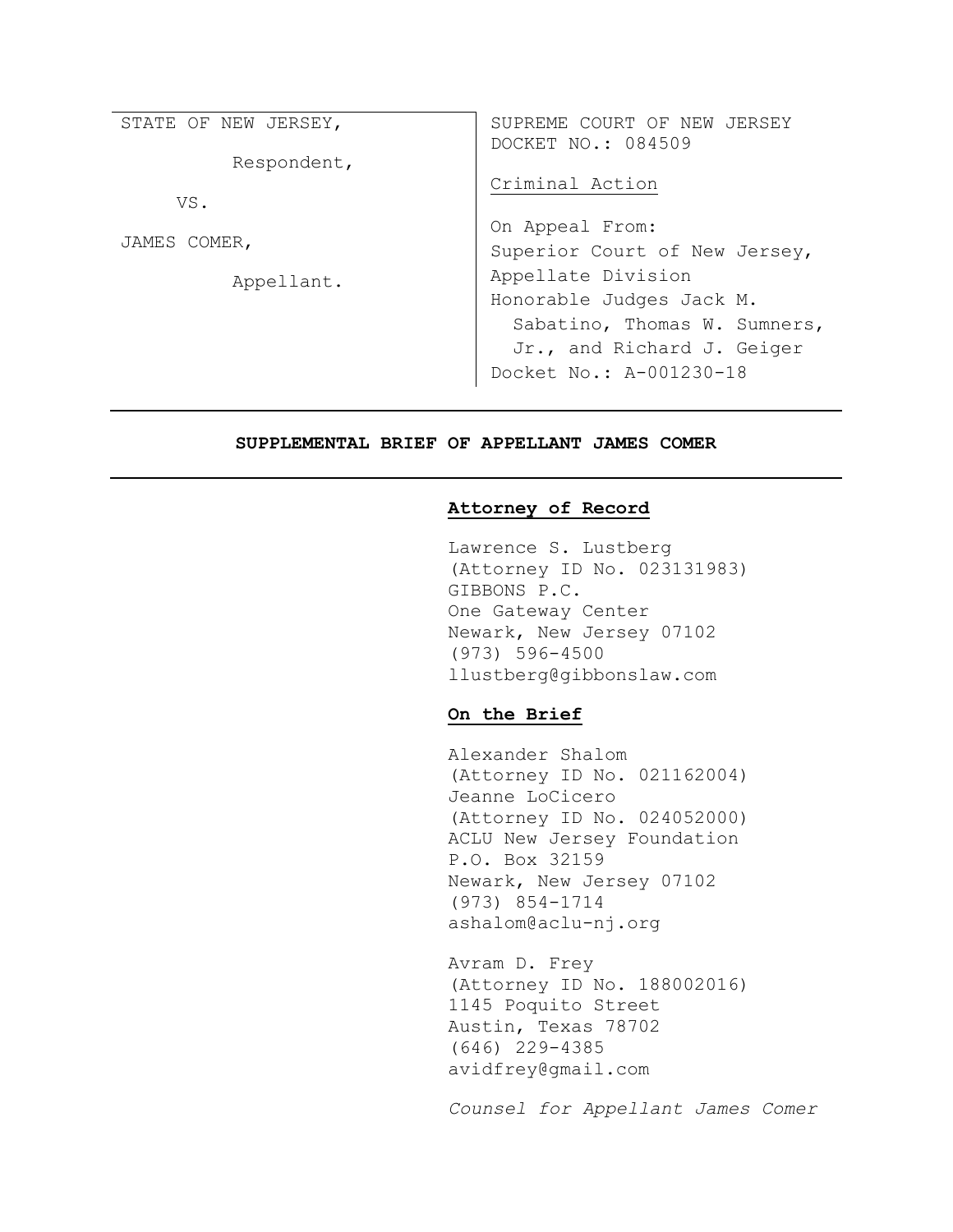| STATE OF NEW JERSEY, | SUPREME COURT OF NEW JERSEY<br>DOCKET NO.: 084509 |  |  |
|----------------------|---------------------------------------------------|--|--|
| Respondent,          |                                                   |  |  |
| VS.                  | Criminal Action                                   |  |  |
| JAMES COMER,         | On Appeal From:                                   |  |  |
|                      | Superior Court of New Jersey,                     |  |  |
| Appellant.           | Appellate Division                                |  |  |
|                      | Honorable Judges Jack M.                          |  |  |
|                      | Sabatino, Thomas W. Sumners,                      |  |  |
|                      | Jr., and Richard J. Geiger                        |  |  |
|                      | Docket No.: A-001230-18                           |  |  |

### SUPPLEMENTAL BRIEF OF APPELLANT JAMES COMER

### Attorney of Record

Lawrence S. Lustberg (Attorney ID No. 023131983) GIBBONS P.C. One Gateway Center Newark, New Jersey 07102 (973) 596-4500 llustberg@gibbonslaw.com

## On the Brief

Alexander Shalom (Attorney ID No. 021162004) Jeanne LoCicero (Attorney ID No. 024052000) ACLU New Jersey Foundation P.O. Box 32159 Newark, New Jersey 07102 (973) 854-1714 ashalom@aclu-nj.org

Avram D. Frey (Attorney ID No. 188002016) 1145 Poquito Street Austin, Texas 78702 (646) 229-4385 avidfrey@gmail.com

Counsel for Appellant James Comer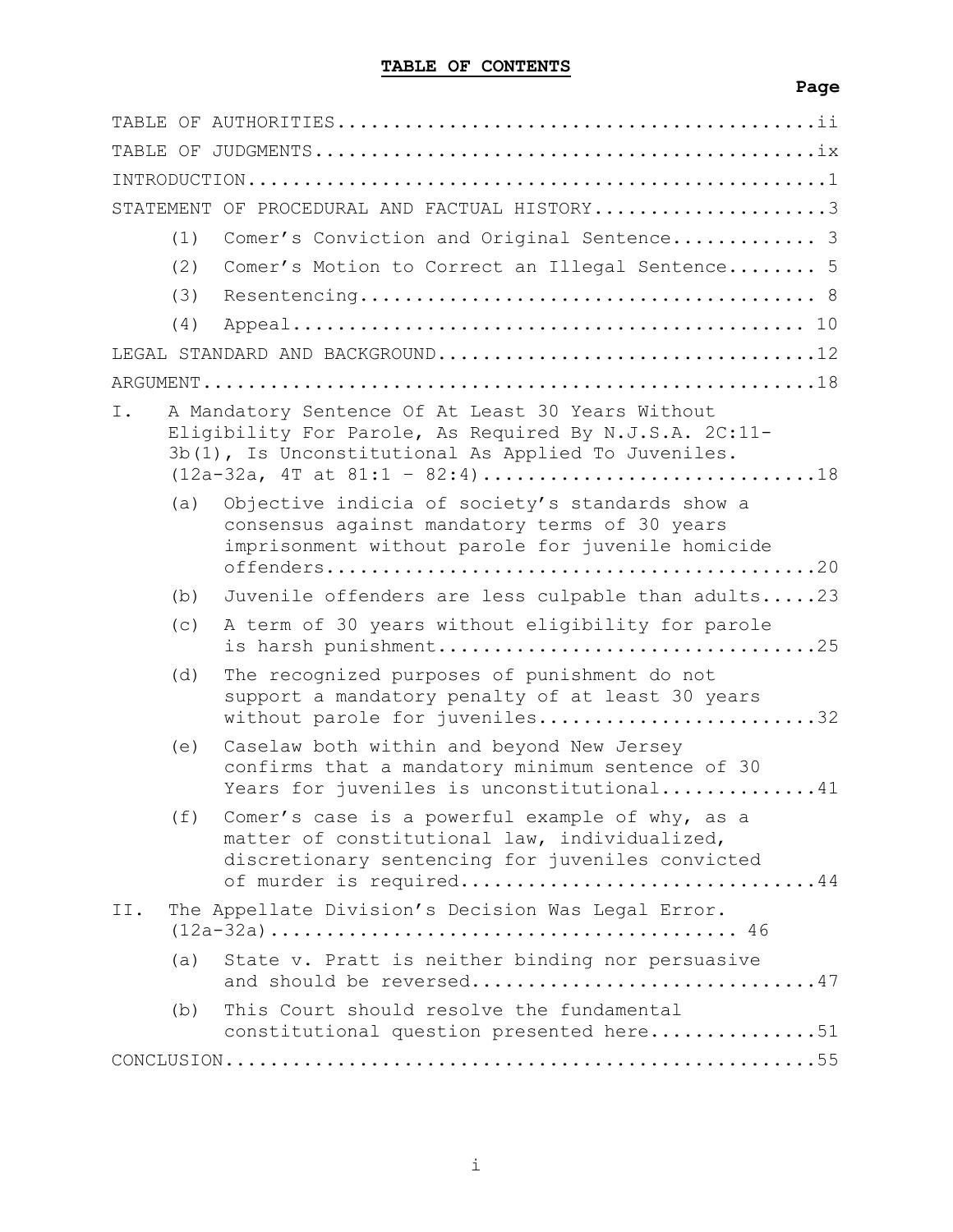|     |     | STATEMENT OF PROCEDURAL AND FACTUAL HISTORY3                                                                                                                                    |
|-----|-----|---------------------------------------------------------------------------------------------------------------------------------------------------------------------------------|
|     | (1) | Comer's Conviction and Original Sentence 3                                                                                                                                      |
|     | (2) | Comer's Motion to Correct an Illegal Sentence 5                                                                                                                                 |
|     | (3) |                                                                                                                                                                                 |
|     | (4) |                                                                                                                                                                                 |
|     |     | LEGAL STANDARD AND BACKGROUND12                                                                                                                                                 |
|     |     |                                                                                                                                                                                 |
| Ι.  |     | A Mandatory Sentence Of At Least 30 Years Without<br>Eligibility For Parole, As Required By N.J.S.A. 2C:11-<br>3b(1), Is Unconstitutional As Applied To Juveniles.              |
|     | (a) | Objective indicia of society's standards show a<br>consensus against mandatory terms of 30 years<br>imprisonment without parole for juvenile homicide                           |
|     | (b) | Juvenile offenders are less culpable than adults23                                                                                                                              |
|     | (c) | A term of 30 years without eligibility for parole<br>is harsh punishment25                                                                                                      |
|     | (d) | The recognized purposes of punishment do not<br>support a mandatory penalty of at least 30 years<br>without parole for juveniles32                                              |
|     | (e) | Caselaw both within and beyond New Jersey<br>confirms that a mandatory minimum sentence of 30<br>Years for juveniles is unconstitutional41                                      |
|     | (f) | Comer's case is a powerful example of why, as a<br>matter of constitutional law, individualized,<br>discretionary sentencing for juveniles convicted<br>of murder is required44 |
| II. |     | The Appellate Division's Decision Was Legal Error.                                                                                                                              |
|     | (a) | State v. Pratt is neither binding nor persuasive<br>and should be reversed47                                                                                                    |
|     | (b) | This Court should resolve the fundamental<br>constitutional question presented here51                                                                                           |
|     |     |                                                                                                                                                                                 |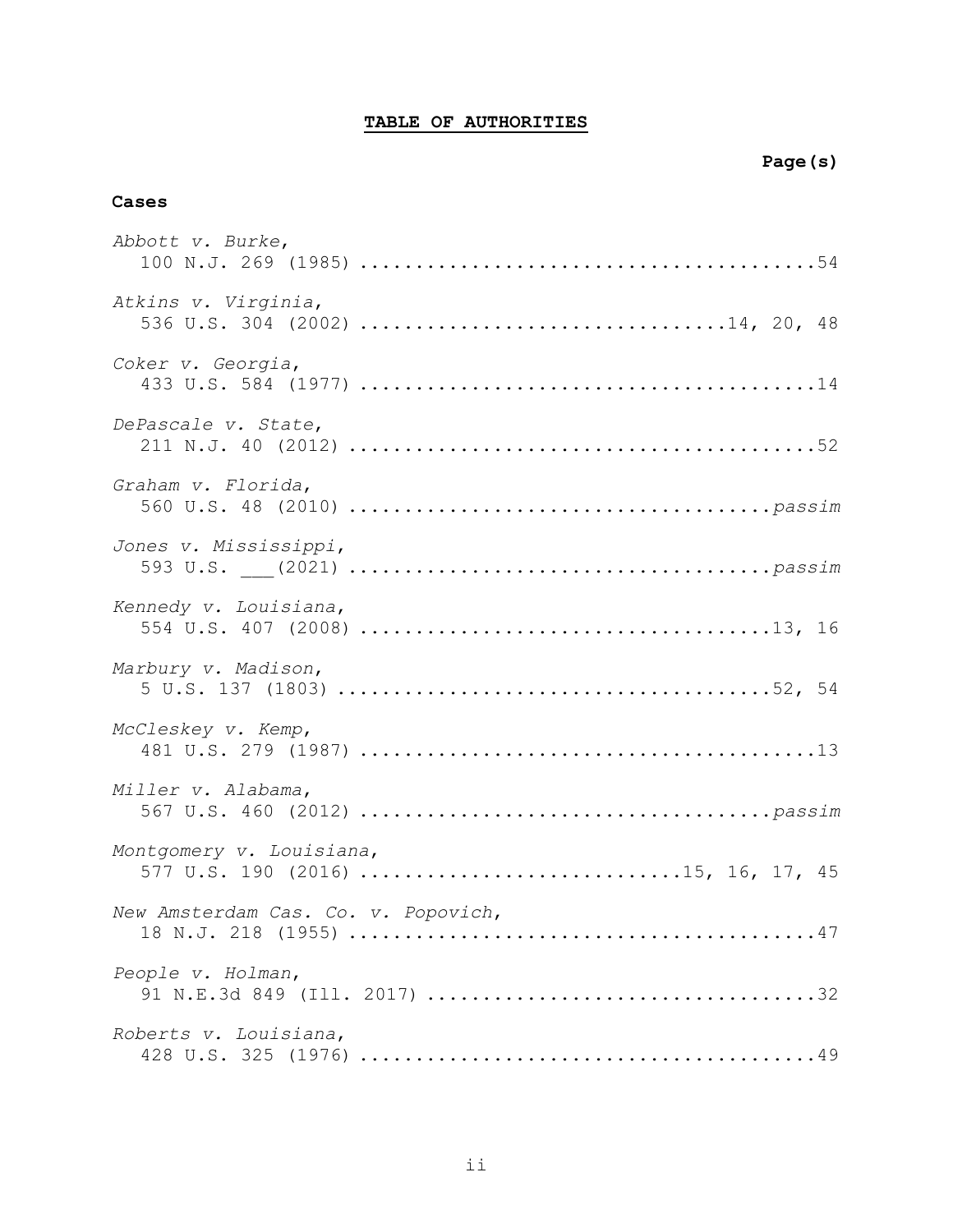# TABLE OF AUTHORITIES

## Cases

| Abbott v. Burke,                                               |
|----------------------------------------------------------------|
| Atkins v. Virginia,                                            |
| Coker v. Georgia,                                              |
| DePascale v. State,                                            |
| Graham v. Florida,                                             |
| Jones v. Mississippi,                                          |
| Kennedy v. Louisiana,                                          |
| Marbury v. Madison,                                            |
| McCleskey v. Kemp,                                             |
| Miller v. Alabama,                                             |
| Montgomery v. Louisiana,<br>577 U.S. 190 (2016) 15, 16, 17, 45 |
| New Amsterdam Cas. Co. v. Popovich,                            |
| People v. Holman,                                              |
| Roberts v. Louisiana,                                          |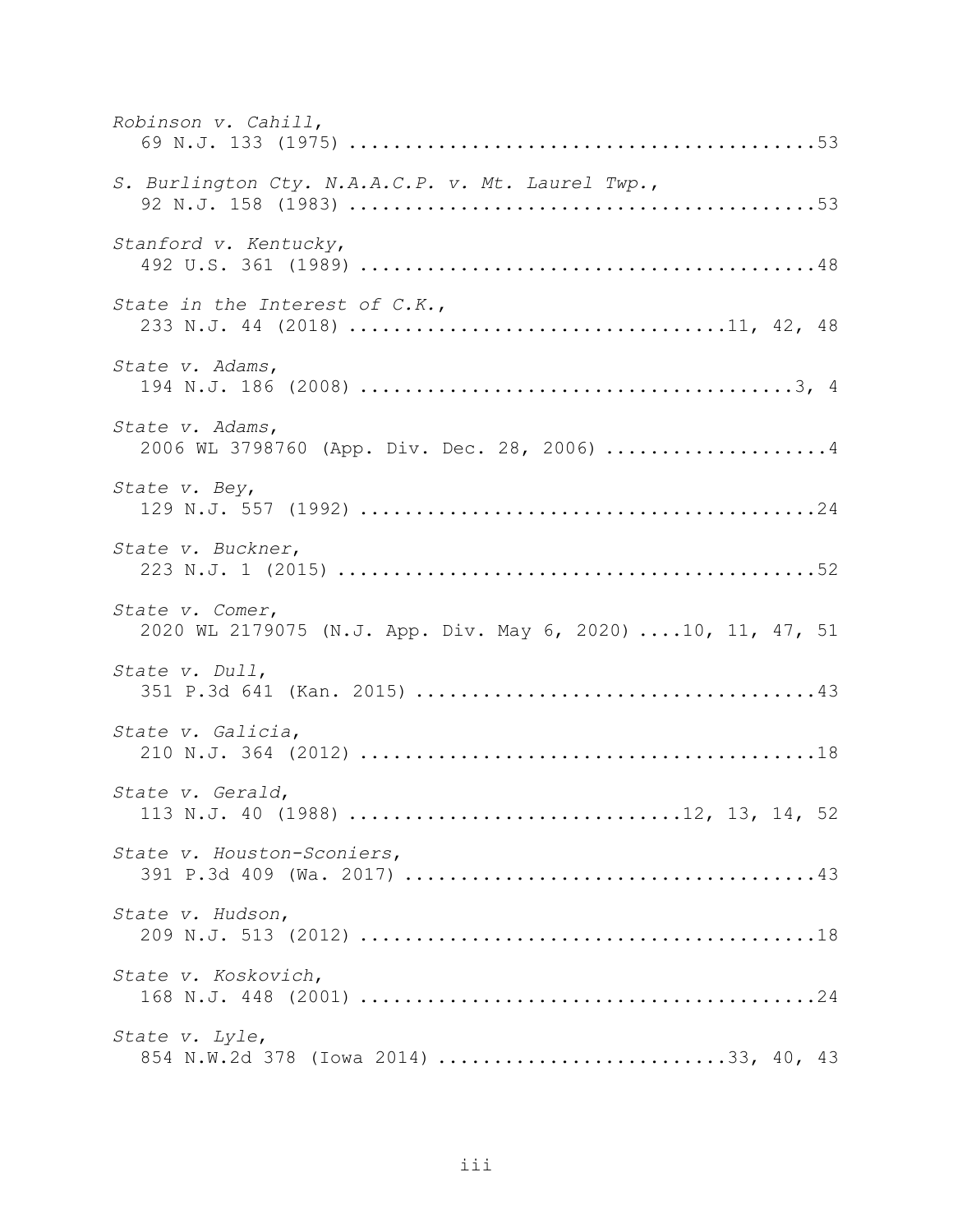| Robinson v. Cahill,                                                            |
|--------------------------------------------------------------------------------|
| S. Burlington Cty. N.A.A.C.P. v. Mt. Laurel Twp.,                              |
| Stanford v. Kentucky,                                                          |
| State in the Interest of C.K.,<br>233 N.J. 44 (2018) 11, 42, 48                |
| State v. Adams,                                                                |
| State v. Adams,<br>2006 WL 3798760 (App. Div. Dec. 28, 2006) 4                 |
| State v. Bey,                                                                  |
| State v. Buckner,                                                              |
| State v. Comer,<br>2020 WL 2179075 (N.J. App. Div. May 6, 2020) 10, 11, 47, 51 |
| State v. Dull,                                                                 |
| State v. Galicia,                                                              |
| State v. Gerald,<br>113 N.J. 40 (1988) 12, 13, 14, 52                          |
| State v. Houston-Sconiers,                                                     |
| State v. Hudson,                                                               |
| State v. Koskovich,                                                            |
| State v. Lyle,<br>854 N.W.2d 378 (Iowa 2014) 33, 40, 43                        |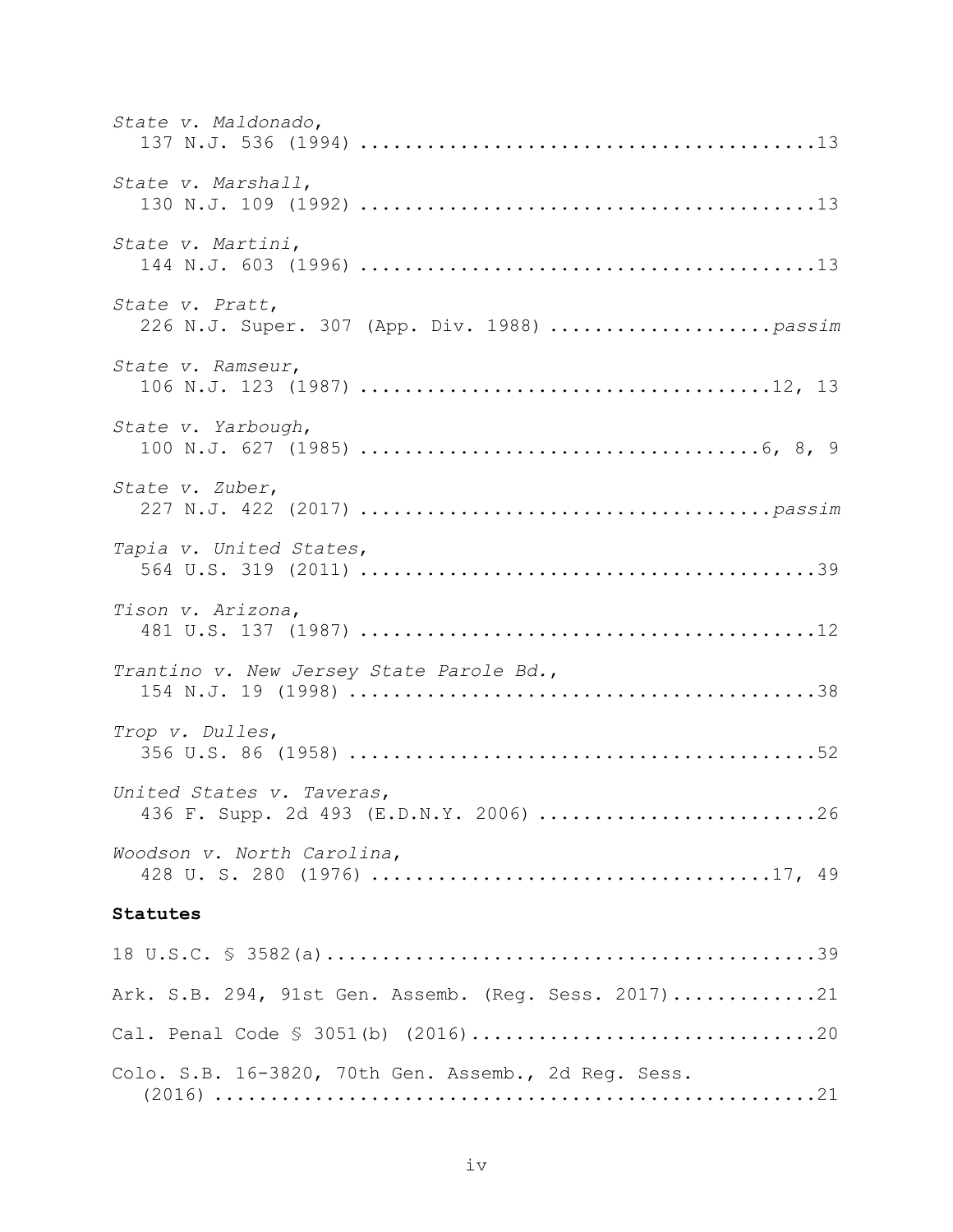| State v. Maldonado,                                                 |
|---------------------------------------------------------------------|
| State v. Marshall,                                                  |
| State v. Martini,                                                   |
| State v. Pratt,                                                     |
| State v. Ramseur,                                                   |
| State v. Yarbough,                                                  |
| State v. Zuber,                                                     |
| Tapia v. United States,                                             |
| Tison v. Arizona,                                                   |
| Trantino v. New Jersey State Parole Bd.,                            |
| Trop v. Dulles,                                                     |
| United States v. Taveras,<br>436 F. Supp. 2d 493 (E.D.N.Y. 2006) 26 |
| Woodson v. North Carolina,                                          |
| Statutes                                                            |
|                                                                     |
| Ark. S.B. 294, 91st Gen. Assemb. (Reg. Sess. 2017)21                |
|                                                                     |
| Colo. S.B. 16-3820, 70th Gen. Assemb., 2d Reg. Sess.                |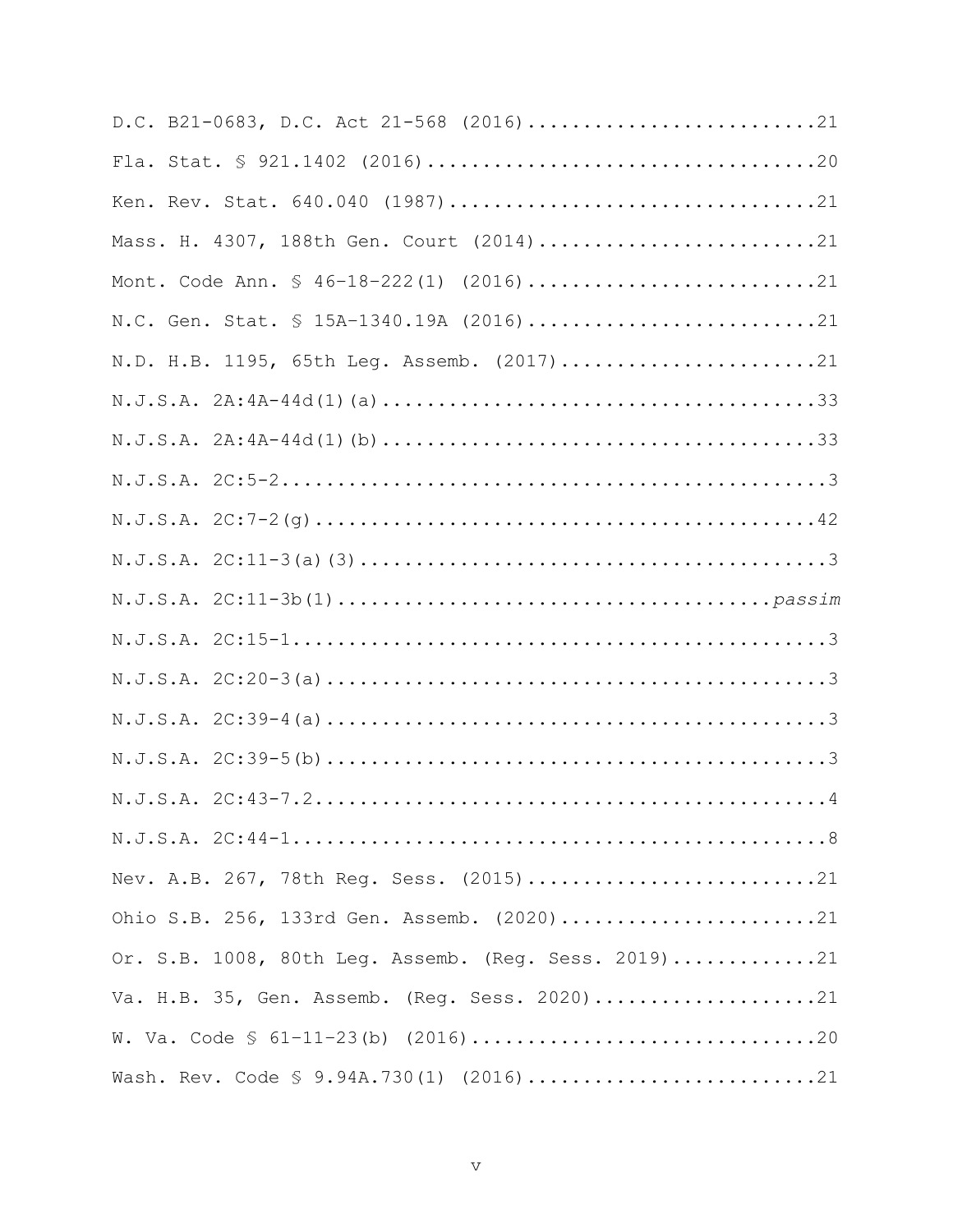| D.C. B21-0683, D.C. Act 21-568 (2016)21              |
|------------------------------------------------------|
|                                                      |
| Ken. Rev. Stat. 640.040 (1987)21                     |
| Mass. H. 4307, 188th Gen. Court (2014)21             |
| Mont. Code Ann. § 46-18-222(1) (2016)21              |
| N.C. Gen. Stat. § 15A-1340.19A (2016)21              |
| N.D. H.B. 1195, 65th Leg. Assemb. (2017)21           |
|                                                      |
| $N.J.S.A. 2A: 4A-44d(1) (b) 33$                      |
|                                                      |
|                                                      |
|                                                      |
|                                                      |
|                                                      |
|                                                      |
|                                                      |
|                                                      |
|                                                      |
|                                                      |
| Nev. A.B. 267, 78th Reg. Sess. (2015)21              |
| Ohio S.B. 256, 133rd Gen. Assemb. (2020)21           |
| Or. S.B. 1008, 80th Leg. Assemb. (Reg. Sess. 2019)21 |
| Va. H.B. 35, Gen. Assemb. (Reg. Sess. 2020)21        |
|                                                      |
| Wash. Rev. Code § 9.94A.730(1) (2016)21              |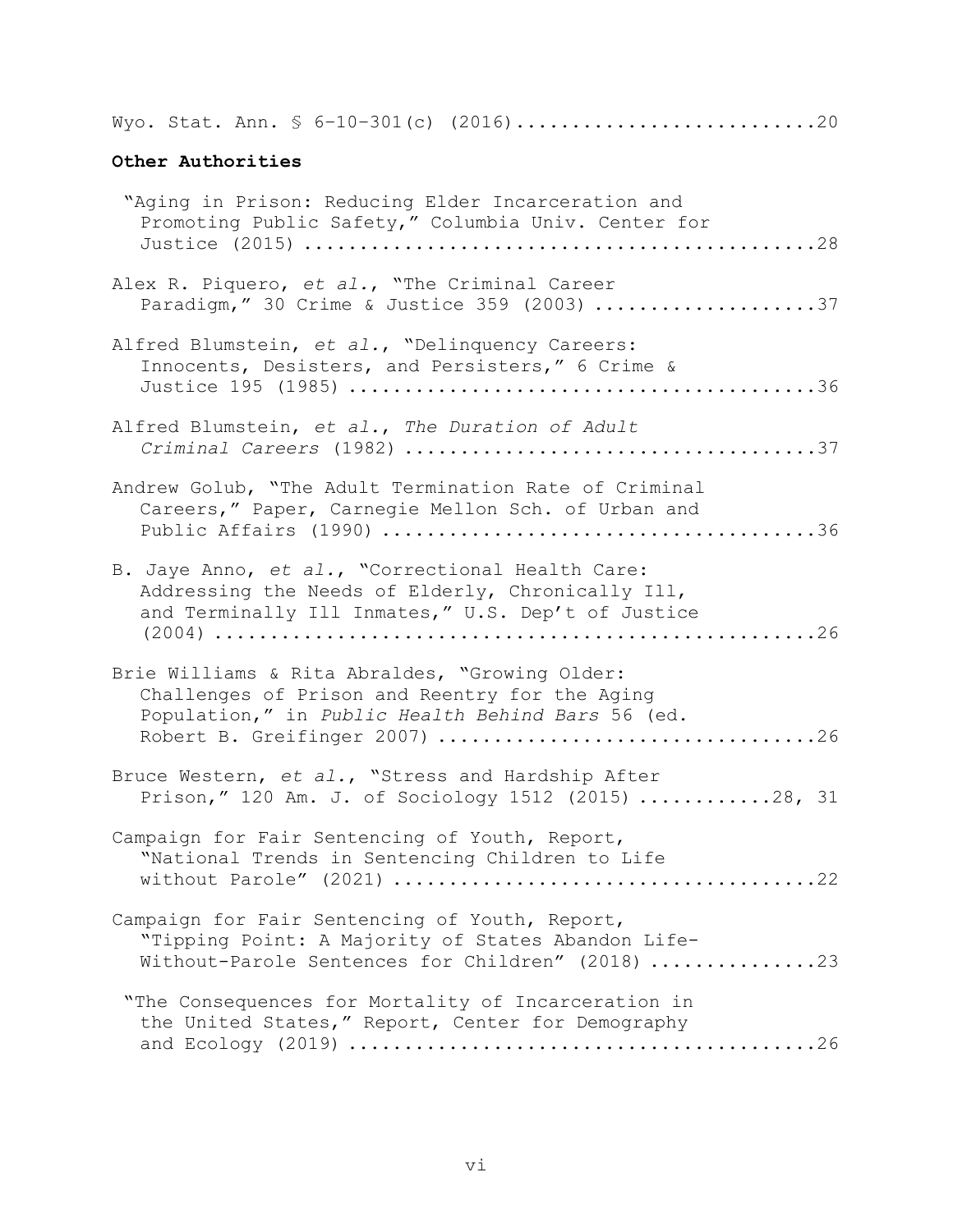Wyo. Stat. Ann. § 6–10–301(c) (2016)...........................20

# Other Authorities

| "Aging in Prison: Reducing Elder Incarceration and<br>Promoting Public Safety," Columbia Univ. Center for                                                   |
|-------------------------------------------------------------------------------------------------------------------------------------------------------------|
| Alex R. Piquero, et al., "The Criminal Career<br>Paradigm," 30 Crime & Justice 359 (2003) 37                                                                |
| Alfred Blumstein, et al., "Delinquency Careers:<br>Innocents, Desisters, and Persisters," 6 Crime &                                                         |
| Alfred Blumstein, et al., The Duration of Adult                                                                                                             |
| Andrew Golub, "The Adult Termination Rate of Criminal<br>Careers," Paper, Carnegie Mellon Sch. of Urban and                                                 |
| B. Jaye Anno, et al., "Correctional Health Care:<br>Addressing the Needs of Elderly, Chronically Ill,<br>and Terminally Ill Inmates," U.S. Dep't of Justice |
| Brie Williams & Rita Abraldes, "Growing Older:<br>Challenges of Prison and Reentry for the Aging<br>Population," in Public Health Behind Bars 56 (ed.       |
| Bruce Western, et al., "Stress and Hardship After<br>Prison," 120 Am. J. of Sociology 1512 (2015) 28, 31                                                    |
| Campaign for Fair Sentencing of Youth, Report,<br>"National Trends in Sentencing Children to Life                                                           |
| Campaign for Fair Sentencing of Youth, Report,<br>"Tipping Point: A Majority of States Abandon Life-<br>Without-Parole Sentences for Children" (2018) 23    |
| "The Consequences for Mortality of Incarceration in<br>the United States," Report, Center for Demography                                                    |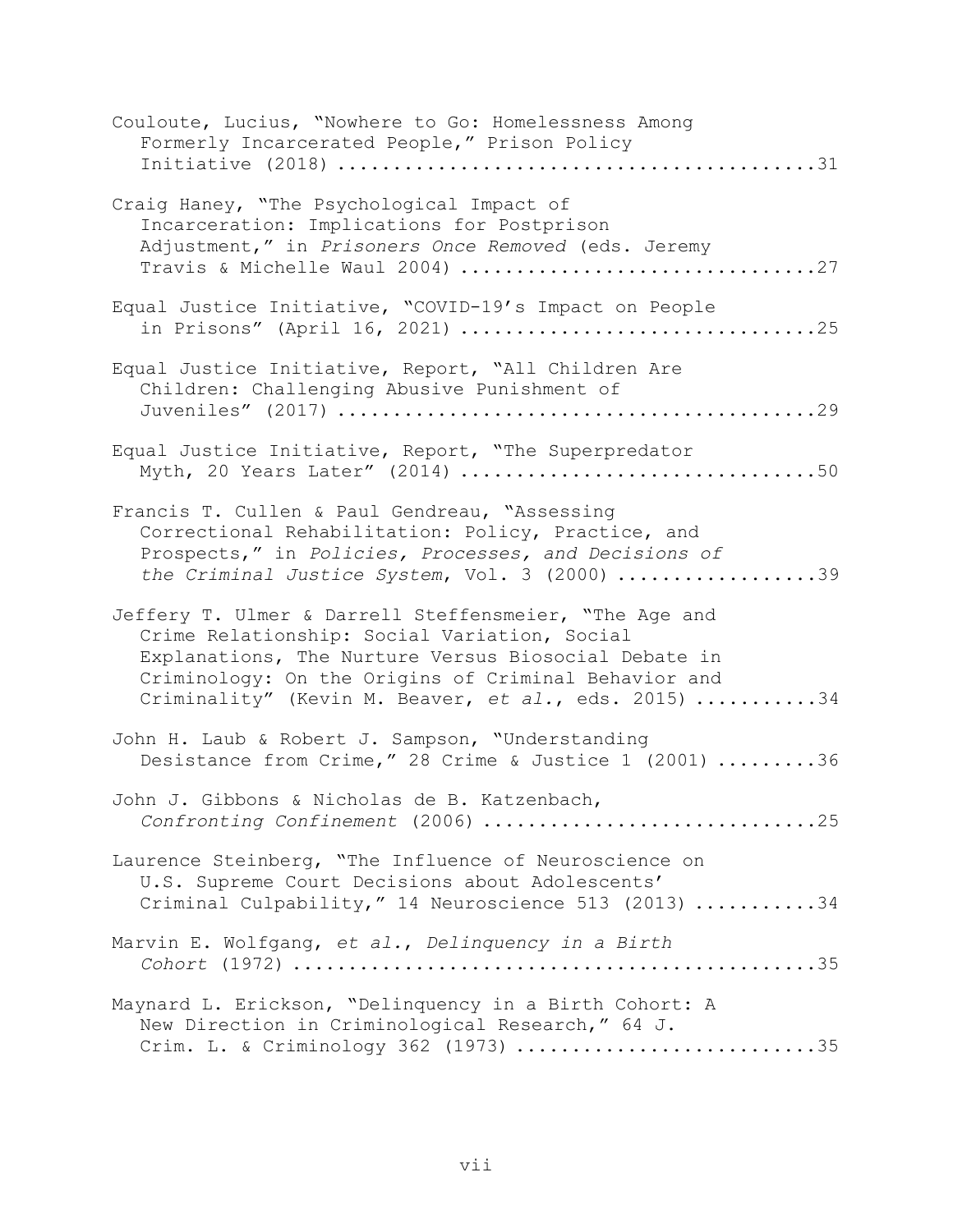| Couloute, Lucius, "Nowhere to Go: Homelessness Among<br>Formerly Incarcerated People," Prison Policy                                                                                                                                                                           |
|--------------------------------------------------------------------------------------------------------------------------------------------------------------------------------------------------------------------------------------------------------------------------------|
| Craig Haney, "The Psychological Impact of<br>Incarceration: Implications for Postprison<br>Adjustment," in Prisoners Once Removed (eds. Jeremy<br>Travis & Michelle Waul 2004) 27                                                                                              |
| Equal Justice Initiative, "COVID-19's Impact on People<br>in Prisons" (April 16, 2021) 25                                                                                                                                                                                      |
| Equal Justice Initiative, Report, "All Children Are<br>Children: Challenging Abusive Punishment of                                                                                                                                                                             |
| Equal Justice Initiative, Report, "The Superpredator                                                                                                                                                                                                                           |
| Francis T. Cullen & Paul Gendreau, "Assessing<br>Correctional Rehabilitation: Policy, Practice, and<br>Prospects," in Policies, Processes, and Decisions of<br>the Criminal Justice System, Vol. 3 (2000) 39                                                                   |
| Jeffery T. Ulmer & Darrell Steffensmeier, "The Age and<br>Crime Relationship: Social Variation, Social<br>Explanations, The Nurture Versus Biosocial Debate in<br>Criminology: On the Origins of Criminal Behavior and<br>Criminality" (Kevin M. Beaver, et al., eds. 2015) 34 |
| John H. Laub & Robert J. Sampson, "Understanding<br>Desistance from Crime," 28 Crime & Justice 1 (2001) 36                                                                                                                                                                     |
| John J. Gibbons & Nicholas de B. Katzenbach,<br>Confronting Confinement (2006) 25                                                                                                                                                                                              |
| Laurence Steinberg, "The Influence of Neuroscience on<br>U.S. Supreme Court Decisions about Adolescents'<br>Criminal Culpability," 14 Neuroscience 513 (2013) 34                                                                                                               |
| Marvin E. Wolfgang, et al., Delinquency in a Birth                                                                                                                                                                                                                             |
| Maynard L. Erickson, "Delinquency in a Birth Cohort: A<br>New Direction in Criminological Research," 64 J.<br>Crim. L. & Criminology 362 (1973) 35                                                                                                                             |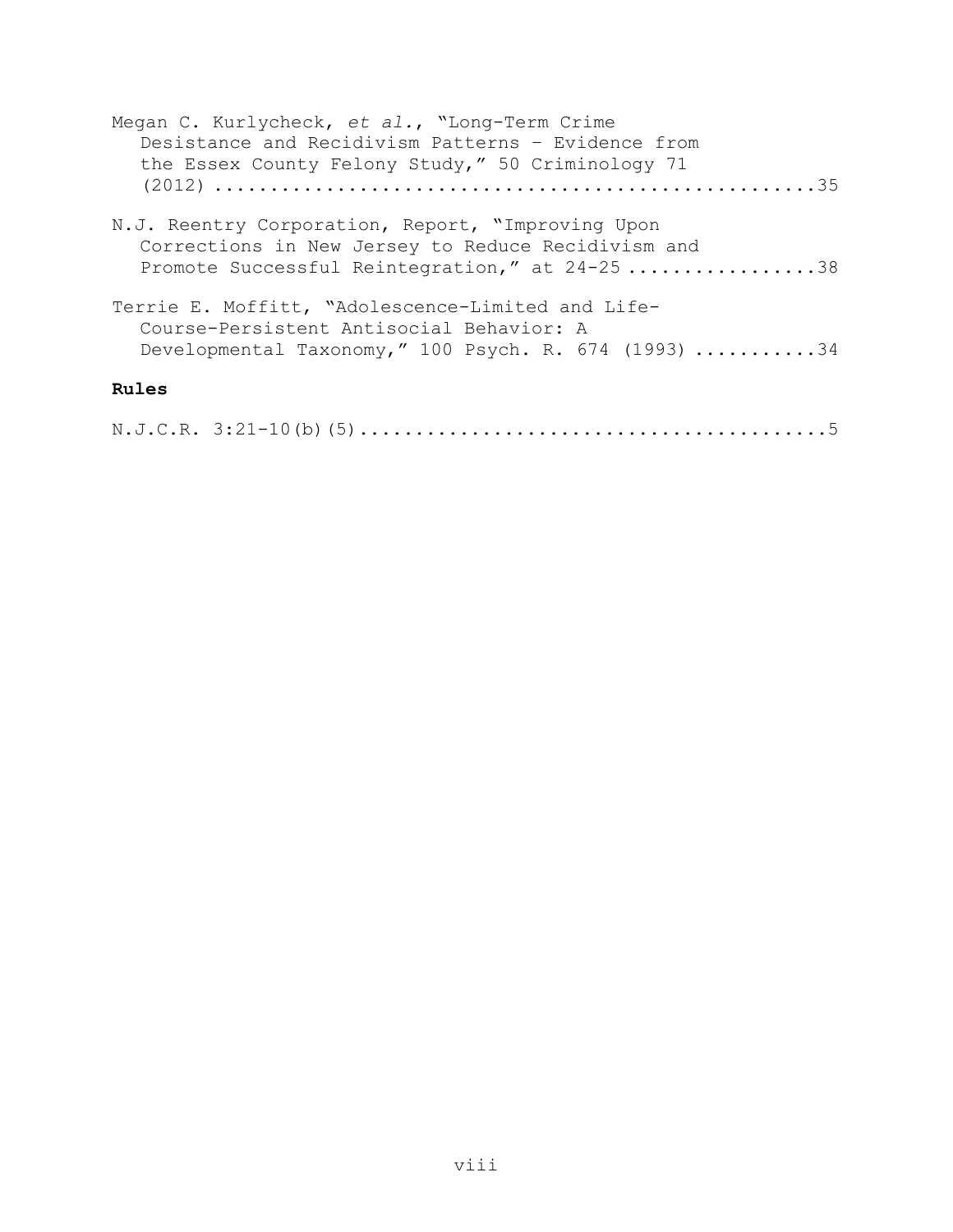| Megan C. Kurlycheck, et al., "Long-Term Crime<br>Desistance and Recidivism Patterns - Evidence from                                                      |
|----------------------------------------------------------------------------------------------------------------------------------------------------------|
| the Essex County Felony Study," 50 Criminology 71                                                                                                        |
| N.J. Reentry Corporation, Report, "Improving Upon<br>Corrections in New Jersey to Reduce Recidivism and<br>Promote Successful Reintegration," at 24-2538 |
| Terrie E. Moffitt, "Adolescence-Limited and Life-<br>Course-Persistent Antisocial Behavior: A<br>Developmental Taxonomy," 100 Psych. R. $674$ (1993) 34  |
| Rules                                                                                                                                                    |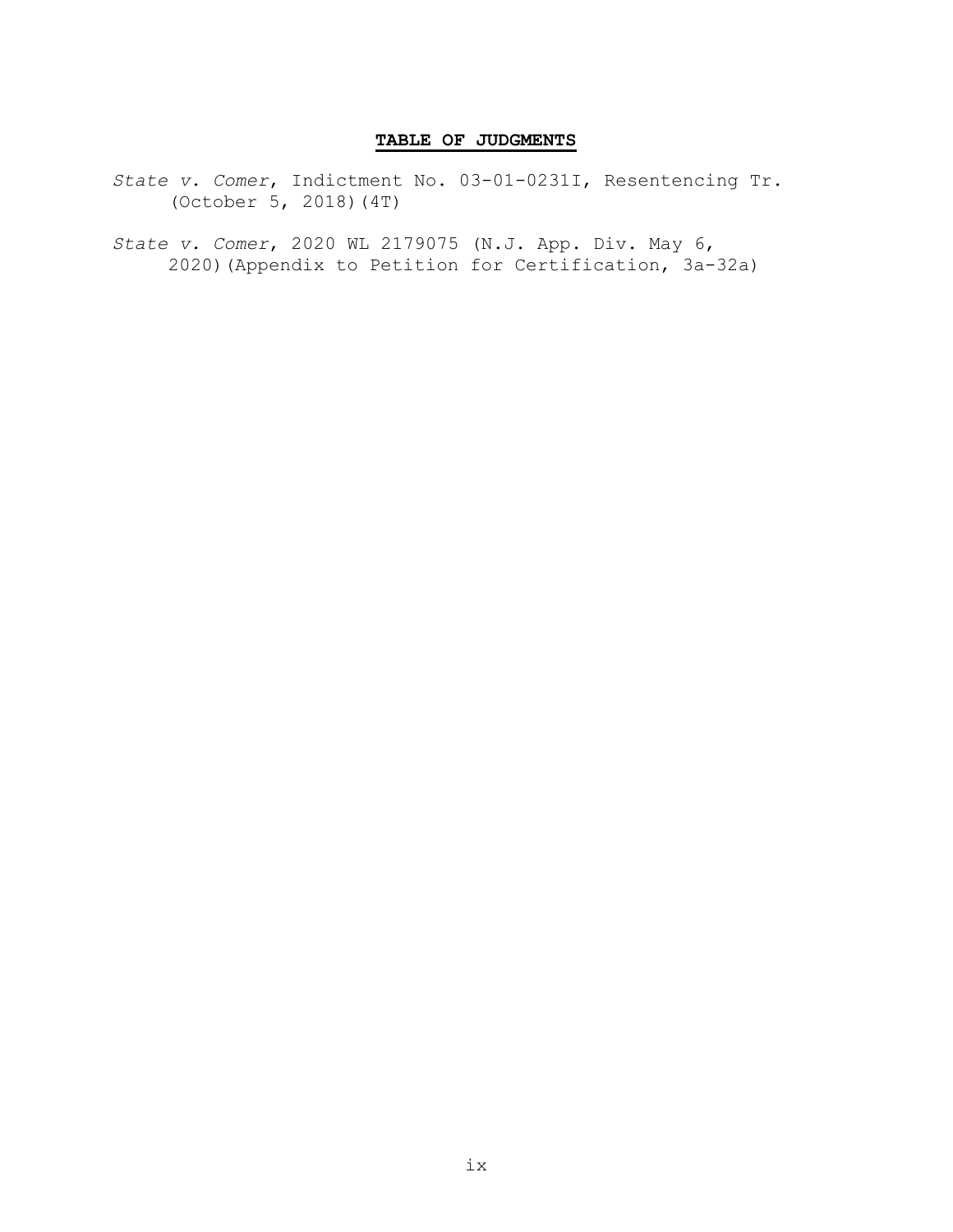### TABLE OF JUDGMENTS

- State v. Comer, Indictment No. 03-01-0231I, Resentencing Tr. (October 5, 2018)(4T)
- State v. Comer, 2020 WL 2179075 (N.J. App. Div. May 6, 2020)(Appendix to Petition for Certification, 3a-32a)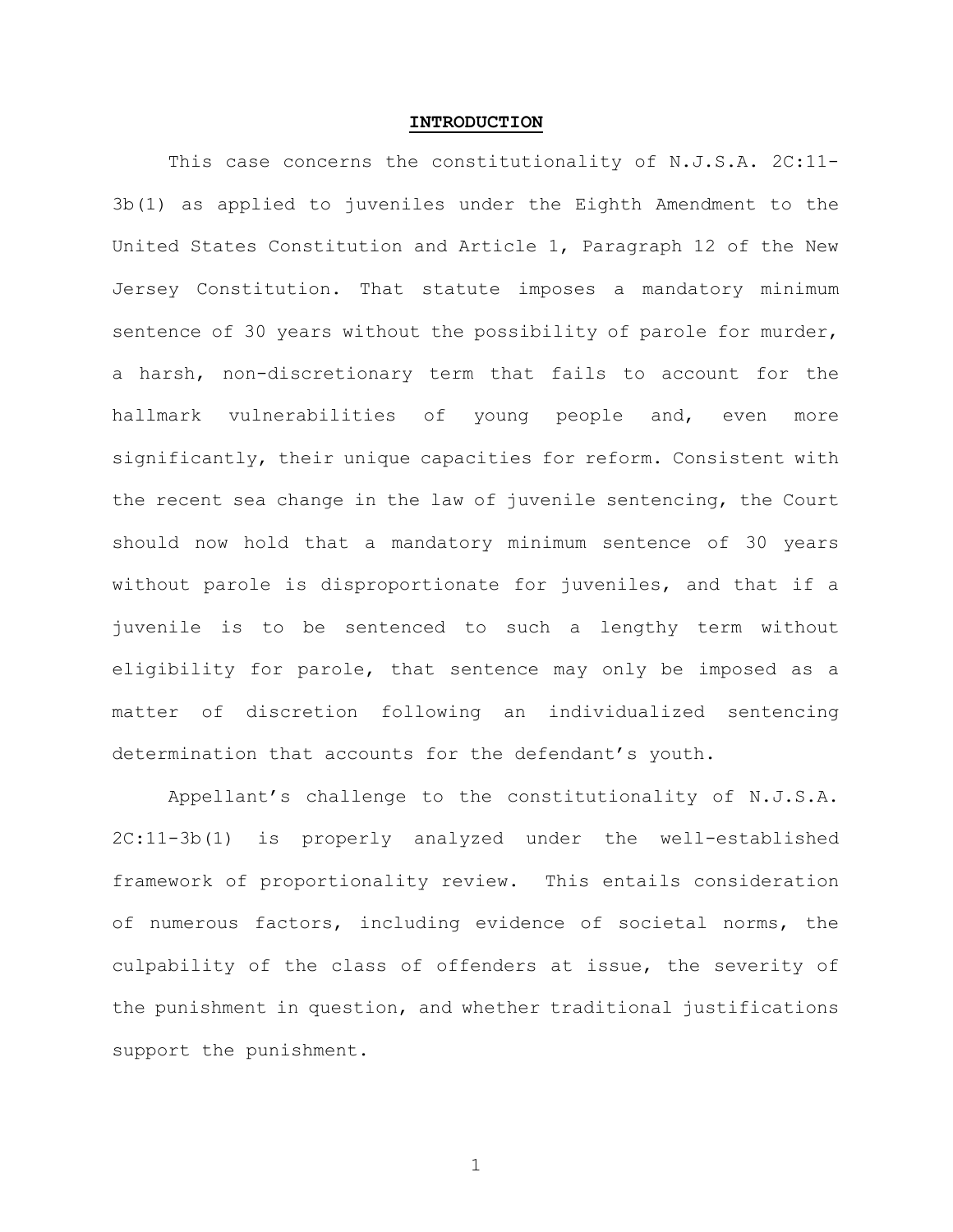#### INTRODUCTION

This case concerns the constitutionality of N.J.S.A. 2C:11- 3b(1) as applied to juveniles under the Eighth Amendment to the United States Constitution and Article 1, Paragraph 12 of the New Jersey Constitution. That statute imposes a mandatory minimum sentence of 30 years without the possibility of parole for murder, a harsh, non-discretionary term that fails to account for the hallmark vulnerabilities of young people and, even more significantly, their unique capacities for reform. Consistent with the recent sea change in the law of juvenile sentencing, the Court should now hold that a mandatory minimum sentence of 30 years without parole is disproportionate for juveniles, and that if a juvenile is to be sentenced to such a lengthy term without eligibility for parole, that sentence may only be imposed as a matter of discretion following an individualized sentencing determination that accounts for the defendant's youth.

Appellant's challenge to the constitutionality of N.J.S.A. 2C:11-3b(1) is properly analyzed under the well-established framework of proportionality review. This entails consideration of numerous factors, including evidence of societal norms, the culpability of the class of offenders at issue, the severity of the punishment in question, and whether traditional justifications support the punishment.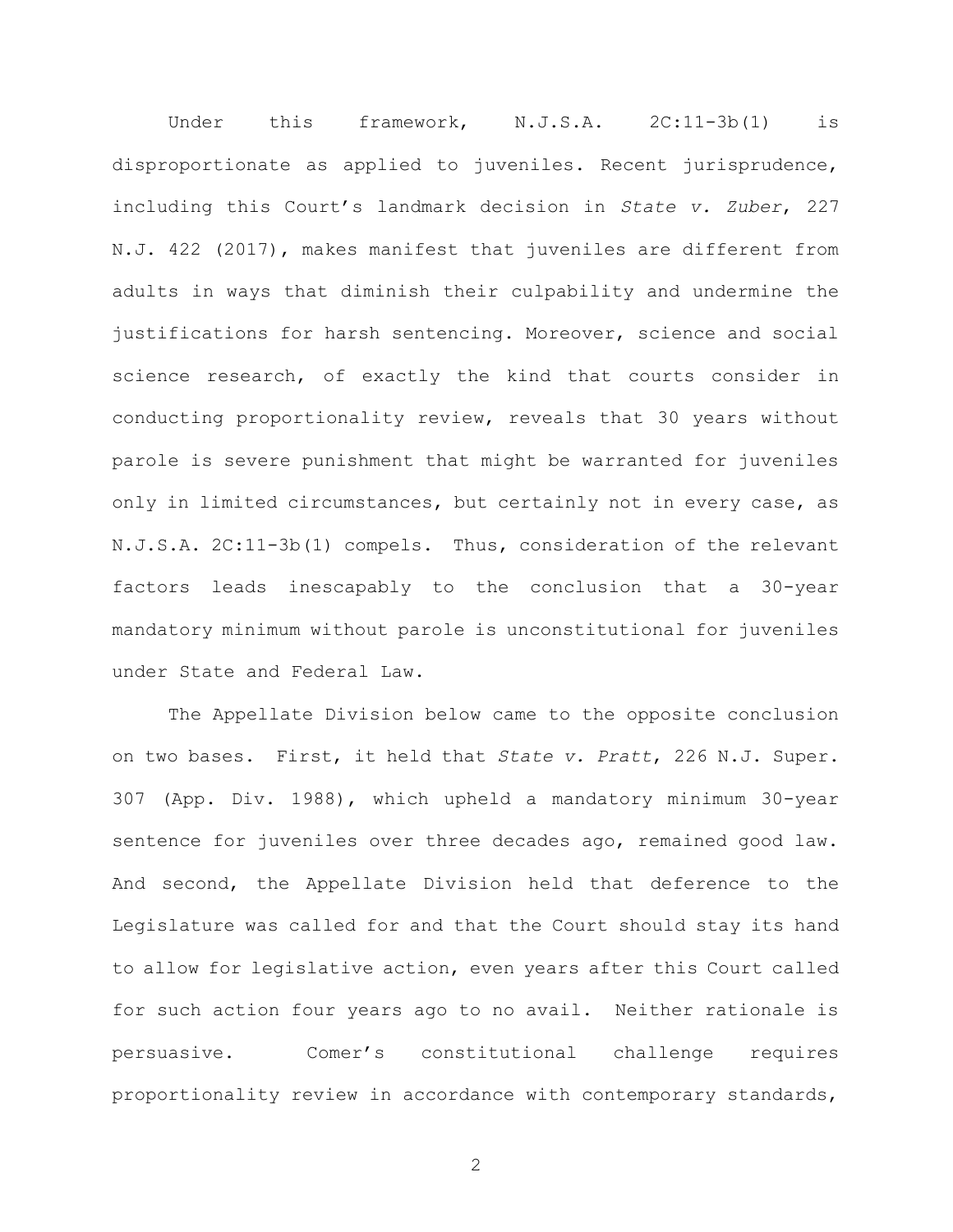Under this framework, N.J.S.A. 2C:11-3b(1) is disproportionate as applied to juveniles. Recent jurisprudence, including this Court's landmark decision in State v. Zuber, 227 N.J. 422 (2017), makes manifest that juveniles are different from adults in ways that diminish their culpability and undermine the justifications for harsh sentencing. Moreover, science and social science research, of exactly the kind that courts consider in conducting proportionality review, reveals that 30 years without parole is severe punishment that might be warranted for juveniles only in limited circumstances, but certainly not in every case, as N.J.S.A. 2C:11-3b(1) compels. Thus, consideration of the relevant factors leads inescapably to the conclusion that a 30-year mandatory minimum without parole is unconstitutional for juveniles under State and Federal Law.

The Appellate Division below came to the opposite conclusion on two bases. First, it held that State v. Pratt, 226 N.J. Super. 307 (App. Div. 1988), which upheld a mandatory minimum 30-year sentence for juveniles over three decades ago, remained good law. And second, the Appellate Division held that deference to the Legislature was called for and that the Court should stay its hand to allow for legislative action, even years after this Court called for such action four years ago to no avail. Neither rationale is persuasive. Comer's constitutional challenge requires proportionality review in accordance with contemporary standards,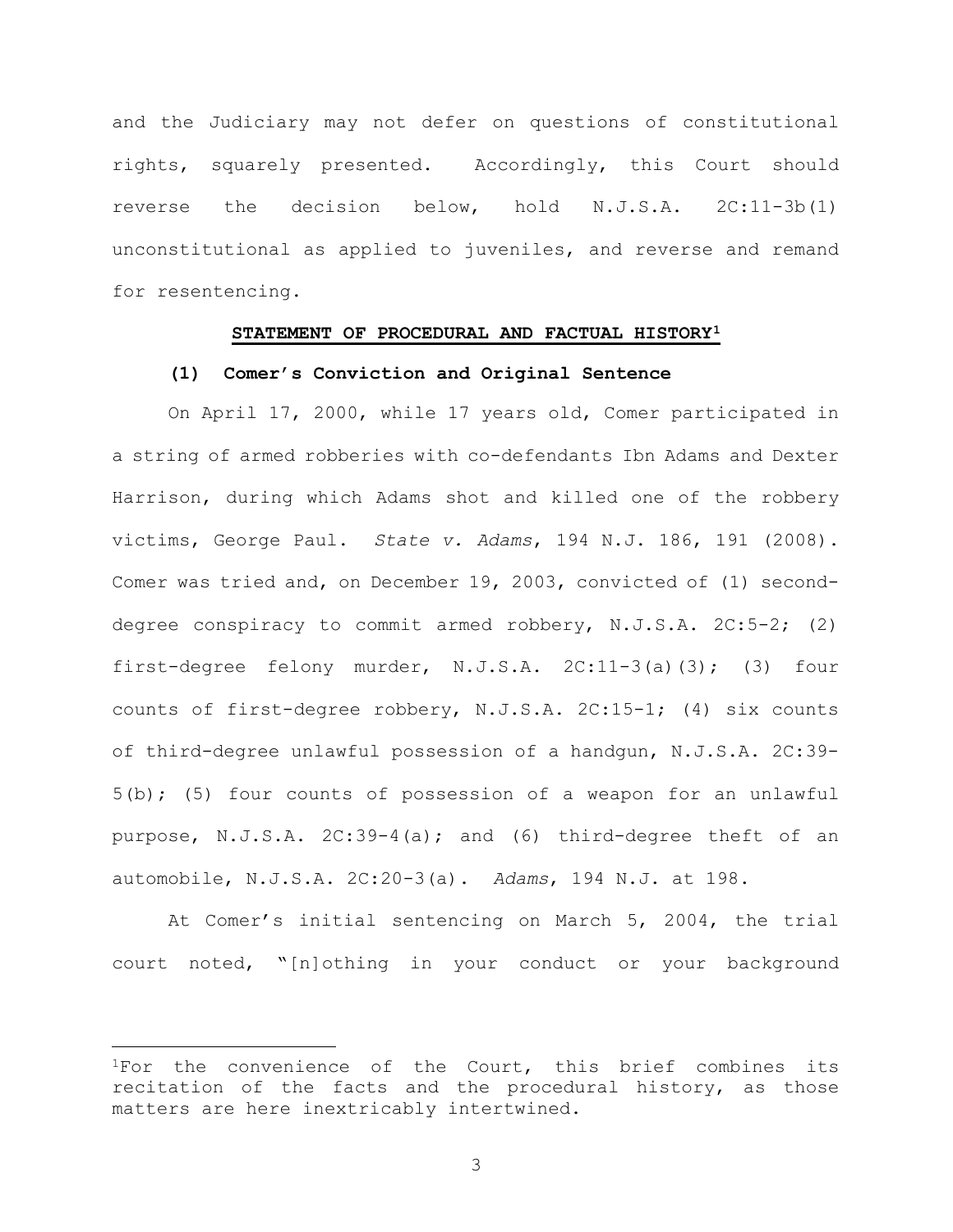and the Judiciary may not defer on questions of constitutional rights, squarely presented. Accordingly, this Court should reverse the decision below, hold N.J.S.A. 2C:11-3b(1) unconstitutional as applied to juveniles, and reverse and remand for resentencing.

### STATEMENT OF PROCEDURAL AND FACTUAL HISTORY<sup>1</sup>

#### (1) Comer's Conviction and Original Sentence

On April 17, 2000, while 17 years old, Comer participated in a string of armed robberies with co-defendants Ibn Adams and Dexter Harrison, during which Adams shot and killed one of the robbery victims, George Paul. State v. Adams, 194 N.J. 186, 191 (2008). Comer was tried and, on December 19, 2003, convicted of (1) seconddegree conspiracy to commit armed robbery, N.J.S.A. 2C:5-2; (2) first-degree felony murder, N.J.S.A. 2C:11-3(a)(3); (3) four counts of first-degree robbery, N.J.S.A. 2C:15-1; (4) six counts of third-degree unlawful possession of a handgun, N.J.S.A. 2C:39- 5(b); (5) four counts of possession of a weapon for an unlawful purpose, N.J.S.A. 2C:39-4(a); and (6) third-degree theft of an automobile, N.J.S.A. 2C:20-3(a). Adams, 194 N.J. at 198.

At Comer's initial sentencing on March 5, 2004, the trial court noted, "[n]othing in your conduct or your background

<sup>&</sup>lt;sup>1</sup>For the convenience of the Court, this brief combines its recitation of the facts and the procedural history, as those matters are here inextricably intertwined.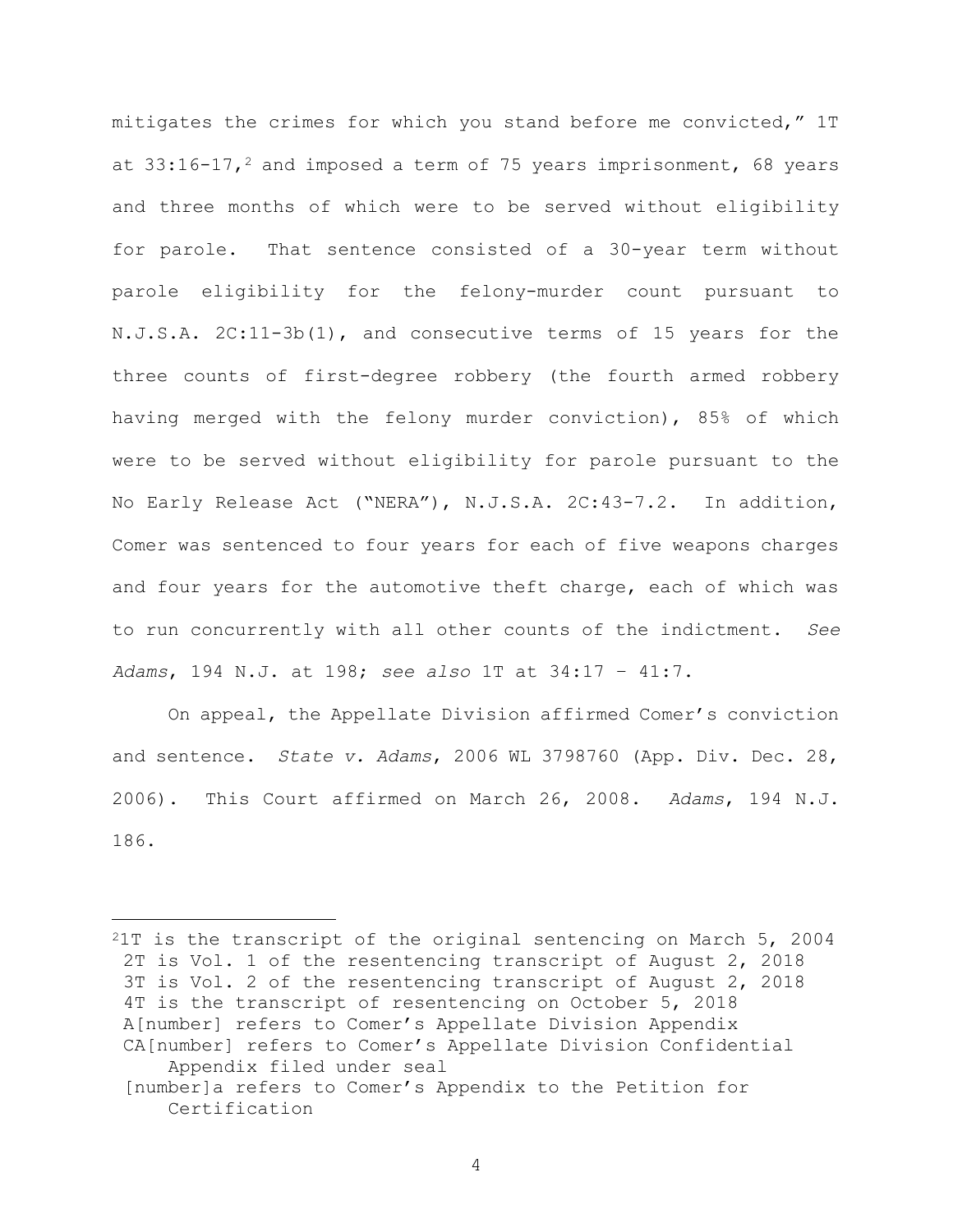mitigates the crimes for which you stand before me convicted," 1T at  $33:16-17$ ,<sup>2</sup> and imposed a term of 75 years imprisonment, 68 years and three months of which were to be served without eligibility for parole. That sentence consisted of a 30-year term without parole eligibility for the felony-murder count pursuant to N.J.S.A. 2C:11-3b(1), and consecutive terms of 15 years for the three counts of first-degree robbery (the fourth armed robbery having merged with the felony murder conviction), 85% of which were to be served without eligibility for parole pursuant to the No Early Release Act ("NERA"), N.J.S.A. 2C:43-7.2. In addition, Comer was sentenced to four years for each of five weapons charges and four years for the automotive theft charge, each of which was to run concurrently with all other counts of the indictment. See Adams, 194 N.J. at 198; see also 1T at 34:17 – 41:7.

On appeal, the Appellate Division affirmed Comer's conviction and sentence. State v. Adams, 2006 WL 3798760 (App. Div. Dec. 28, 2006). This Court affirmed on March 26, 2008. Adams, 194 N.J. 186.

<sup>2</sup>1T is the transcript of the original sentencing on March 5, 2004 2T is Vol. 1 of the resentencing transcript of August 2, 2018 3T is Vol. 2 of the resentencing transcript of August 2, 2018 4T is the transcript of resentencing on October 5, 2018 A[number] refers to Comer's Appellate Division Appendix CA[number] refers to Comer's Appellate Division Confidential Appendix filed under seal [number]a refers to Comer's Appendix to the Petition for Certification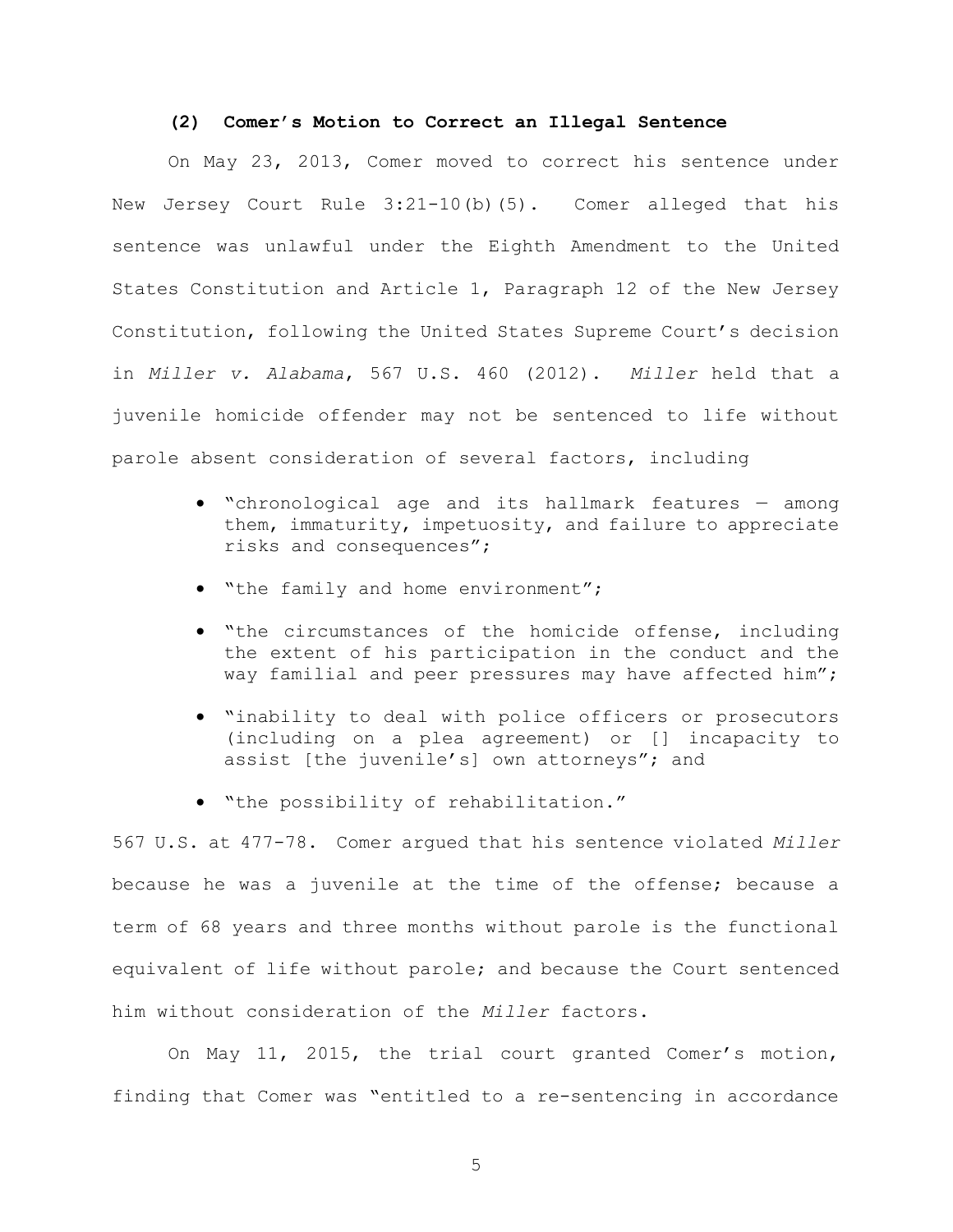### (2) Comer's Motion to Correct an Illegal Sentence

On May 23, 2013, Comer moved to correct his sentence under New Jersey Court Rule 3:21-10(b)(5). Comer alleged that his sentence was unlawful under the Eighth Amendment to the United States Constitution and Article 1, Paragraph 12 of the New Jersey Constitution, following the United States Supreme Court's decision in Miller v. Alabama, 567 U.S. 460 (2012). Miller held that a juvenile homicide offender may not be sentenced to life without parole absent consideration of several factors, including

- "chronological age and its hallmark features among them, immaturity, impetuosity, and failure to appreciate risks and consequences";
- . "the family and home environment";
- "the circumstances of the homicide offense, including the extent of his participation in the conduct and the way familial and peer pressures may have affected him";
- "inability to deal with police officers or prosecutors (including on a plea agreement) or [] incapacity to assist [the juvenile's] own attorneys"; and
- "the possibility of rehabilitation."

567 U.S. at 477-78. Comer argued that his sentence violated Miller because he was a juvenile at the time of the offense; because a term of 68 years and three months without parole is the functional equivalent of life without parole; and because the Court sentenced him without consideration of the Miller factors.

On May 11, 2015, the trial court granted Comer's motion, finding that Comer was "entitled to a re-sentencing in accordance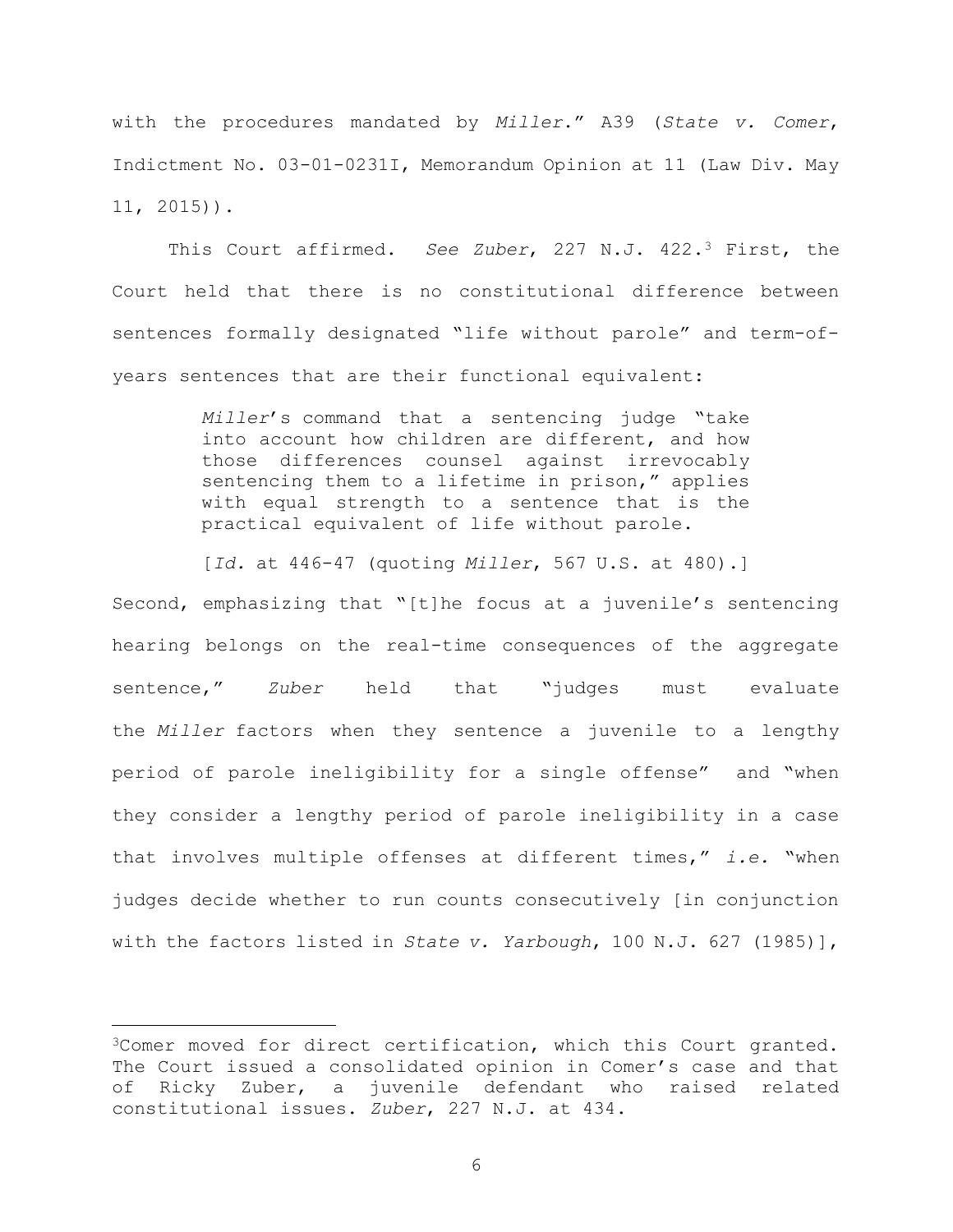with the procedures mandated by Miller." A39 (State v. Comer, Indictment No. 03-01-0231I, Memorandum Opinion at 11 (Law Div. May 11, 2015)).

This Court affirmed. See Zuber, 227 N.J. 422.<sup>3</sup> First, the Court held that there is no constitutional difference between sentences formally designated "life without parole" and term-ofyears sentences that are their functional equivalent:

> Miller's command that a sentencing judge "take into account how children are different, and how those differences counsel against irrevocably sentencing them to a lifetime in prison," applies with equal strength to a sentence that is the practical equivalent of life without parole.

> [Id. at 446-47 (quoting Miller, 567 U.S. at 480).]

Second, emphasizing that "[t]he focus at a juvenile's sentencing hearing belongs on the real-time consequences of the aggregate sentence," Zuber held that "judges must evaluate the Miller factors when they sentence a juvenile to a lengthy period of parole ineligibility for a single offense" and "when they consider a lengthy period of parole ineligibility in a case that involves multiple offenses at different times," i.e. "when judges decide whether to run counts consecutively [in conjunction with the factors listed in State v. Yarbough, 100 N.J. 627 (1985)],

<sup>3</sup>Comer moved for direct certification, which this Court granted. The Court issued a consolidated opinion in Comer's case and that of Ricky Zuber, a juvenile defendant who raised related constitutional issues. Zuber, 227 N.J. at 434.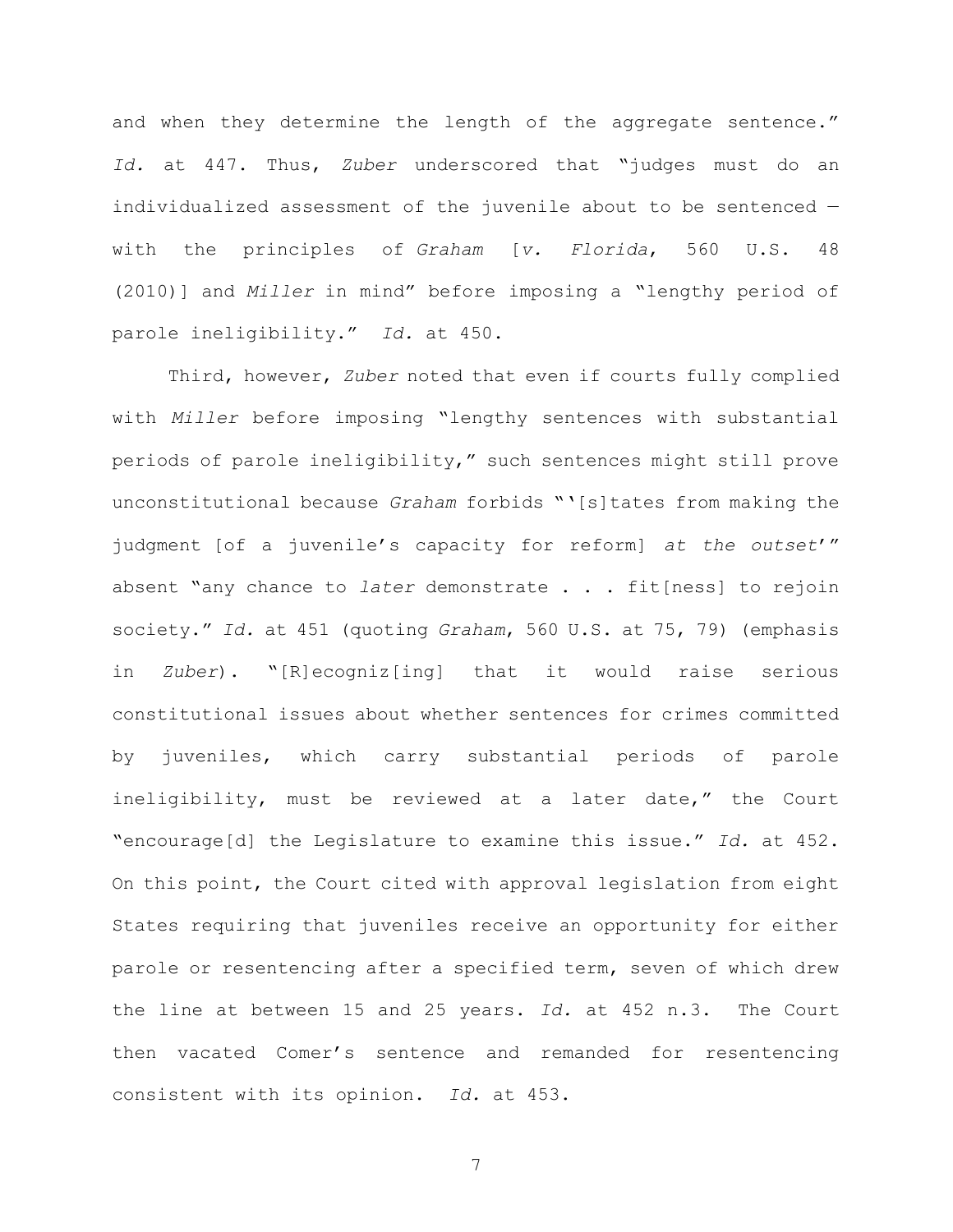and when they determine the length of the aggregate sentence." Id. at 447. Thus, Zuber underscored that "judges must do an individualized assessment of the juvenile about to be sentenced with the principles of Graham [v. Florida, 560 U.S. 48 (2010)] and Miller in mind" before imposing a "lengthy period of parole ineligibility." Id. at 450.

Third, however, Zuber noted that even if courts fully complied with Miller before imposing "lengthy sentences with substantial periods of parole ineligibility," such sentences might still prove unconstitutional because Graham forbids "'[s]tates from making the judgment [of a juvenile's capacity for reform] at the outset'" absent "any chance to later demonstrate  $\ldots$  fit[ness] to rejoin society." Id. at 451 (quoting Graham, 560 U.S. at 75, 79) (emphasis in Zuber). "[R]ecogniz[ing] that it would raise serious constitutional issues about whether sentences for crimes committed by juveniles, which carry substantial periods of parole ineligibility, must be reviewed at a later date," the Court "encourage[d] the Legislature to examine this issue." Id. at 452. On this point, the Court cited with approval legislation from eight States requiring that juveniles receive an opportunity for either parole or resentencing after a specified term, seven of which drew the line at between 15 and 25 years. Id. at 452 n.3. The Court then vacated Comer's sentence and remanded for resentencing consistent with its opinion. Id. at 453.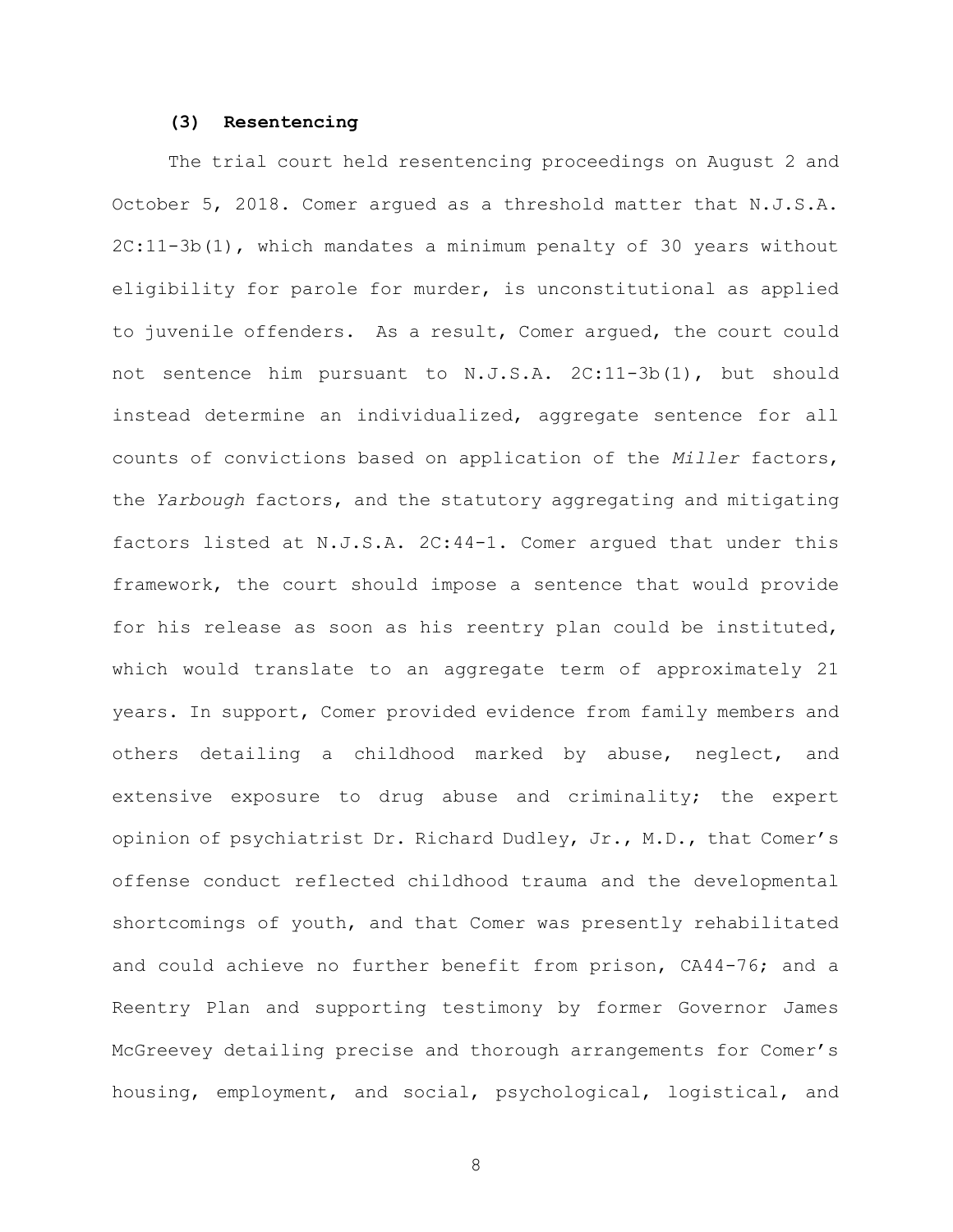### (3) Resentencing

The trial court held resentencing proceedings on August 2 and October 5, 2018. Comer argued as a threshold matter that N.J.S.A. 2C:11-3b(1), which mandates a minimum penalty of 30 years without eligibility for parole for murder, is unconstitutional as applied to juvenile offenders. As a result, Comer argued, the court could not sentence him pursuant to N.J.S.A. 2C:11-3b(1), but should instead determine an individualized, aggregate sentence for all counts of convictions based on application of the Miller factors, the Yarbough factors, and the statutory aggregating and mitigating factors listed at N.J.S.A. 2C:44-1. Comer argued that under this framework, the court should impose a sentence that would provide for his release as soon as his reentry plan could be instituted, which would translate to an aggregate term of approximately 21 years. In support, Comer provided evidence from family members and others detailing a childhood marked by abuse, neglect, and extensive exposure to drug abuse and criminality; the expert opinion of psychiatrist Dr. Richard Dudley, Jr., M.D., that Comer's offense conduct reflected childhood trauma and the developmental shortcomings of youth, and that Comer was presently rehabilitated and could achieve no further benefit from prison, CA44-76; and a Reentry Plan and supporting testimony by former Governor James McGreevey detailing precise and thorough arrangements for Comer's housing, employment, and social, psychological, logistical, and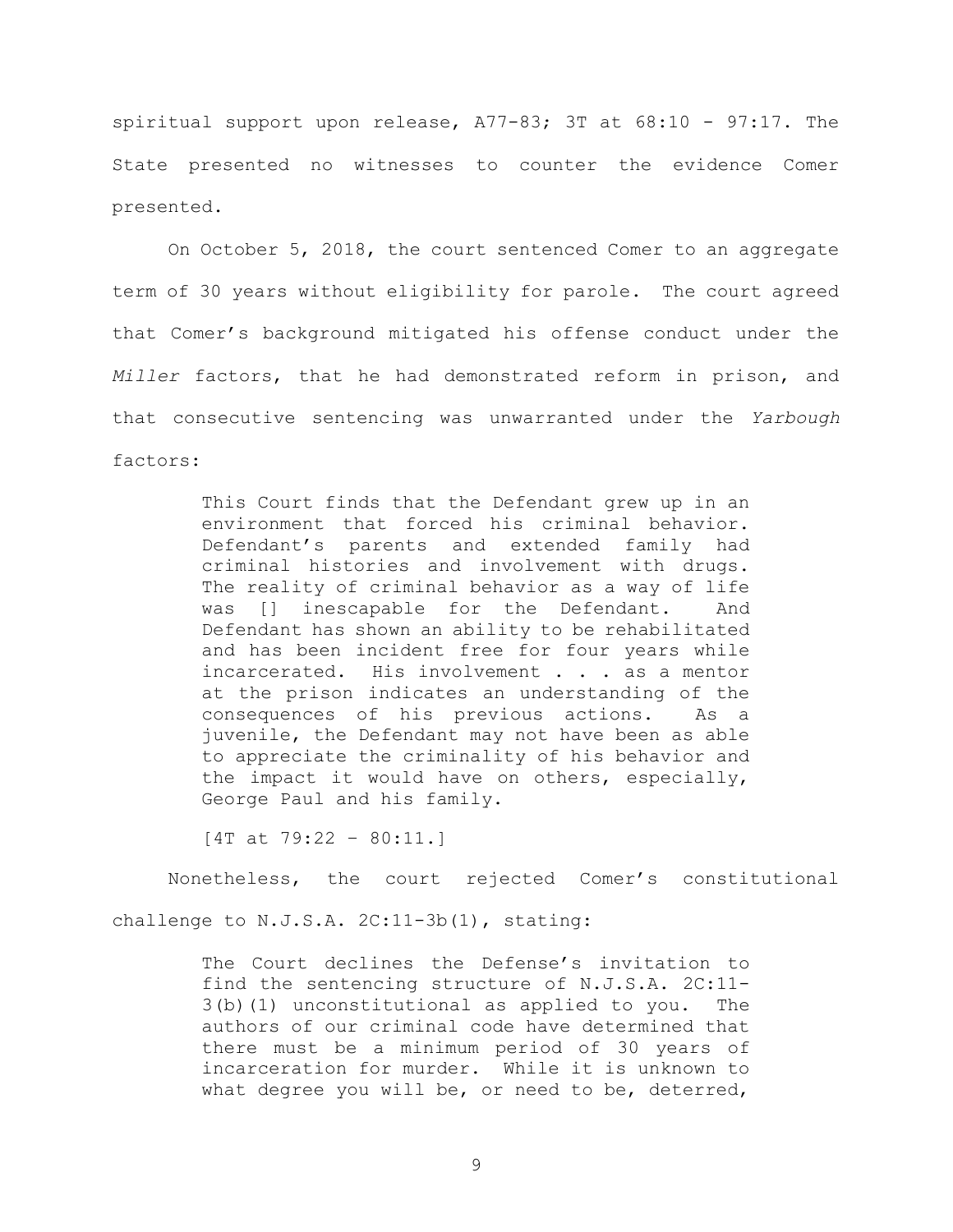spiritual support upon release, A77-83; 3T at 68:10 - 97:17. The State presented no witnesses to counter the evidence Comer presented.

On October 5, 2018, the court sentenced Comer to an aggregate term of 30 years without eligibility for parole. The court agreed that Comer's background mitigated his offense conduct under the Miller factors, that he had demonstrated reform in prison, and that consecutive sentencing was unwarranted under the Yarbough factors:

> This Court finds that the Defendant grew up in an environment that forced his criminal behavior. Defendant's parents and extended family had criminal histories and involvement with drugs. The reality of criminal behavior as a way of life was [] inescapable for the Defendant. And Defendant has shown an ability to be rehabilitated and has been incident free for four years while incarcerated. His involvement . . . as a mentor at the prison indicates an understanding of the consequences of his previous actions. As a juvenile, the Defendant may not have been as able to appreciate the criminality of his behavior and the impact it would have on others, especially, George Paul and his family.

[4T at 79:22 – 80:11.]

Nonetheless, the court rejected Comer's constitutional

challenge to N.J.S.A. 2C:11-3b(1), stating:

The Court declines the Defense's invitation to find the sentencing structure of N.J.S.A. 2C:11- 3(b)(1) unconstitutional as applied to you. The authors of our criminal code have determined that there must be a minimum period of 30 years of incarceration for murder. While it is unknown to what degree you will be, or need to be, deterred,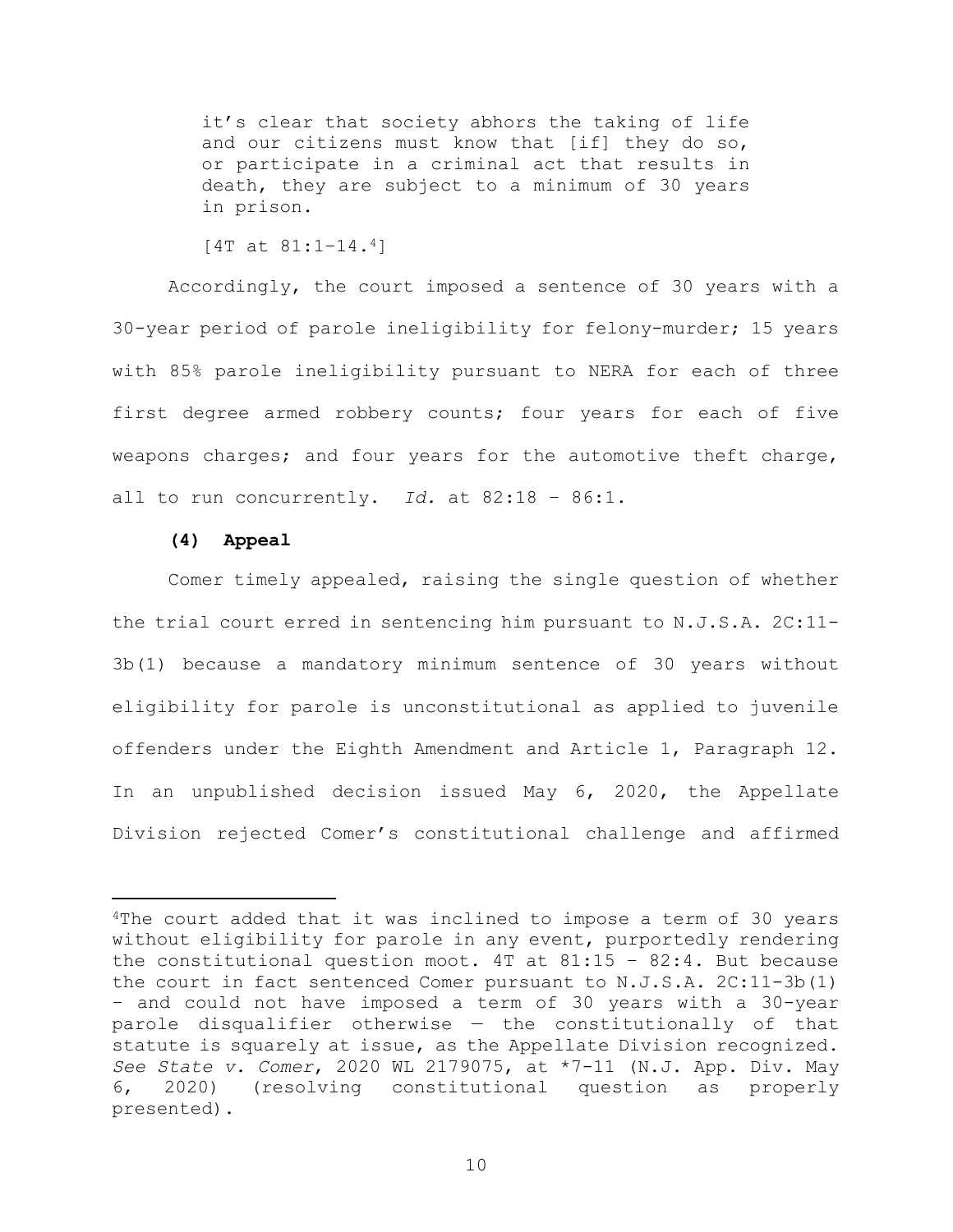it's clear that society abhors the taking of life and our citizens must know that [if] they do so, or participate in a criminal act that results in death, they are subject to a minimum of 30 years in prison.

```
[4T at 81:1–14.4]
```
Accordingly, the court imposed a sentence of 30 years with a 30-year period of parole ineligibility for felony-murder; 15 years with 85% parole ineligibility pursuant to NERA for each of three first degree armed robbery counts; four years for each of five weapons charges; and four years for the automotive theft charge, all to run concurrently. Id. at  $82:18 - 86:1$ .

## (4) Appeal

Comer timely appealed, raising the single question of whether the trial court erred in sentencing him pursuant to N.J.S.A. 2C:11- 3b(1) because a mandatory minimum sentence of 30 years without eligibility for parole is unconstitutional as applied to juvenile offenders under the Eighth Amendment and Article 1, Paragraph 12. In an unpublished decision issued May 6, 2020, the Appellate Division rejected Comer's constitutional challenge and affirmed

<sup>&</sup>lt;sup>4</sup>The court added that it was inclined to impose a term of 30 years without eligibility for parole in any event, purportedly rendering the constitutional question moot.  $4T$  at  $81:15 - 82:4$ . But because the court in fact sentenced Comer pursuant to N.J.S.A. 2C:11-3b(1) – and could not have imposed a term of 30 years with a 30-year parole disqualifier otherwise — the constitutionally of that statute is squarely at issue, as the Appellate Division recognized. See State v. Comer, 2020 WL 2179075, at \*7-11 (N.J. App. Div. May 6, 2020) (resolving constitutional question as properly presented).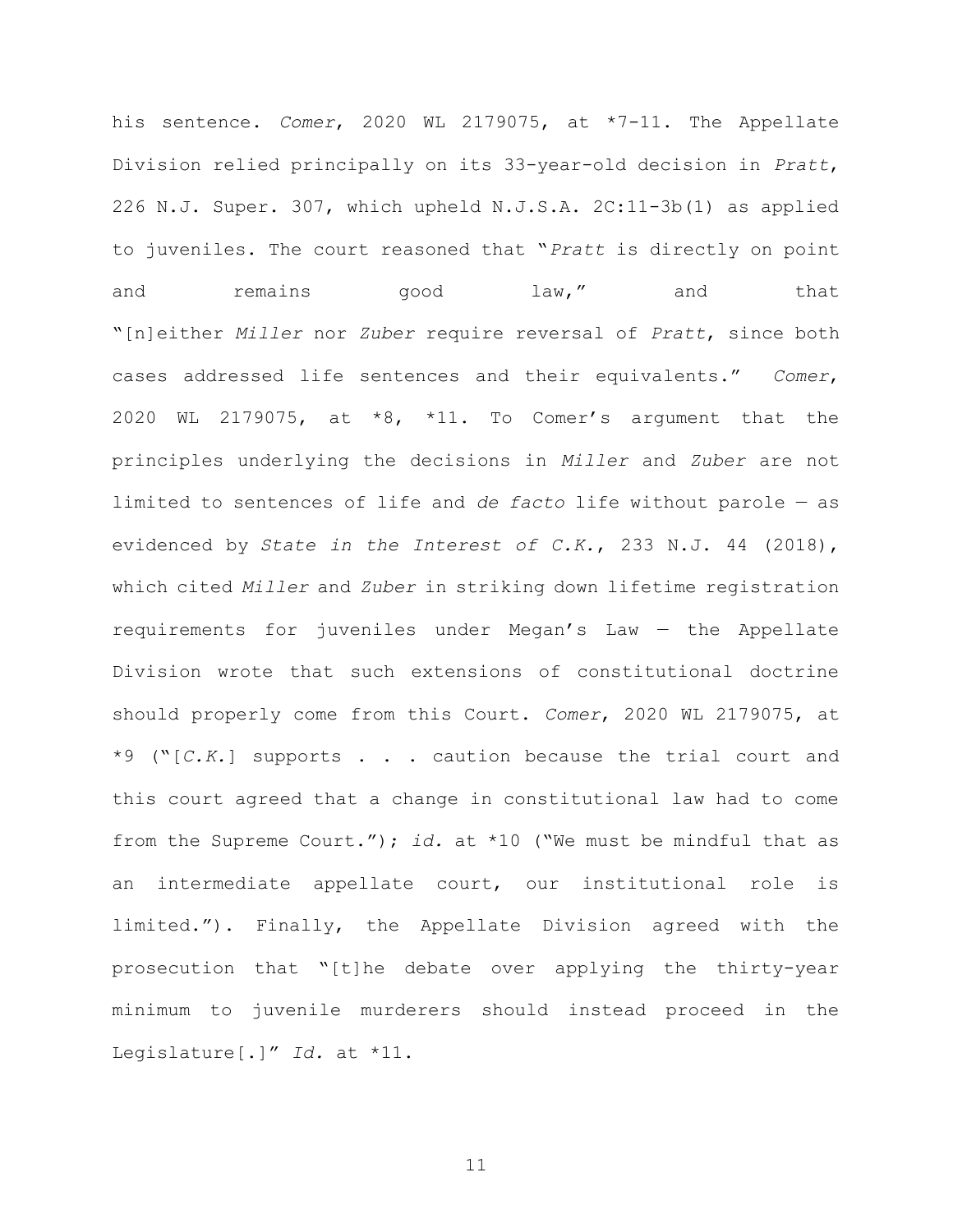his sentence. Comer, 2020 WL 2179075, at \*7-11. The Appellate Division relied principally on its 33-year-old decision in Pratt, 226 N.J. Super. 307, which upheld N.J.S.A. 2C:11-3b(1) as applied to juveniles. The court reasoned that "Pratt is directly on point and remains good law," and that "[n]either Miller nor Zuber require reversal of Pratt, since both cases addressed life sentences and their equivalents." Comer, 2020 WL 2179075, at  $*8$ ,  $*11$ . To Comer's argument that the principles underlying the decisions in Miller and Zuber are not limited to sentences of life and de facto life without parole — as evidenced by State in the Interest of C.K., 233 N.J. 44 (2018), which cited Miller and Zuber in striking down lifetime registration requirements for juveniles under Megan's Law — the Appellate Division wrote that such extensions of constitutional doctrine should properly come from this Court. Comer, 2020 WL 2179075, at  $*9$  ("[C.K.] supports . . . caution because the trial court and this court agreed that a change in constitutional law had to come from the Supreme Court."); id. at  $*10$  ("We must be mindful that as an intermediate appellate court, our institutional role is limited."). Finally, the Appellate Division agreed with the prosecution that "[t]he debate over applying the thirty-year minimum to juvenile murderers should instead proceed in the Legislature[.]" Id. at \*11.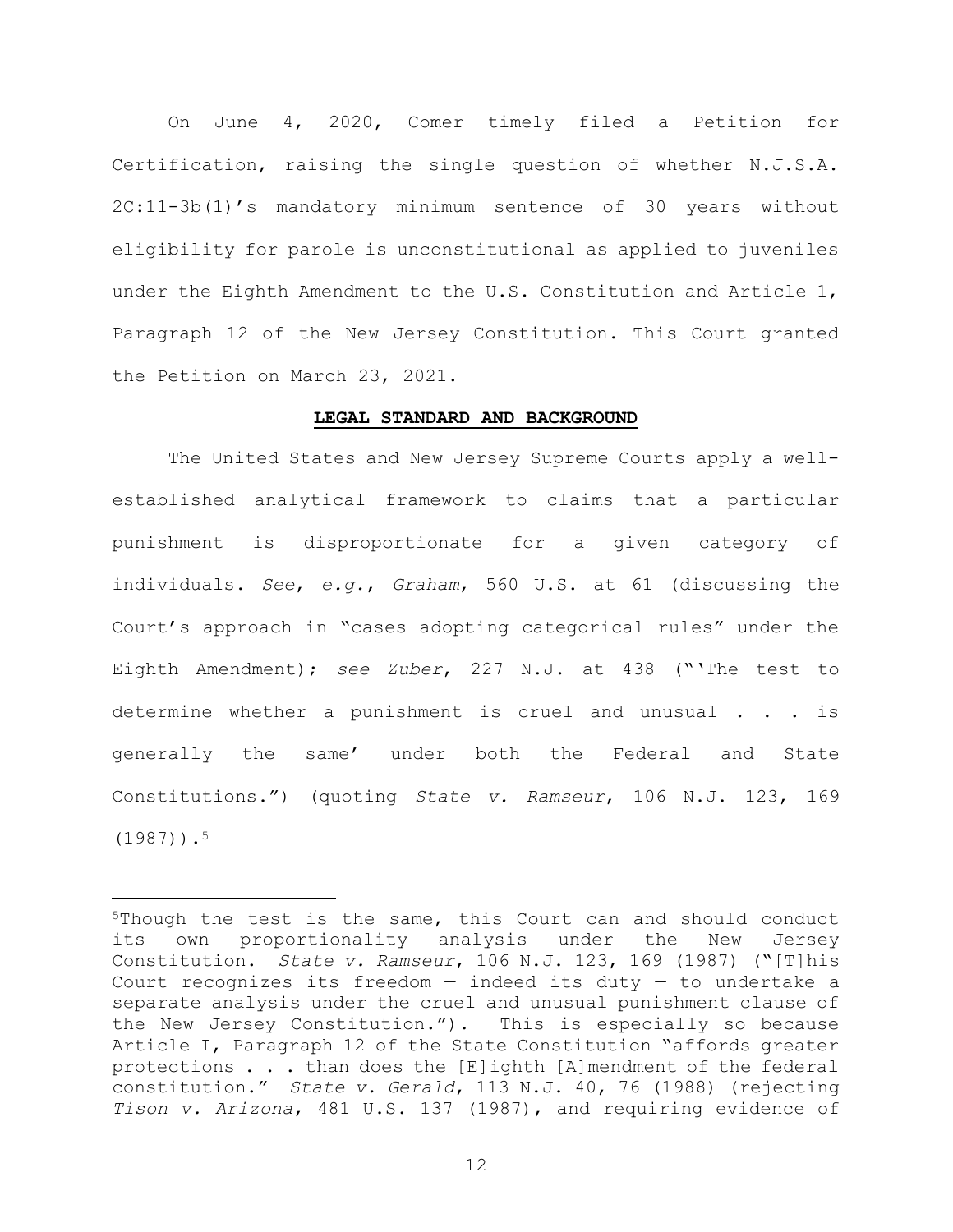On June 4, 2020, Comer timely filed a Petition for Certification, raising the single question of whether N.J.S.A. 2C:11-3b(1)'s mandatory minimum sentence of 30 years without eligibility for parole is unconstitutional as applied to juveniles under the Eighth Amendment to the U.S. Constitution and Article 1, Paragraph 12 of the New Jersey Constitution. This Court granted the Petition on March 23, 2021.

#### LEGAL STANDARD AND BACKGROUND

The United States and New Jersey Supreme Courts apply a wellestablished analytical framework to claims that a particular punishment is disproportionate for a given category of individuals. See, e.g., Graham, 560 U.S. at 61 (discussing the Court's approach in "cases adopting categorical rules" under the Eighth Amendment); see Zuber, 227 N.J. at 438 ("'The test to determine whether a punishment is cruel and unusual . . . is generally the same' under both the Federal and State Constitutions.") (quoting State v. Ramseur, 106 N.J. 123, 169  $(1987)$ ).<sup>5</sup>

<sup>5</sup>Though the test is the same, this Court can and should conduct its own proportionality analysis under the New Jersey Constitution. State v. Ramseur, 106 N.J. 123, 169 (1987) ("[T]his Court recognizes its freedom  $-$  indeed its duty  $-$  to undertake a separate analysis under the cruel and unusual punishment clause of the New Jersey Constitution."). This is especially so because Article I, Paragraph 12 of the State Constitution "affords greater protections . . . than does the [E]ighth [A]mendment of the federal constitution." State v. Gerald, 113 N.J. 40, 76 (1988) (rejecting Tison v. Arizona, 481 U.S. 137 (1987), and requiring evidence of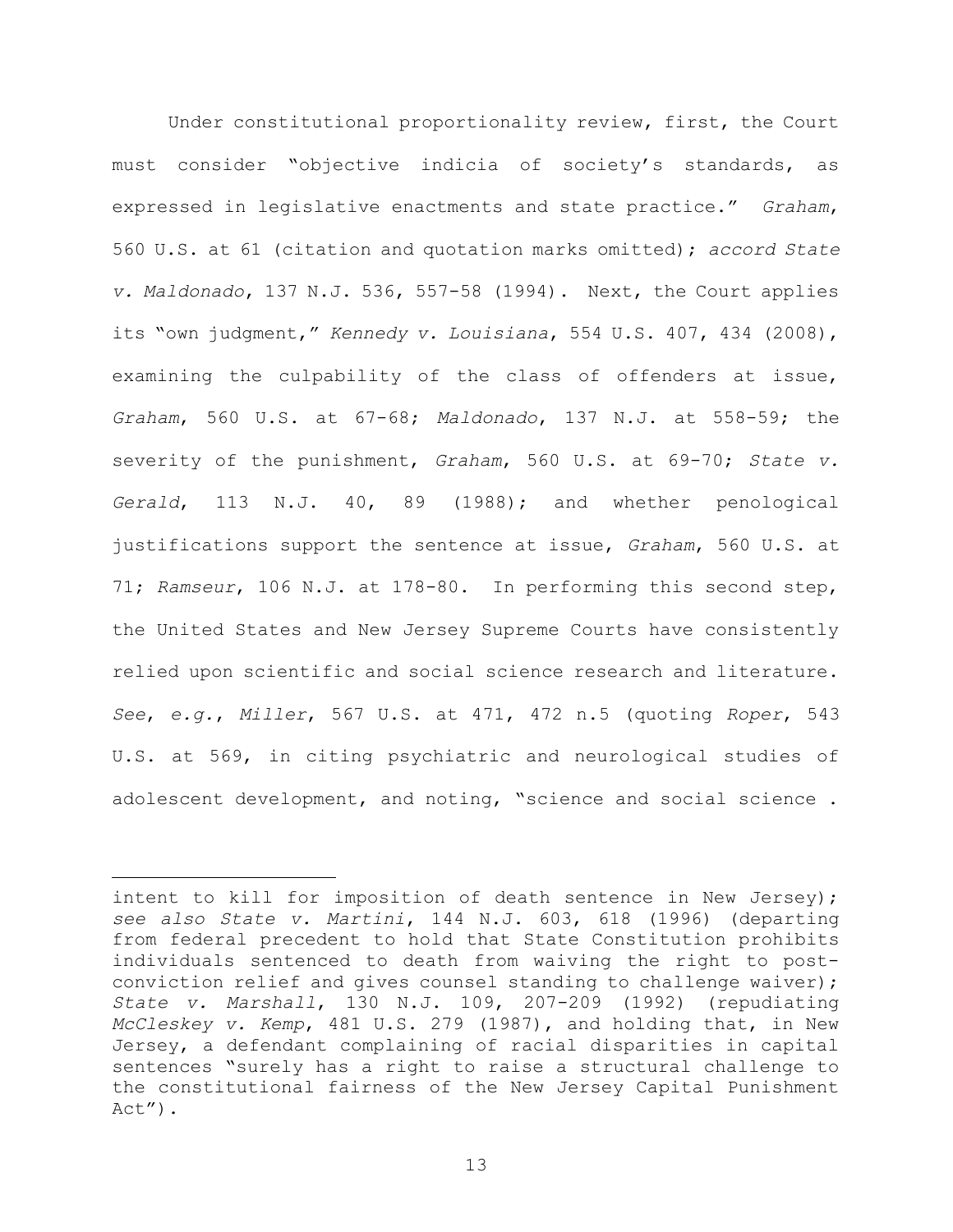Under constitutional proportionality review, first, the Court must consider "objective indicia of society's standards, as expressed in legislative enactments and state practice." Graham, 560 U.S. at 61 (citation and quotation marks omitted); accord State v. Maldonado, 137 N.J. 536, 557-58 (1994). Next, the Court applies its "own judgment," Kennedy v. Louisiana, 554 U.S. 407, 434 (2008), examining the culpability of the class of offenders at issue, Graham, 560 U.S. at 67-68; Maldonado, 137 N.J. at 558-59; the severity of the punishment, Graham, 560 U.S. at 69-70; State v. Gerald, 113 N.J. 40, 89 (1988); and whether penological justifications support the sentence at issue, Graham, 560 U.S. at 71; Ramseur, 106 N.J. at 178-80. In performing this second step, the United States and New Jersey Supreme Courts have consistently relied upon scientific and social science research and literature. See, e.g., Miller, 567 U.S. at  $471$ ,  $472$  n.5 (quoting Roper, 543 U.S. at 569, in citing psychiatric and neurological studies of adolescent development, and noting, "science and social science .

intent to kill for imposition of death sentence in New Jersey); see also State v. Martini, 144 N.J. 603, 618 (1996) (departing from federal precedent to hold that State Constitution prohibits individuals sentenced to death from waiving the right to postconviction relief and gives counsel standing to challenge waiver); State v. Marshall, 130 N.J. 109, 207-209 (1992) (repudiating McCleskey v. Kemp, 481 U.S. 279 (1987), and holding that, in New Jersey, a defendant complaining of racial disparities in capital sentences "surely has a right to raise a structural challenge to the constitutional fairness of the New Jersey Capital Punishment Act").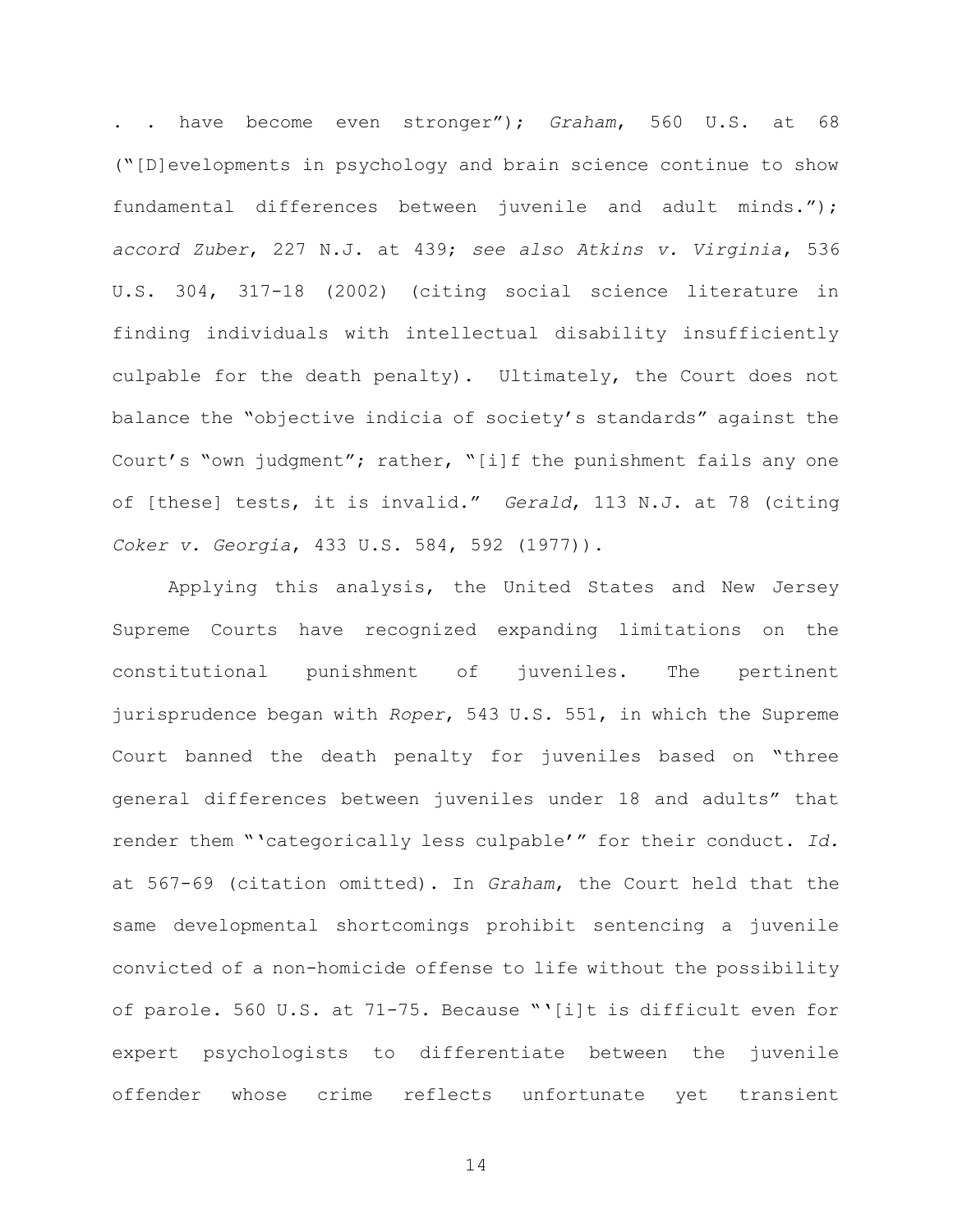. . have become even stronger"); Graham, 560 U.S. at 68 ("[D]evelopments in psychology and brain science continue to show fundamental differences between juvenile and adult minds."); accord Zuber, 227 N.J. at 439; see also Atkins v. Virginia, 536 U.S. 304, 317-18 (2002) (citing social science literature in finding individuals with intellectual disability insufficiently culpable for the death penalty). Ultimately, the Court does not balance the "objective indicia of society's standards" against the Court's "own judgment"; rather, "[i]f the punishment fails any one of [these] tests, it is invalid." Gerald, 113 N.J. at 78 (citing Coker v. Georgia, 433 U.S. 584, 592 (1977)).

Applying this analysis, the United States and New Jersey Supreme Courts have recognized expanding limitations on the constitutional punishment of juveniles. The pertinent jurisprudence began with Roper, 543 U.S. 551, in which the Supreme Court banned the death penalty for juveniles based on "three general differences between juveniles under 18 and adults" that render them "'categorically less culpable'" for their conduct. Id. at 567-69 (citation omitted). In Graham, the Court held that the same developmental shortcomings prohibit sentencing a juvenile convicted of a non-homicide offense to life without the possibility of parole. 560 U.S. at 71-75. Because "'[i]t is difficult even for expert psychologists to differentiate between the juvenile offender whose crime reflects unfortunate yet transient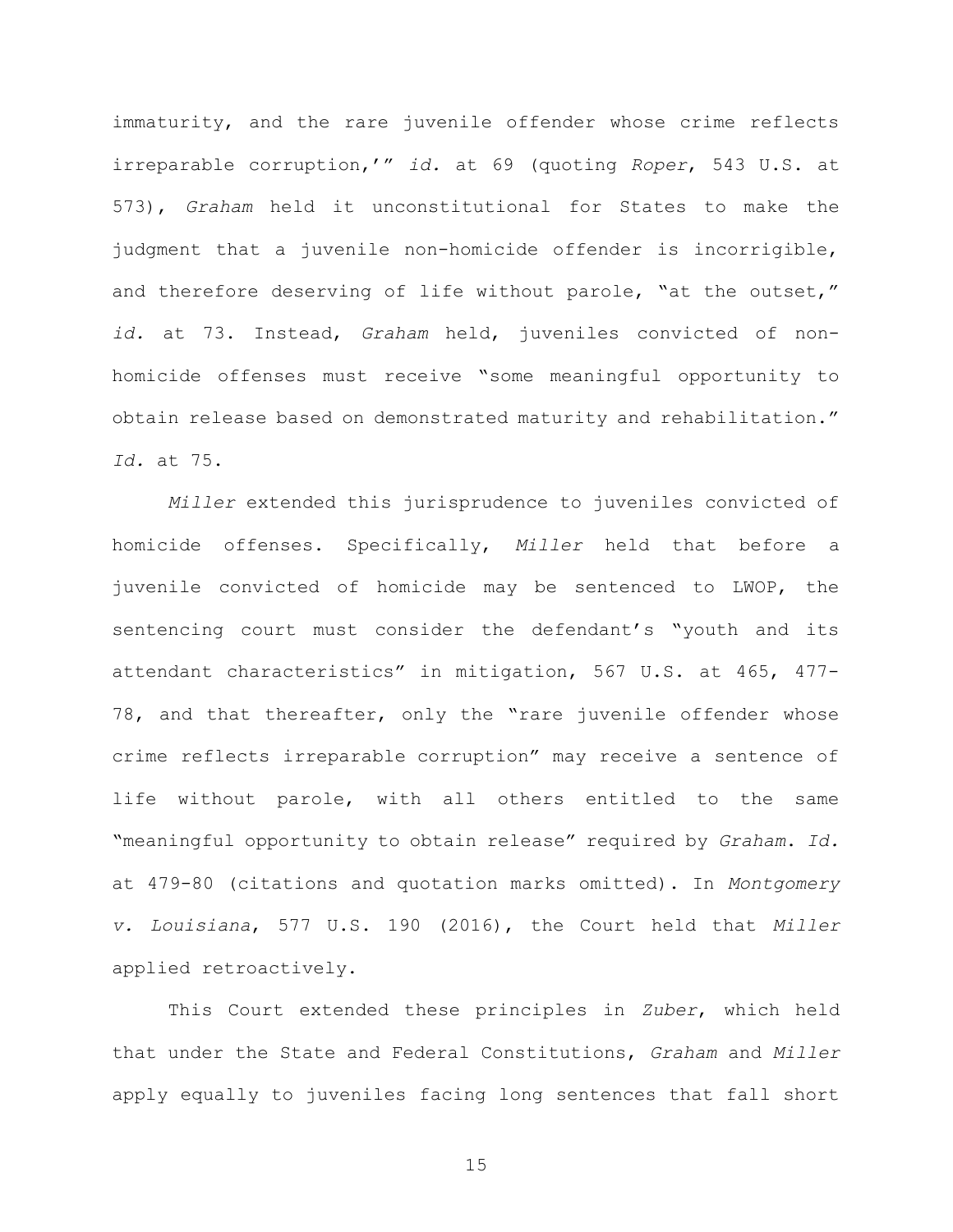immaturity, and the rare juvenile offender whose crime reflects irreparable corruption,'" id. at 69 (quoting Roper, 543 U.S. at 573), Graham held it unconstitutional for States to make the judgment that a juvenile non-homicide offender is incorrigible, and therefore deserving of life without parole, "at the outset," id. at 73. Instead, Graham held, juveniles convicted of nonhomicide offenses must receive "some meaningful opportunity to obtain release based on demonstrated maturity and rehabilitation." Id. at 75.

Miller extended this jurisprudence to juveniles convicted of homicide offenses. Specifically, Miller held that before a juvenile convicted of homicide may be sentenced to LWOP, the sentencing court must consider the defendant's "youth and its attendant characteristics" in mitigation, 567 U.S. at 465, 477- 78, and that thereafter, only the "rare juvenile offender whose crime reflects irreparable corruption" may receive a sentence of life without parole, with all others entitled to the same "meaningful opportunity to obtain release" required by Graham. Id. at 479-80 (citations and quotation marks omitted). In Montgomery v. Louisiana, 577 U.S. 190 (2016), the Court held that Miller applied retroactively.

This Court extended these principles in Zuber, which held that under the State and Federal Constitutions, Graham and Miller apply equally to juveniles facing long sentences that fall short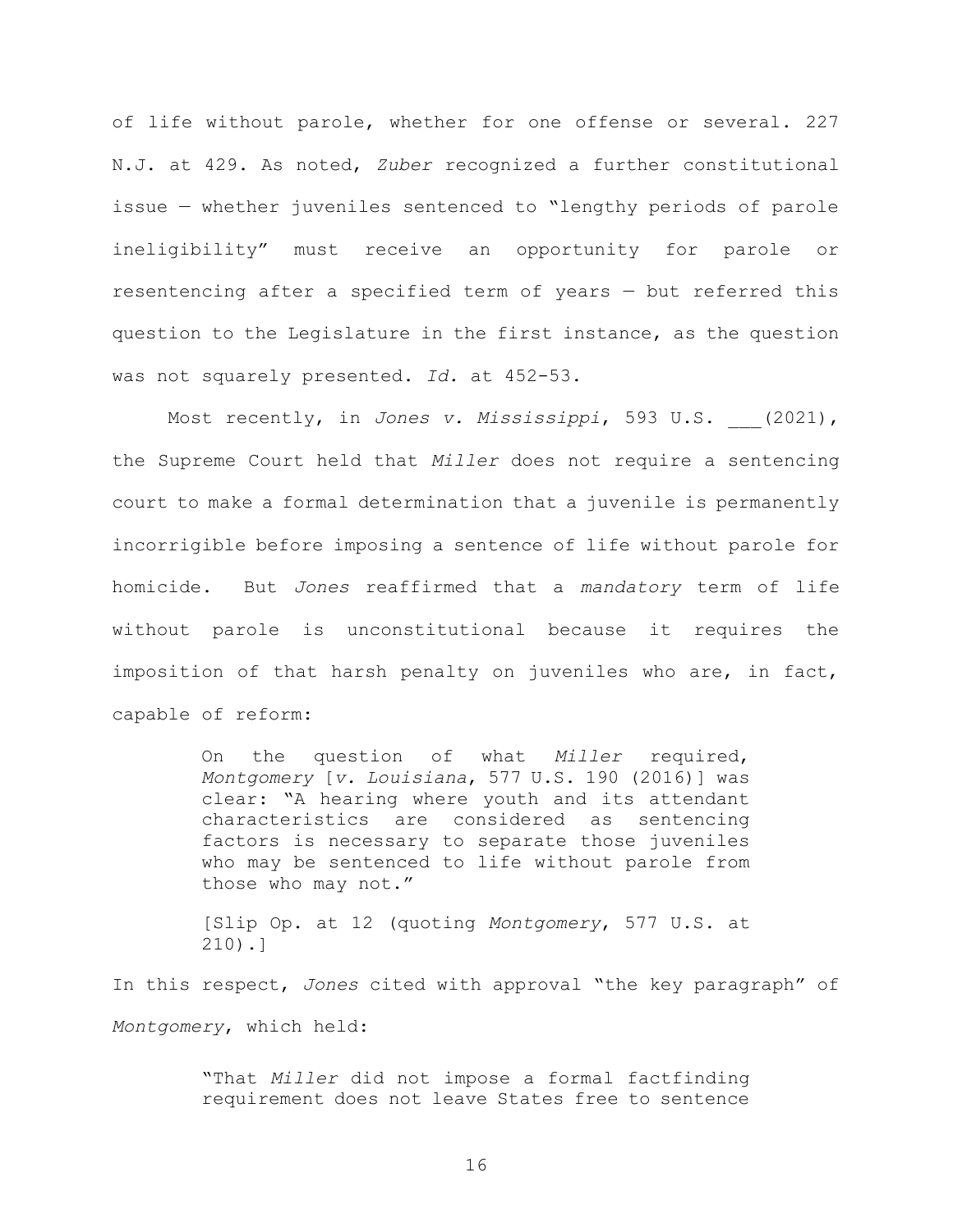of life without parole, whether for one offense or several. 227 N.J. at 429. As noted, Zuber recognized a further constitutional issue — whether juveniles sentenced to "lengthy periods of parole ineligibility" must receive an opportunity for parole or resentencing after a specified term of years — but referred this question to the Legislature in the first instance, as the question was not squarely presented. Id. at 452-53.

Most recently, in Jones v. Mississippi, 593 U.S. (2021), the Supreme Court held that Miller does not require a sentencing court to make a formal determination that a juvenile is permanently incorrigible before imposing a sentence of life without parole for homicide. But Jones reaffirmed that a mandatory term of life without parole is unconstitutional because it requires the imposition of that harsh penalty on juveniles who are, in fact, capable of reform:

> On the question of what Miller required, Montgomery [v. Louisiana, 577 U.S. 190 (2016)] was clear: "A hearing where youth and its attendant characteristics are considered as sentencing factors is necessary to separate those juveniles who may be sentenced to life without parole from those who may not."

> [Slip Op. at 12 (quoting Montgomery, 577 U.S. at 210).]

In this respect, Jones cited with approval "the key paragraph" of Montgomery, which held:

> "That Miller did not impose a formal factfinding requirement does not leave States free to sentence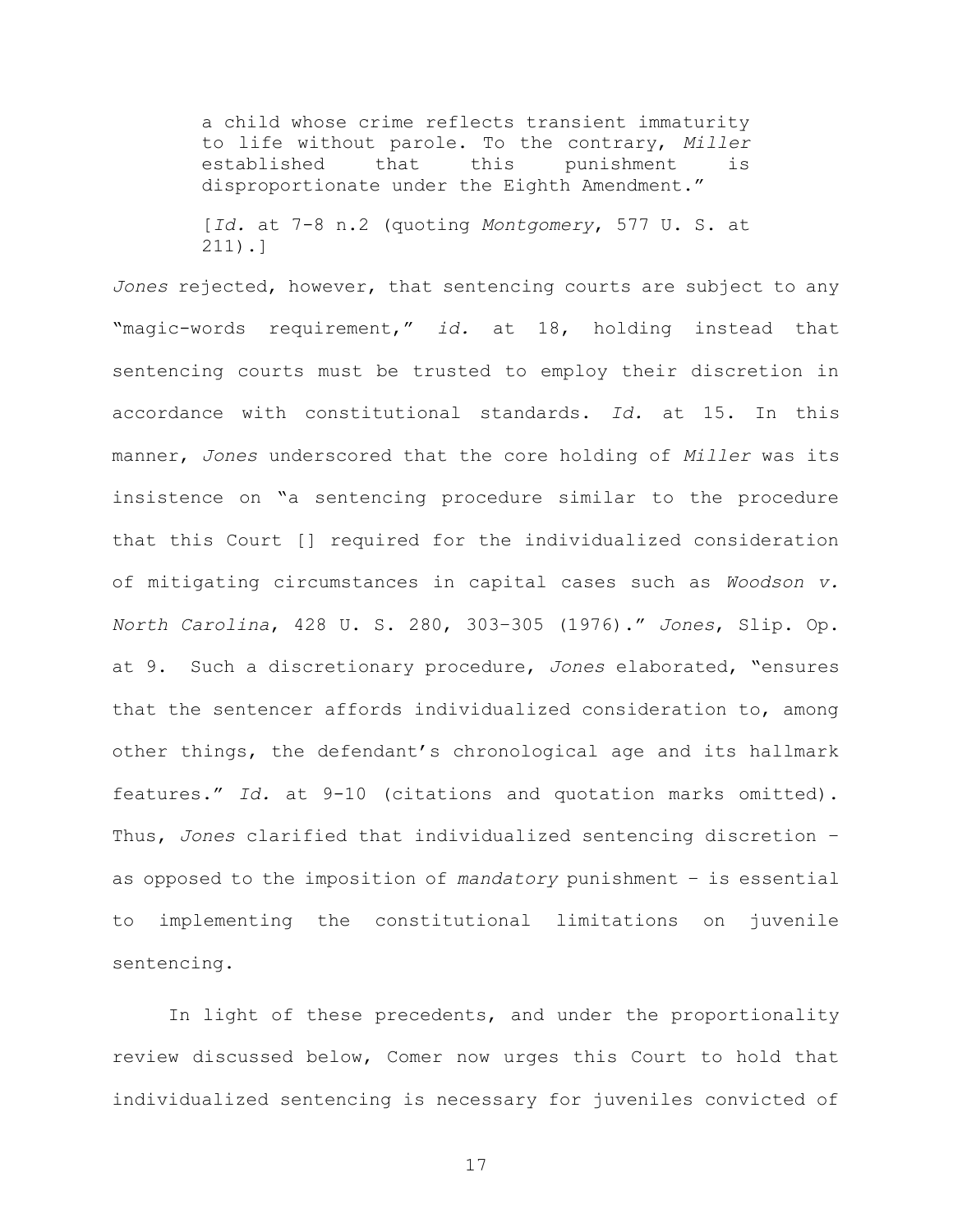a child whose crime reflects transient immaturity to life without parole. To the contrary, Miller established that this punishment is disproportionate under the Eighth Amendment."

[Id. at 7-8 n.2 (quoting Montgomery, 577 U. S. at 211).]

Jones rejected, however, that sentencing courts are subject to any "magic-words requirement," id. at 18, holding instead that sentencing courts must be trusted to employ their discretion in accordance with constitutional standards. Id. at 15. In this manner, Jones underscored that the core holding of Miller was its insistence on "a sentencing procedure similar to the procedure that this Court [] required for the individualized consideration of mitigating circumstances in capital cases such as Woodson v. North Carolina, 428 U. S. 280, 303–305 (1976)." Jones, Slip. Op. at 9. Such a discretionary procedure, Jones elaborated, "ensures that the sentencer affords individualized consideration to, among other things, the defendant's chronological age and its hallmark features." Id. at 9-10 (citations and quotation marks omitted). Thus, Jones clarified that individualized sentencing discretion – as opposed to the imposition of mandatory punishment – is essential to implementing the constitutional limitations on juvenile sentencing.

In light of these precedents, and under the proportionality review discussed below, Comer now urges this Court to hold that individualized sentencing is necessary for juveniles convicted of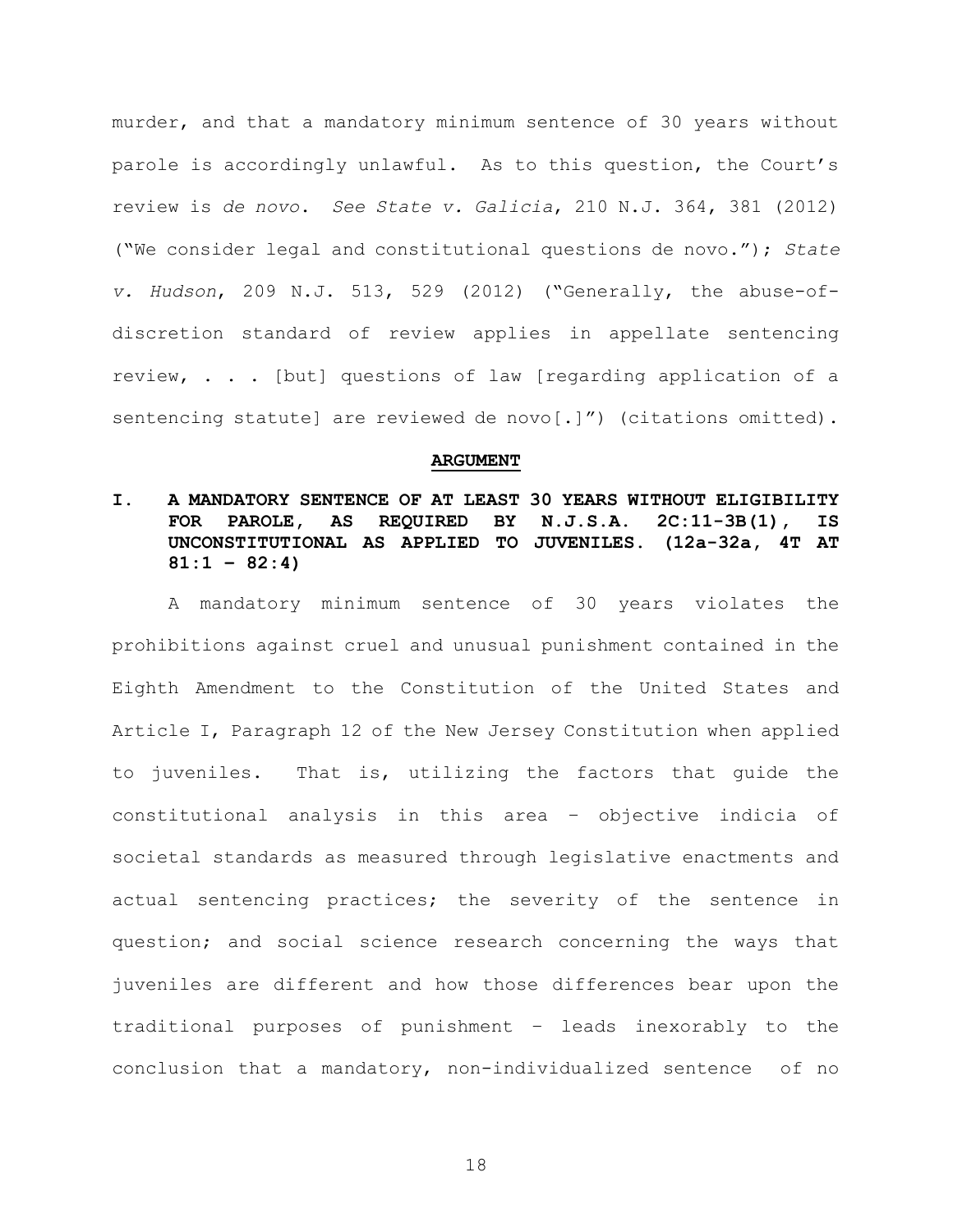murder, and that a mandatory minimum sentence of 30 years without parole is accordingly unlawful. As to this question, the Court's review is de novo. See State v. Galicia, 210 N.J. 364, 381 (2012) ("We consider legal and constitutional questions de novo."); State v. Hudson, 209 N.J. 513, 529 (2012) ("Generally, the abuse-ofdiscretion standard of review applies in appellate sentencing review, . . . [but] questions of law [regarding application of a sentencing statute] are reviewed de novo[.]") (citations omitted).

#### ARGUMENT

## I. A MANDATORY SENTENCE OF AT LEAST 30 YEARS WITHOUT ELIGIBILITY FOR PAROLE, AS REQUIRED BY N.J.S.A. 2C:11-3B(1), IS UNCONSTITUTIONAL AS APPLIED TO JUVENILES. (12a-32a, 4T AT  $81:1 - 82:4$

A mandatory minimum sentence of 30 years violates the prohibitions against cruel and unusual punishment contained in the Eighth Amendment to the Constitution of the United States and Article I, Paragraph 12 of the New Jersey Constitution when applied to juveniles. That is, utilizing the factors that guide the constitutional analysis in this area – objective indicia of societal standards as measured through legislative enactments and actual sentencing practices; the severity of the sentence in question; and social science research concerning the ways that juveniles are different and how those differences bear upon the traditional purposes of punishment – leads inexorably to the conclusion that a mandatory, non-individualized sentence of no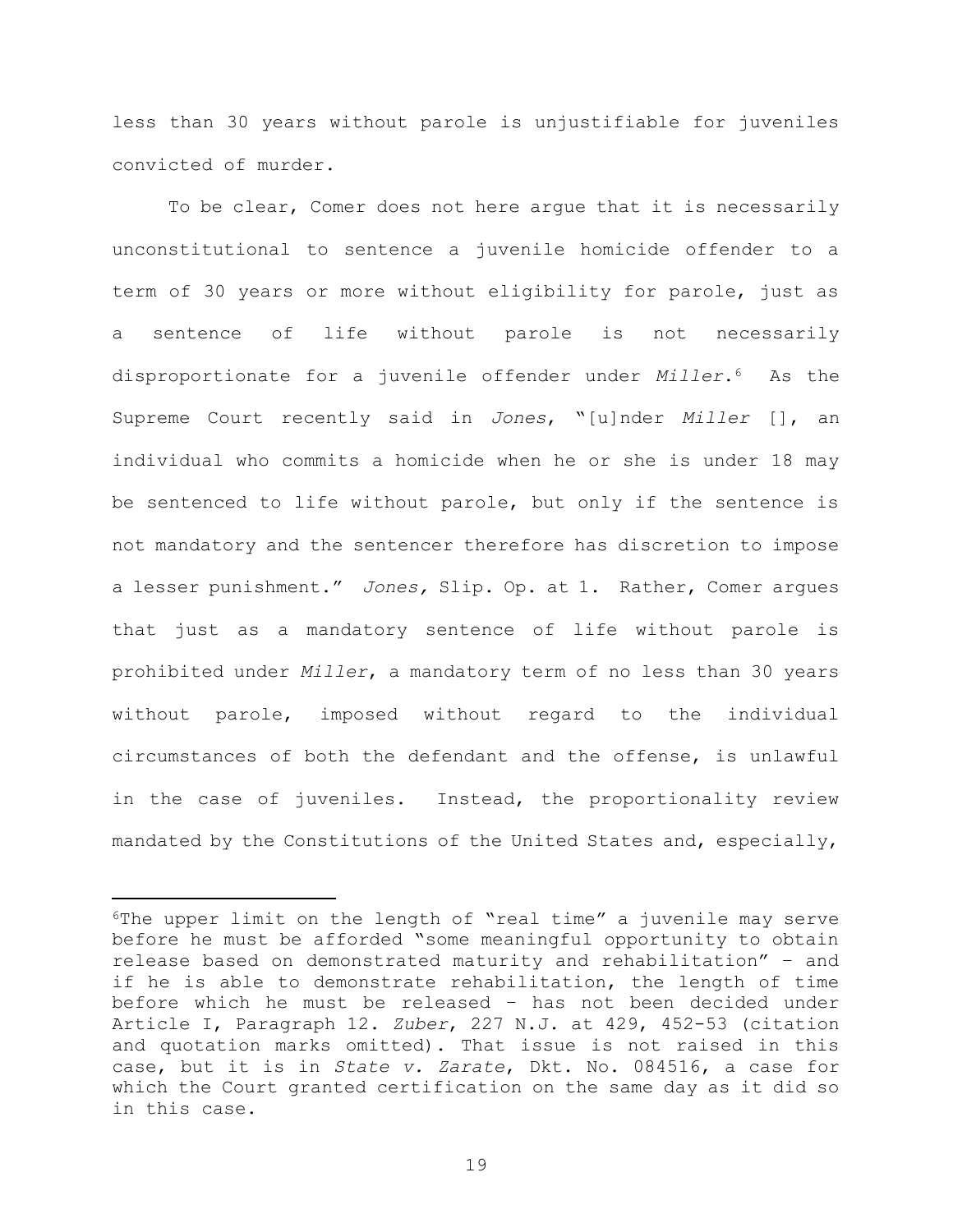less than 30 years without parole is unjustifiable for juveniles convicted of murder.

To be clear, Comer does not here argue that it is necessarily unconstitutional to sentence a juvenile homicide offender to a term of 30 years or more without eligibility for parole, just as a sentence of life without parole is not necessarily disproportionate for a juvenile offender under Miller.<sup>6</sup> As the Supreme Court recently said in Jones, "[u]nder Miller [], an individual who commits a homicide when he or she is under 18 may be sentenced to life without parole, but only if the sentence is not mandatory and the sentencer therefore has discretion to impose a lesser punishment." Jones, Slip. Op. at 1. Rather, Comer argues that just as a mandatory sentence of life without parole is prohibited under Miller, a mandatory term of no less than 30 years without parole, imposed without regard to the individual circumstances of both the defendant and the offense, is unlawful in the case of juveniles. Instead, the proportionality review mandated by the Constitutions of the United States and, especially,

<sup>6</sup>The upper limit on the length of "real time" a juvenile may serve before he must be afforded "some meaningful opportunity to obtain release based on demonstrated maturity and rehabilitation" – and if he is able to demonstrate rehabilitation, the length of time before which he must be released – has not been decided under Article I, Paragraph 12. Zuber, 227 N.J. at 429, 452-53 (citation and quotation marks omitted). That issue is not raised in this case, but it is in State v. Zarate, Dkt. No. 084516, a case for which the Court granted certification on the same day as it did so in this case.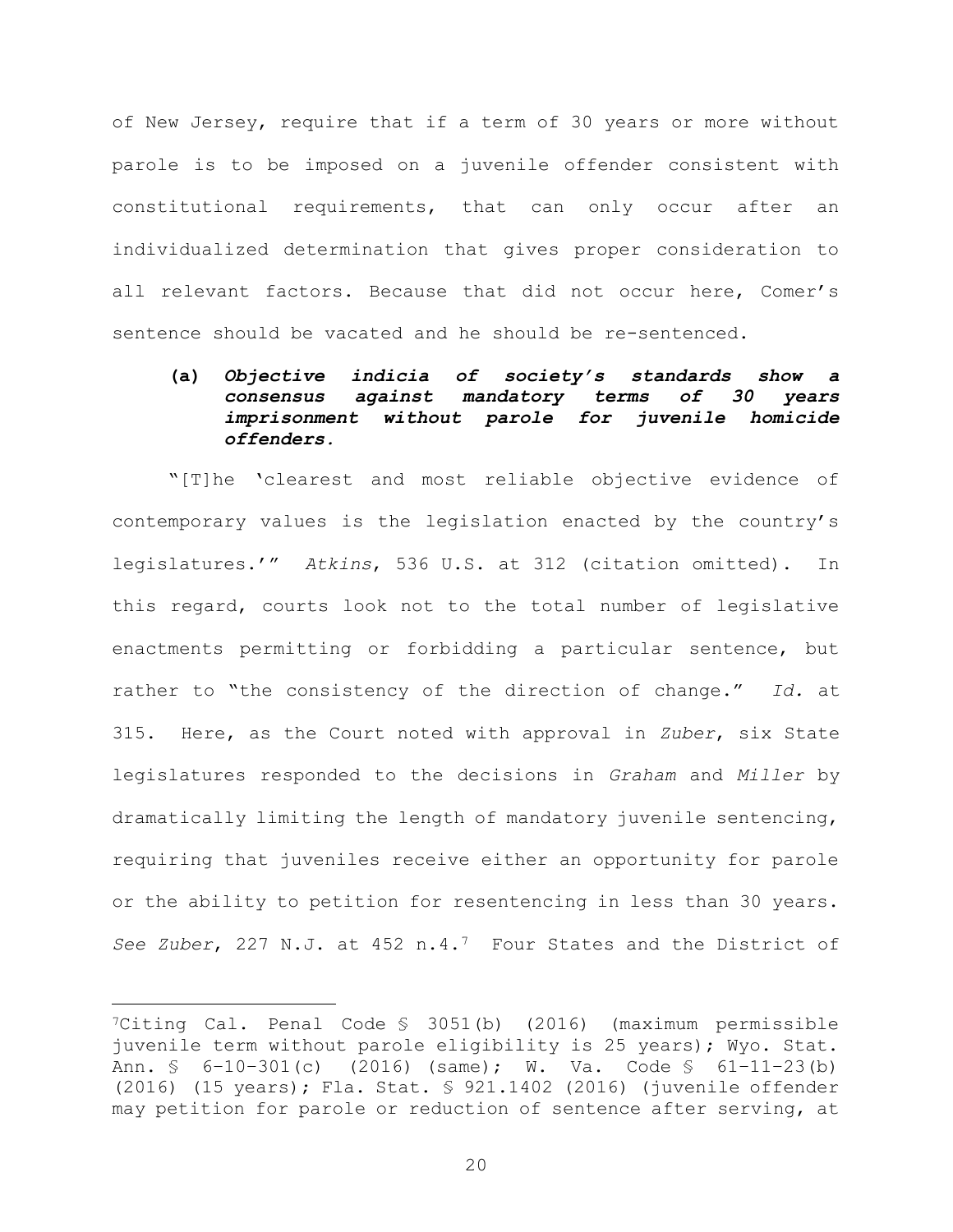of New Jersey, require that if a term of 30 years or more without parole is to be imposed on a juvenile offender consistent with constitutional requirements, that can only occur after an individualized determination that gives proper consideration to all relevant factors. Because that did not occur here, Comer's sentence should be vacated and he should be re-sentenced.

## (a) Objective indicia of society's standards show a consensus against mandatory terms of 30 years imprisonment without parole for juvenile homicide offenders.

"[T]he 'clearest and most reliable objective evidence of contemporary values is the legislation enacted by the country's legislatures.'" Atkins, 536 U.S. at 312 (citation omitted). In this regard, courts look not to the total number of legislative enactments permitting or forbidding a particular sentence, but rather to "the consistency of the direction of change." Id. at 315. Here, as the Court noted with approval in Zuber, six State legislatures responded to the decisions in Graham and Miller by dramatically limiting the length of mandatory juvenile sentencing, requiring that juveniles receive either an opportunity for parole or the ability to petition for resentencing in less than 30 years. See Zuber, 227 N.J. at 452 n.4.<sup>7</sup> Four States and the District of

<sup>7</sup>Citing Cal. Penal Code § 3051(b) (2016) (maximum permissible juvenile term without parole eligibility is 25 years); Wyo. Stat. Ann. § 6–10–301(c) (2016) (same); W. Va. Code § 61–11–23(b) (2016) (15 years); Fla. Stat. § 921.1402 (2016) (juvenile offender may petition for parole or reduction of sentence after serving, at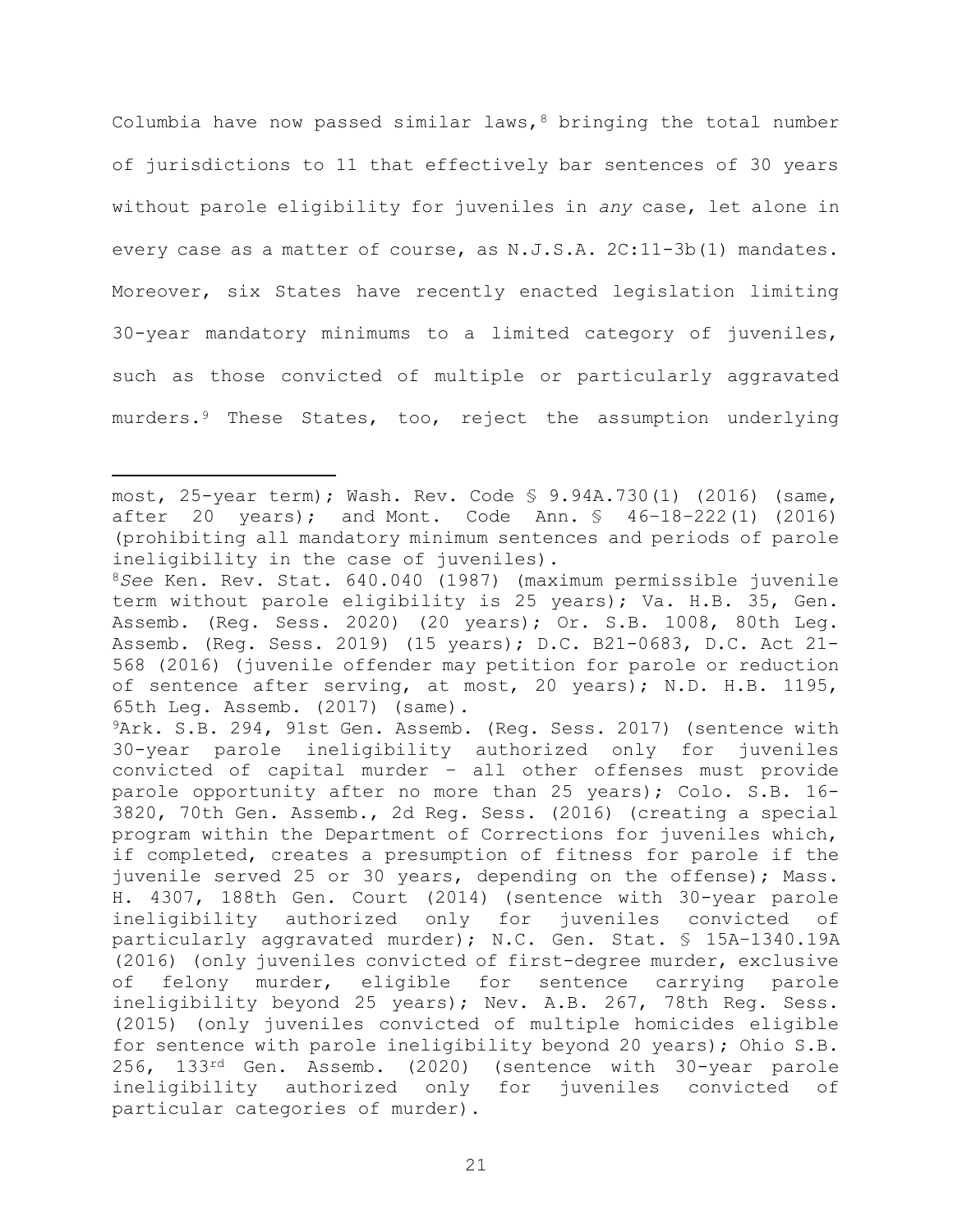Columbia have now passed similar laws,  $8$  bringing the total number of jurisdictions to 11 that effectively bar sentences of 30 years without parole eligibility for juveniles in any case, let alone in every case as a matter of course, as N.J.S.A. 2C:11-3b(1) mandates. Moreover, six States have recently enacted legislation limiting 30-year mandatory minimums to a limited category of juveniles, such as those convicted of multiple or particularly aggravated murders.<sup>9</sup> These States, too, reject the assumption underlying

most, 25-year term); Wash. Rev. Code § 9.94A.730(1) (2016) (same, after 20 years); and Mont. Code Ann. § 46–18–222(1) (2016) (prohibiting all mandatory minimum sentences and periods of parole ineligibility in the case of juveniles).

<sup>8</sup>See Ken. Rev. Stat. 640.040 (1987) (maximum permissible juvenile term without parole eligibility is 25 years); Va. H.B. 35, Gen. Assemb. (Reg. Sess. 2020) (20 years); Or. S.B. 1008, 80th Leg. Assemb. (Reg. Sess. 2019) (15 years); D.C. B21-0683, D.C. Act 21- 568 (2016) (juvenile offender may petition for parole or reduction of sentence after serving, at most, 20 years); N.D. H.B. 1195, 65th Leg. Assemb. (2017) (same).

<sup>9</sup>Ark. S.B. 294, 91st Gen. Assemb. (Reg. Sess. 2017) (sentence with 30-year parole ineligibility authorized only for juveniles convicted of capital murder – all other offenses must provide parole opportunity after no more than 25 years); Colo. S.B. 16- 3820, 70th Gen. Assemb., 2d Reg. Sess. (2016) (creating a special program within the Department of Corrections for juveniles which, if completed, creates a presumption of fitness for parole if the juvenile served 25 or 30 years, depending on the offense); Mass. H. 4307, 188th Gen. Court (2014) (sentence with 30-year parole ineligibility authorized only for juveniles convicted of particularly aggravated murder); N.C. Gen. Stat. § 15A–1340.19A (2016) (only juveniles convicted of first-degree murder, exclusive of felony murder, eligible for sentence carrying parole ineligibility beyond 25 years); Nev. A.B. 267, 78th Reg. Sess. (2015) (only juveniles convicted of multiple homicides eligible for sentence with parole ineligibility beyond 20 years); Ohio S.B. 256, 133rd Gen. Assemb. (2020) (sentence with 30-year parole ineligibility authorized only for juveniles convicted of particular categories of murder).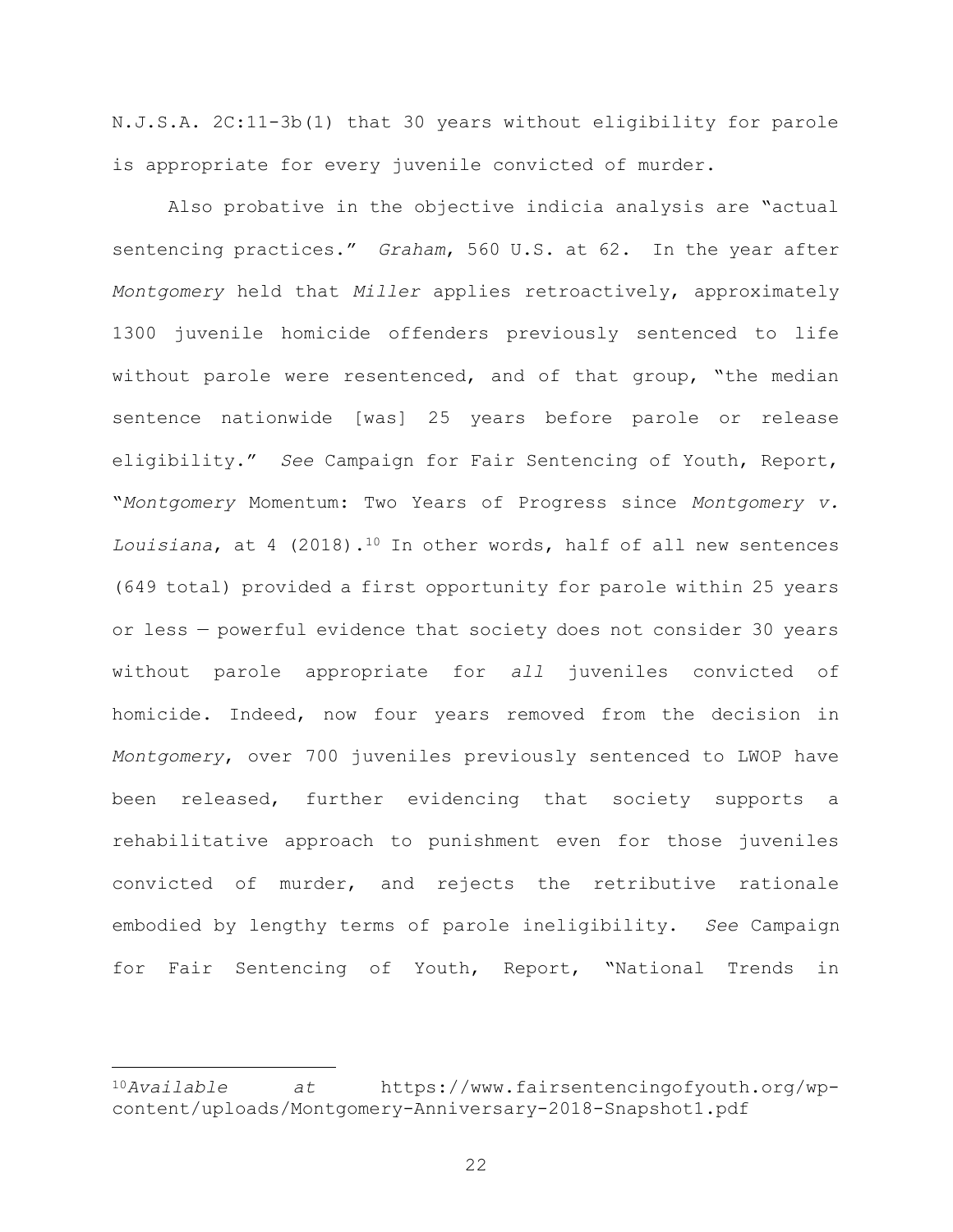N.J.S.A. 2C:11-3b(1) that 30 years without eligibility for parole is appropriate for every juvenile convicted of murder.

Also probative in the objective indicia analysis are "actual sentencing practices." Graham, 560 U.S. at 62. In the year after Montgomery held that Miller applies retroactively, approximately 1300 juvenile homicide offenders previously sentenced to life without parole were resentenced, and of that group, "the median sentence nationwide [was] 25 years before parole or release eligibility." See Campaign for Fair Sentencing of Youth, Report, "Montgomery Momentum: Two Years of Progress since Montgomery v. Louisiana, at 4 (2018).<sup>10</sup> In other words, half of all new sentences (649 total) provided a first opportunity for parole within 25 years or less — powerful evidence that society does not consider 30 years without parole appropriate for all juveniles convicted of homicide. Indeed, now four years removed from the decision in Montgomery, over 700 juveniles previously sentenced to LWOP have been released, further evidencing that society supports a rehabilitative approach to punishment even for those juveniles convicted of murder, and rejects the retributive rationale embodied by lengthy terms of parole ineligibility. See Campaign for Fair Sentencing of Youth, Report, "National Trends in

<sup>10</sup>Available at https://www.fairsentencingofyouth.org/wpcontent/uploads/Montgomery-Anniversary-2018-Snapshot1.pdf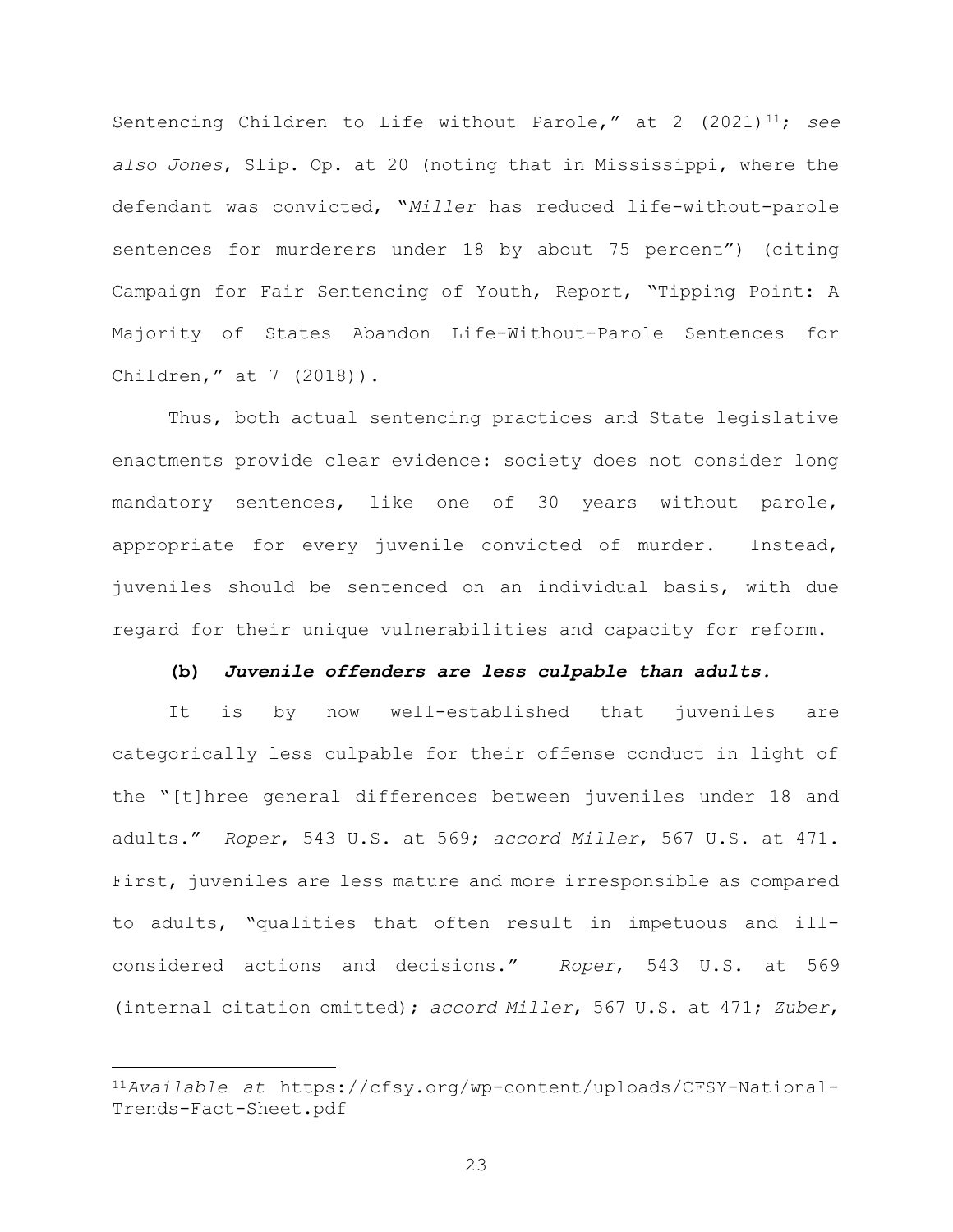Sentencing Children to Life without Parole," at 2  $(2021)^{11}$ ; see also Jones, Slip. Op. at 20 (noting that in Mississippi, where the defendant was convicted, "Miller has reduced life-without-parole sentences for murderers under 18 by about 75 percent") (citing Campaign for Fair Sentencing of Youth, Report, "Tipping Point: A Majority of States Abandon Life-Without-Parole Sentences for Children," at 7 (2018)).

Thus, both actual sentencing practices and State legislative enactments provide clear evidence: society does not consider long mandatory sentences, like one of 30 years without parole, appropriate for every juvenile convicted of murder. Instead, juveniles should be sentenced on an individual basis, with due regard for their unique vulnerabilities and capacity for reform.

### (b) Juvenile offenders are less culpable than adults.

It is by now well-established that juveniles are categorically less culpable for their offense conduct in light of the "[t]hree general differences between juveniles under 18 and adults." Roper, 543 U.S. at 569; accord Miller, 567 U.S. at 471. First, juveniles are less mature and more irresponsible as compared to adults, "qualities that often result in impetuous and illconsidered actions and decisions." Roper, 543 U.S. at 569 (internal citation omitted); accord Miller, 567 U.S. at 471; Zuber,

<sup>11</sup>Available at https://cfsy.org/wp-content/uploads/CFSY-National-Trends-Fact-Sheet.pdf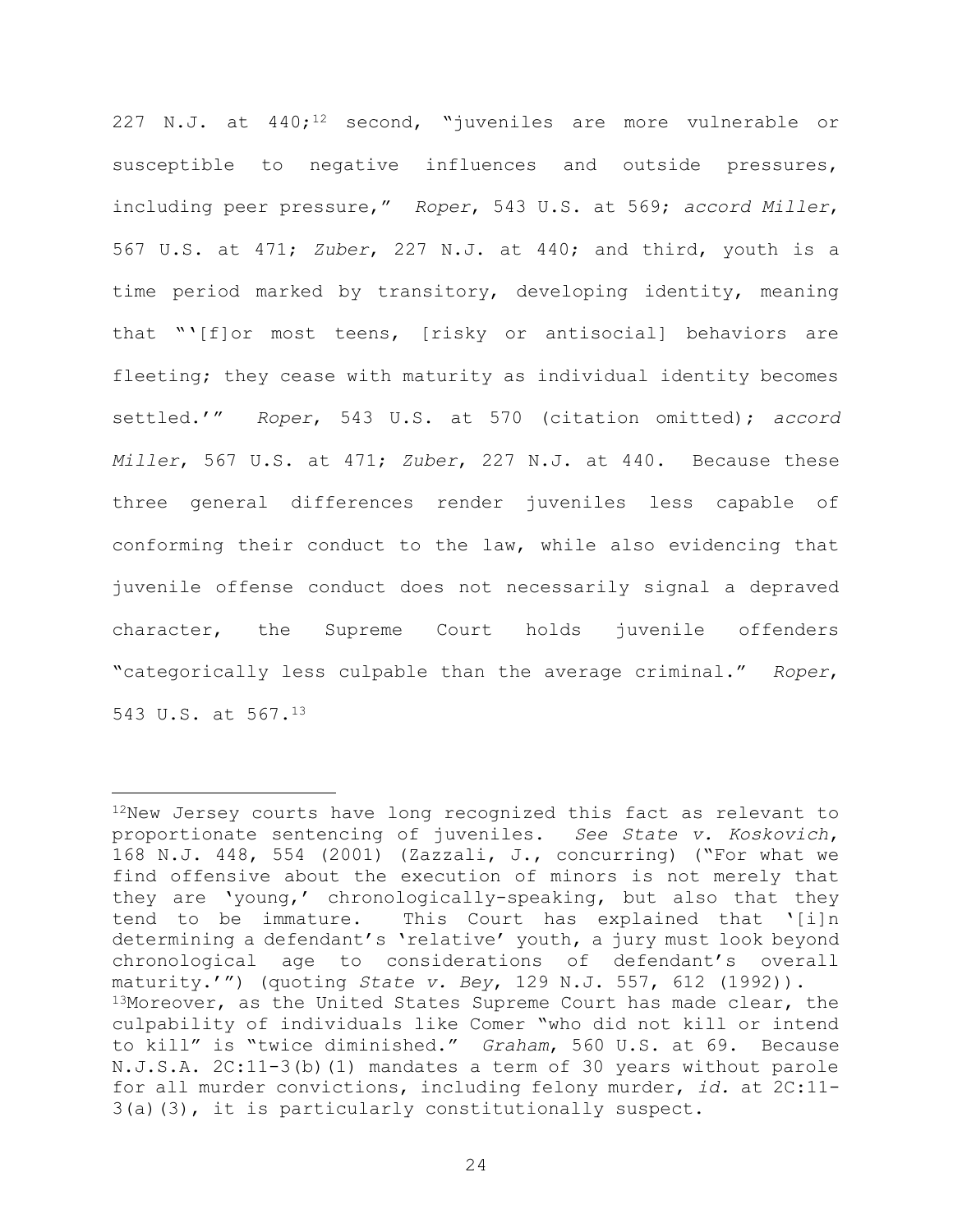227 N.J. at  $440;$ <sup>12</sup> second, "juveniles are more vulnerable or susceptible to negative influences and outside pressures, including peer pressure," Roper, 543 U.S. at 569; accord Miller, 567 U.S. at 471; Zuber, 227 N.J. at 440; and third, youth is a time period marked by transitory, developing identity, meaning that "'[f]or most teens, [risky or antisocial] behaviors are fleeting; they cease with maturity as individual identity becomes settled.'" Roper, 543 U.S. at 570 (citation omitted); accord Miller, 567 U.S. at 471; Zuber, 227 N.J. at 440. Because these three general differences render juveniles less capable of conforming their conduct to the law, while also evidencing that juvenile offense conduct does not necessarily signal a depraved character, the Supreme Court holds juvenile offenders "categorically less culpable than the average criminal." Roper, 543 U.S. at 567.<sup>13</sup>

<sup>12</sup>New Jersey courts have long recognized this fact as relevant to proportionate sentencing of juveniles. See State v. Koskovich, 168 N.J. 448, 554 (2001) (Zazzali, J., concurring) ("For what we find offensive about the execution of minors is not merely that they are 'young,' chronologically-speaking, but also that they tend to be immature. This Court has explained that '[i]n determining a defendant's 'relative' youth, a jury must look beyond chronological age to considerations of defendant's overall maturity.'") (quoting State v. Bey, 129 N.J. 557, 612  $(1992)$ ). 13Moreover, as the United States Supreme Court has made clear, the culpability of individuals like Comer "who did not kill or intend to kill" is "twice diminished." Graham, 560 U.S. at 69. Because N.J.S.A. 2C:11-3(b)(1) mandates a term of 30 years without parole for all murder convictions, including felony murder, id. at 2C:11- 3(a)(3), it is particularly constitutionally suspect.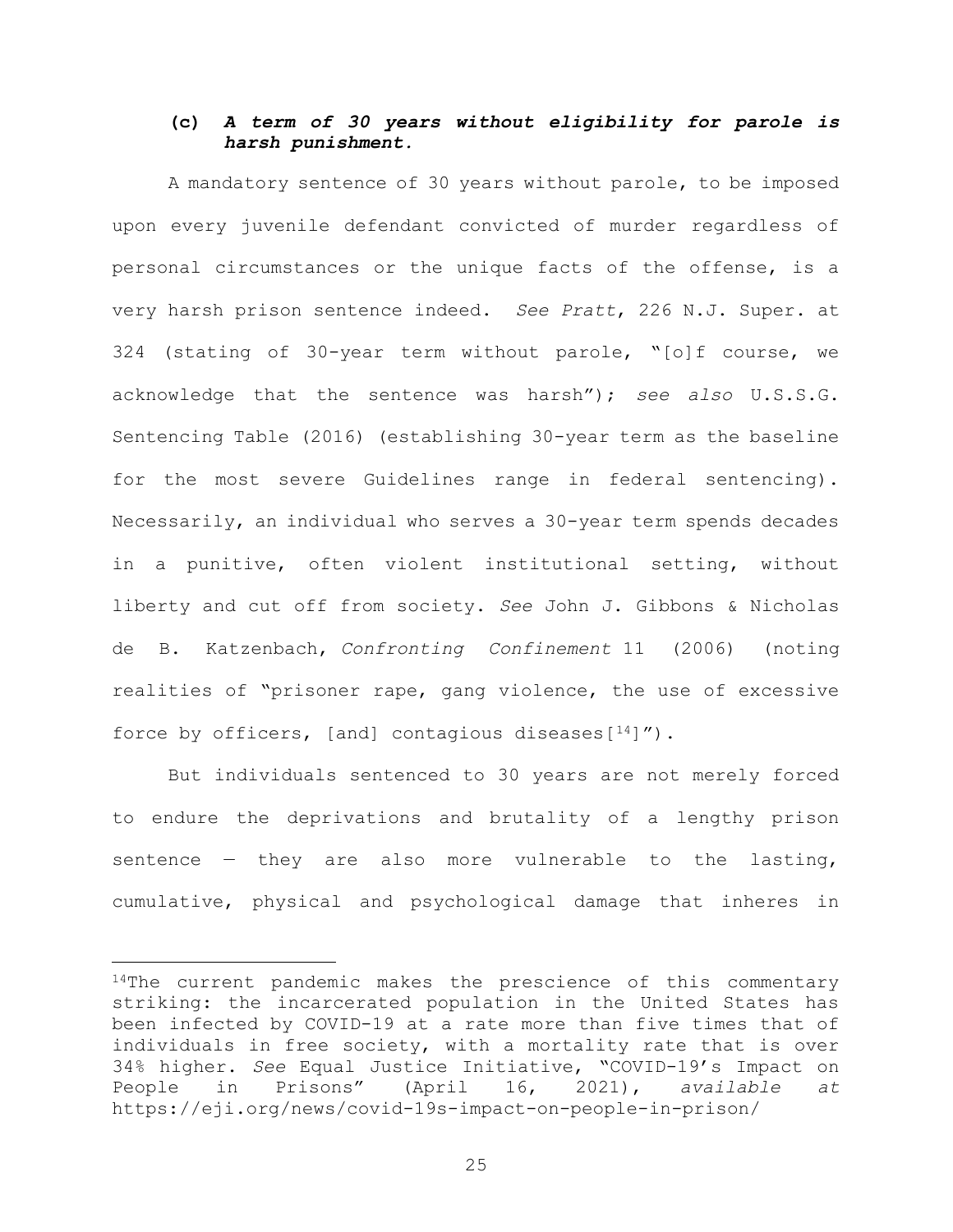## (c) A term of 30 years without eligibility for parole is harsh punishment.

A mandatory sentence of 30 years without parole, to be imposed upon every juvenile defendant convicted of murder regardless of personal circumstances or the unique facts of the offense, is a very harsh prison sentence indeed. See Pratt, 226 N.J. Super. at 324 (stating of 30-year term without parole, "[o]f course, we acknowledge that the sentence was harsh"); see also U.S.S.G. Sentencing Table (2016) (establishing 30-year term as the baseline for the most severe Guidelines range in federal sentencing). Necessarily, an individual who serves a 30-year term spends decades in a punitive, often violent institutional setting, without liberty and cut off from society. See John J. Gibbons & Nicholas de B. Katzenbach, Confronting Confinement 11 (2006) (noting realities of "prisoner rape, gang violence, the use of excessive force by officers, [and] contagious diseases[ $14$ ]").

But individuals sentenced to 30 years are not merely forced to endure the deprivations and brutality of a lengthy prison sentence  $-$  they are also more vulnerable to the lasting, cumulative, physical and psychological damage that inheres in

<sup>&</sup>lt;sup>14</sup>The current pandemic makes the prescience of this commentary striking: the incarcerated population in the United States has been infected by COVID-19 at a rate more than five times that of individuals in free society, with a mortality rate that is over 34% higher. See Equal Justice Initiative, "COVID-19's Impact on People in Prisons" (April 16, 2021), available at https://eji.org/news/covid-19s-impact-on-people-in-prison/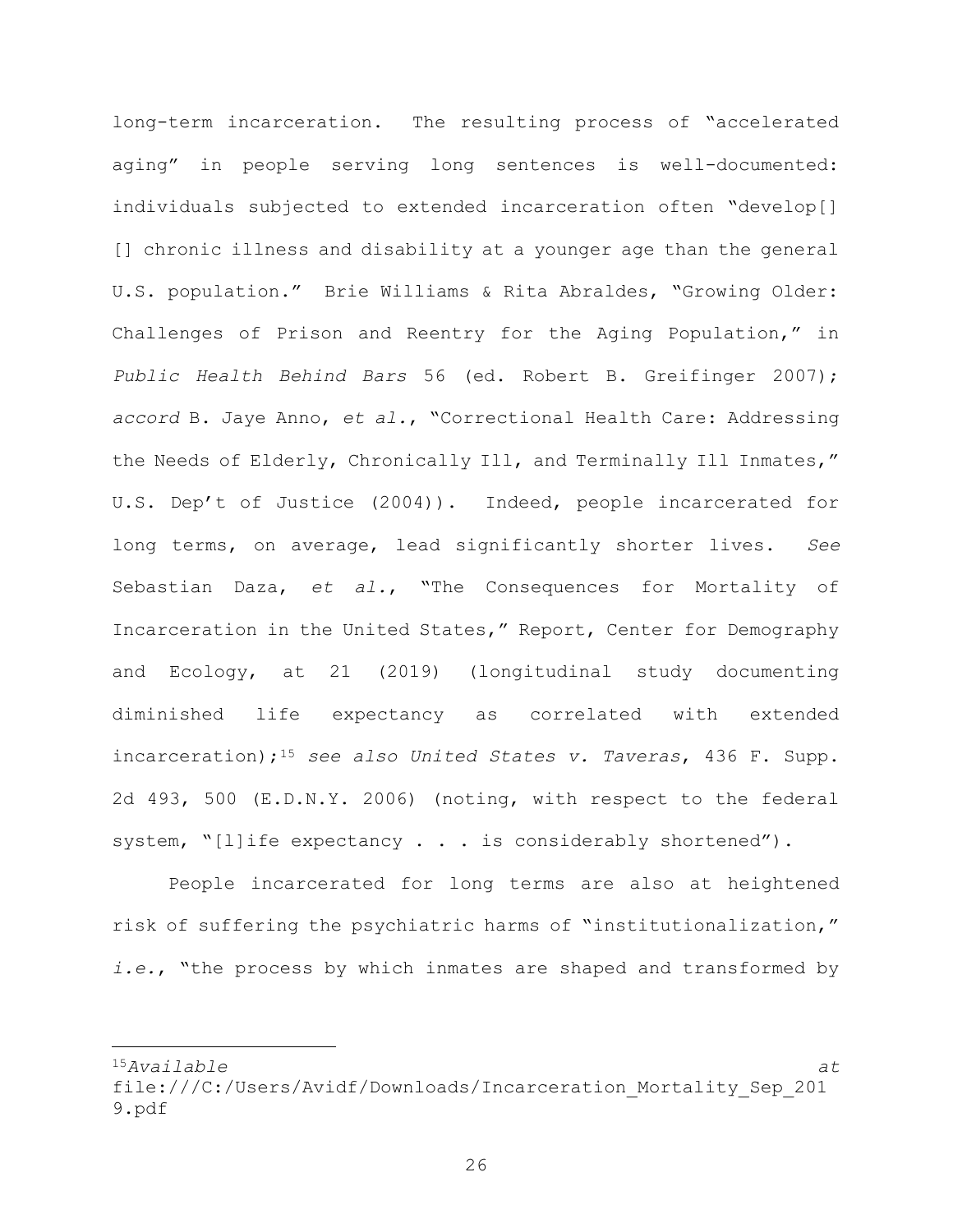long-term incarceration. The resulting process of "accelerated aging" in people serving long sentences is well-documented: individuals subjected to extended incarceration often "develop[] [] chronic illness and disability at a younger age than the general U.S. population." Brie Williams & Rita Abraldes, "Growing Older: Challenges of Prison and Reentry for the Aging Population," in Public Health Behind Bars 56 (ed. Robert B. Greifinger 2007); accord B. Jaye Anno, et al., "Correctional Health Care: Addressing the Needs of Elderly, Chronically Ill, and Terminally Ill Inmates," U.S. Dep't of Justice (2004)). Indeed, people incarcerated for long terms, on average, lead significantly shorter lives. See Sebastian Daza, et al., "The Consequences for Mortality of Incarceration in the United States," Report, Center for Demography and Ecology, at 21 (2019) (longitudinal study documenting diminished life expectancy as correlated with extended incarceration);<sup>15</sup> see also United States v. Taveras, 436 F. Supp. 2d 493, 500 (E.D.N.Y. 2006) (noting, with respect to the federal system, "[l]ife expectancy . . . is considerably shortened").

People incarcerated for long terms are also at heightened risk of suffering the psychiatric harms of "institutionalization," i.e., "the process by which inmates are shaped and transformed by

 $15A$ vailable at  $\alpha$ 

file:///C:/Users/Avidf/Downloads/Incarceration\_Mortality\_Sep\_201 9.pdf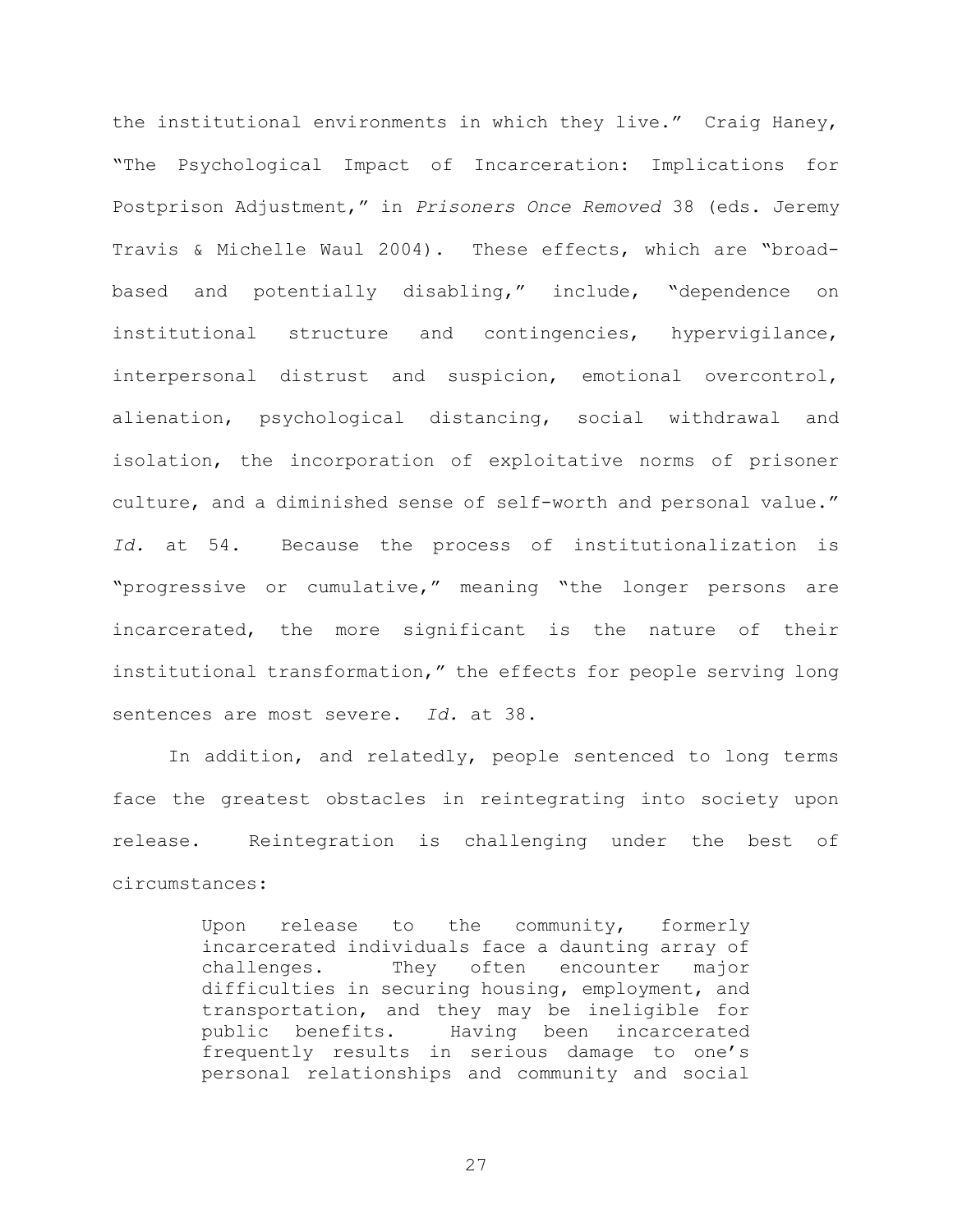the institutional environments in which they live." Craig Haney, "The Psychological Impact of Incarceration: Implications for Postprison Adjustment," in Prisoners Once Removed 38 (eds. Jeremy Travis & Michelle Waul 2004). These effects, which are "broadbased and potentially disabling," include, "dependence on institutional structure and contingencies, hypervigilance, interpersonal distrust and suspicion, emotional overcontrol, alienation, psychological distancing, social withdrawal and isolation, the incorporation of exploitative norms of prisoner culture, and a diminished sense of self-worth and personal value." Id. at 54. Because the process of institutionalization is "progressive or cumulative," meaning "the longer persons are incarcerated, the more significant is the nature of their institutional transformation," the effects for people serving long sentences are most severe. Id. at 38.

In addition, and relatedly, people sentenced to long terms face the greatest obstacles in reintegrating into society upon release. Reintegration is challenging under the best of circumstances:

> Upon release to the community, formerly incarcerated individuals face a daunting array of challenges. They often encounter major difficulties in securing housing, employment, and transportation, and they may be ineligible for public benefits. Having been incarcerated frequently results in serious damage to one's personal relationships and community and social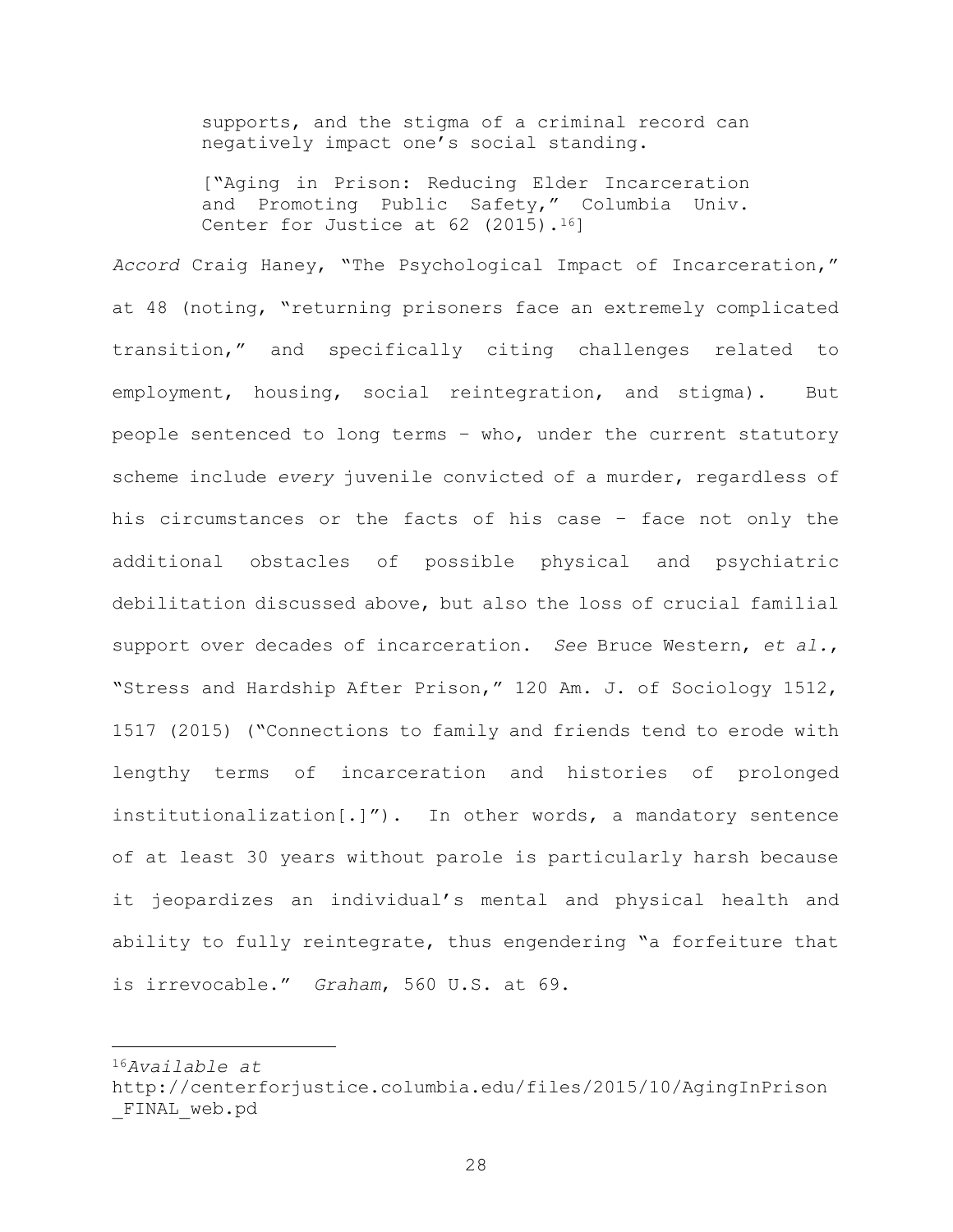supports, and the stigma of a criminal record can negatively impact one's social standing.

["Aging in Prison: Reducing Elder Incarceration and Promoting Public Safety," Columbia Univ. Center for Justice at  $62$  (2015).<sup>16</sup>]

Accord Craig Haney, "The Psychological Impact of Incarceration," at 48 (noting, "returning prisoners face an extremely complicated transition," and specifically citing challenges related to employment, housing, social reintegration, and stigma). But people sentenced to long terms – who, under the current statutory scheme include every juvenile convicted of a murder, regardless of his circumstances or the facts of his case – face not only the additional obstacles of possible physical and psychiatric debilitation discussed above, but also the loss of crucial familial support over decades of incarceration. See Bruce Western, et al., "Stress and Hardship After Prison," 120 Am. J. of Sociology 1512, 1517 (2015) ("Connections to family and friends tend to erode with lengthy terms of incarceration and histories of prolonged institutionalization[.]"). In other words, a mandatory sentence of at least 30 years without parole is particularly harsh because it jeopardizes an individual's mental and physical health and ability to fully reintegrate, thus engendering "a forfeiture that is irrevocable." Graham, 560 U.S. at 69.

<sup>16</sup>Available at

http://centerforjustice.columbia.edu/files/2015/10/AgingInPrison \_FINAL\_web.pd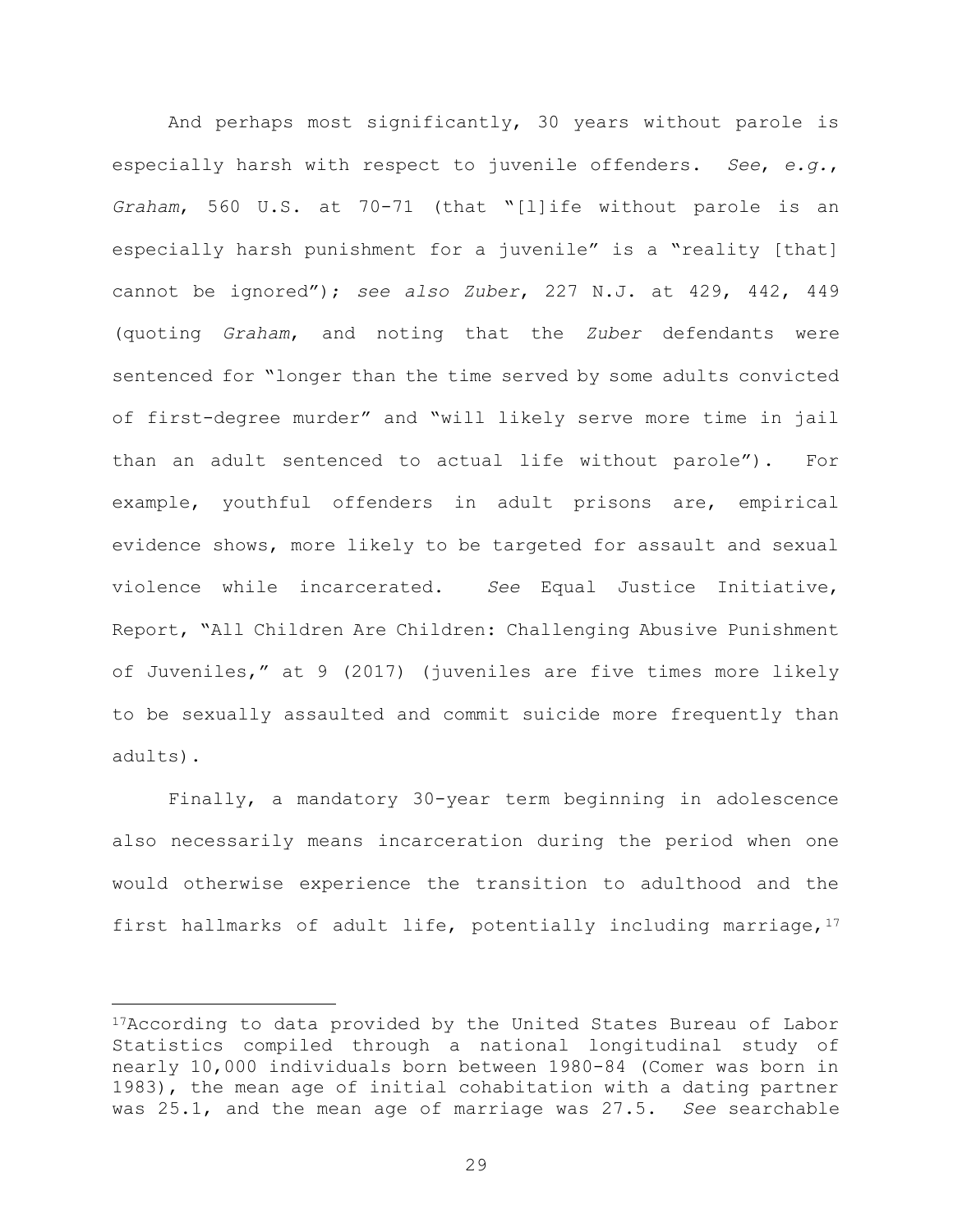And perhaps most significantly, 30 years without parole is especially harsh with respect to juvenile offenders. See, e.g., Graham, 560 U.S. at 70-71 (that "[l]ife without parole is an especially harsh punishment for a juvenile" is a "reality [that] cannot be ignored"); see also Zuber, 227 N.J. at 429, 442, 449 (quoting Graham, and noting that the Zuber defendants were sentenced for "longer than the time served by some adults convicted of first-degree murder" and "will likely serve more time in jail than an adult sentenced to actual life without parole"). For example, youthful offenders in adult prisons are, empirical evidence shows, more likely to be targeted for assault and sexual violence while incarcerated. See Equal Justice Initiative, Report, "All Children Are Children: Challenging Abusive Punishment of Juveniles," at 9 (2017) (juveniles are five times more likely to be sexually assaulted and commit suicide more frequently than adults).

Finally, a mandatory 30-year term beginning in adolescence also necessarily means incarceration during the period when one would otherwise experience the transition to adulthood and the first hallmarks of adult life, potentially including marriage,  $17$ 

<sup>17</sup>According to data provided by the United States Bureau of Labor Statistics compiled through a national longitudinal study of nearly 10,000 individuals born between 1980-84 (Comer was born in 1983), the mean age of initial cohabitation with a dating partner was 25.1, and the mean age of marriage was 27.5. See searchable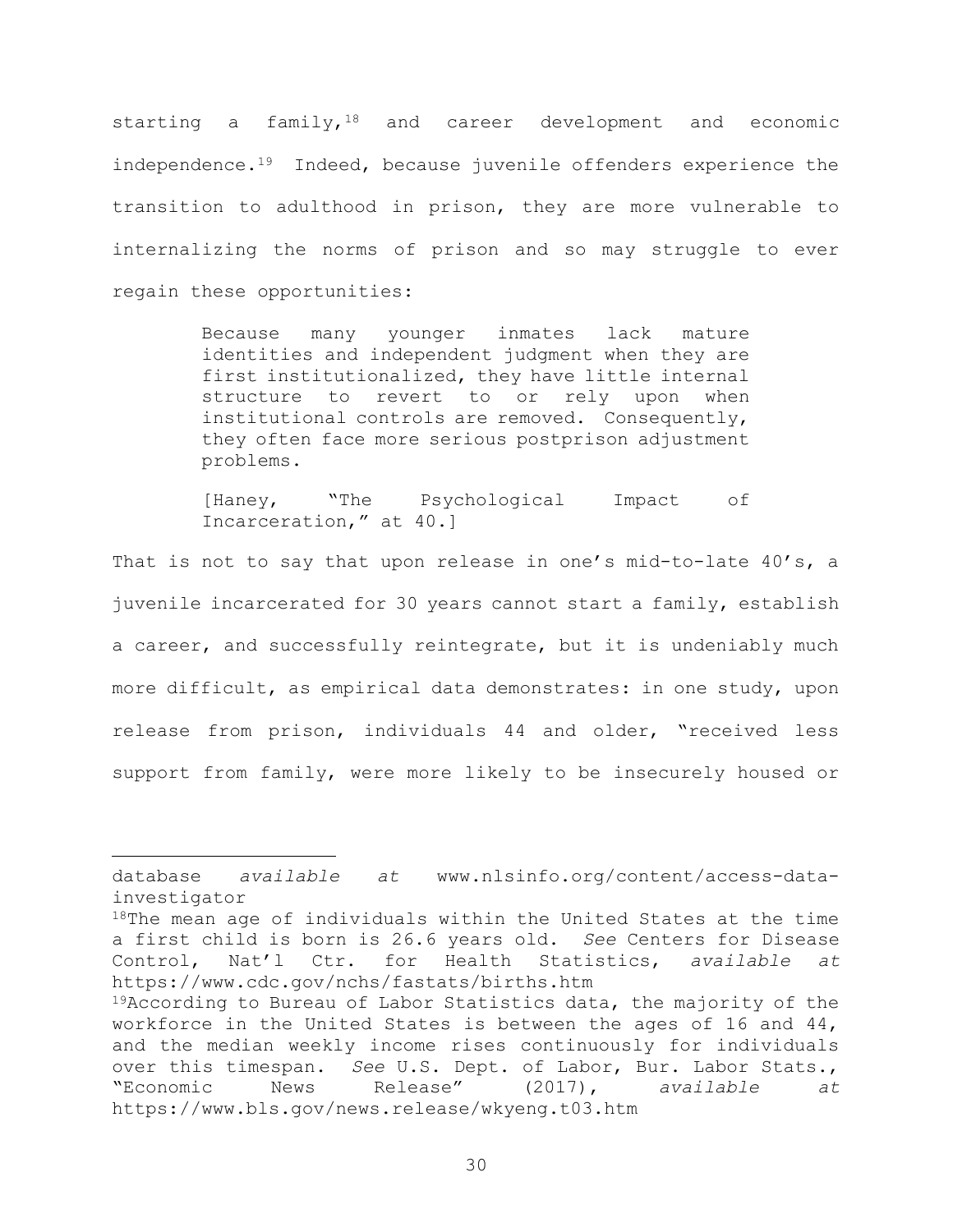starting a family,  $18$  and career development and economic independence.<sup>19</sup> Indeed, because juvenile offenders experience the transition to adulthood in prison, they are more vulnerable to internalizing the norms of prison and so may struggle to ever regain these opportunities:

> Because many younger inmates lack mature identities and independent judgment when they are first institutionalized, they have little internal structure to revert to or rely upon when institutional controls are removed. Consequently, they often face more serious postprison adjustment problems.

> [Haney, "The Psychological Impact of Incarceration," at 40.]

That is not to say that upon release in one's mid-to-late 40's, a juvenile incarcerated for 30 years cannot start a family, establish a career, and successfully reintegrate, but it is undeniably much more difficult, as empirical data demonstrates: in one study, upon release from prison, individuals 44 and older, "received less support from family, were more likely to be insecurely housed or

database available at www.nlsinfo.org/content/access-datainvestigator

 $18$ The mean age of individuals within the United States at the time a first child is born is 26.6 years old. See Centers for Disease Control, Nat'l Ctr. for Health Statistics, available at https://www.cdc.gov/nchs/fastats/births.htm

<sup>19</sup>According to Bureau of Labor Statistics data, the majority of the workforce in the United States is between the ages of 16 and 44, and the median weekly income rises continuously for individuals over this timespan. See U.S. Dept. of Labor, Bur. Labor Stats., "Economic News Release" (2017), available at https://www.bls.gov/news.release/wkyeng.t03.htm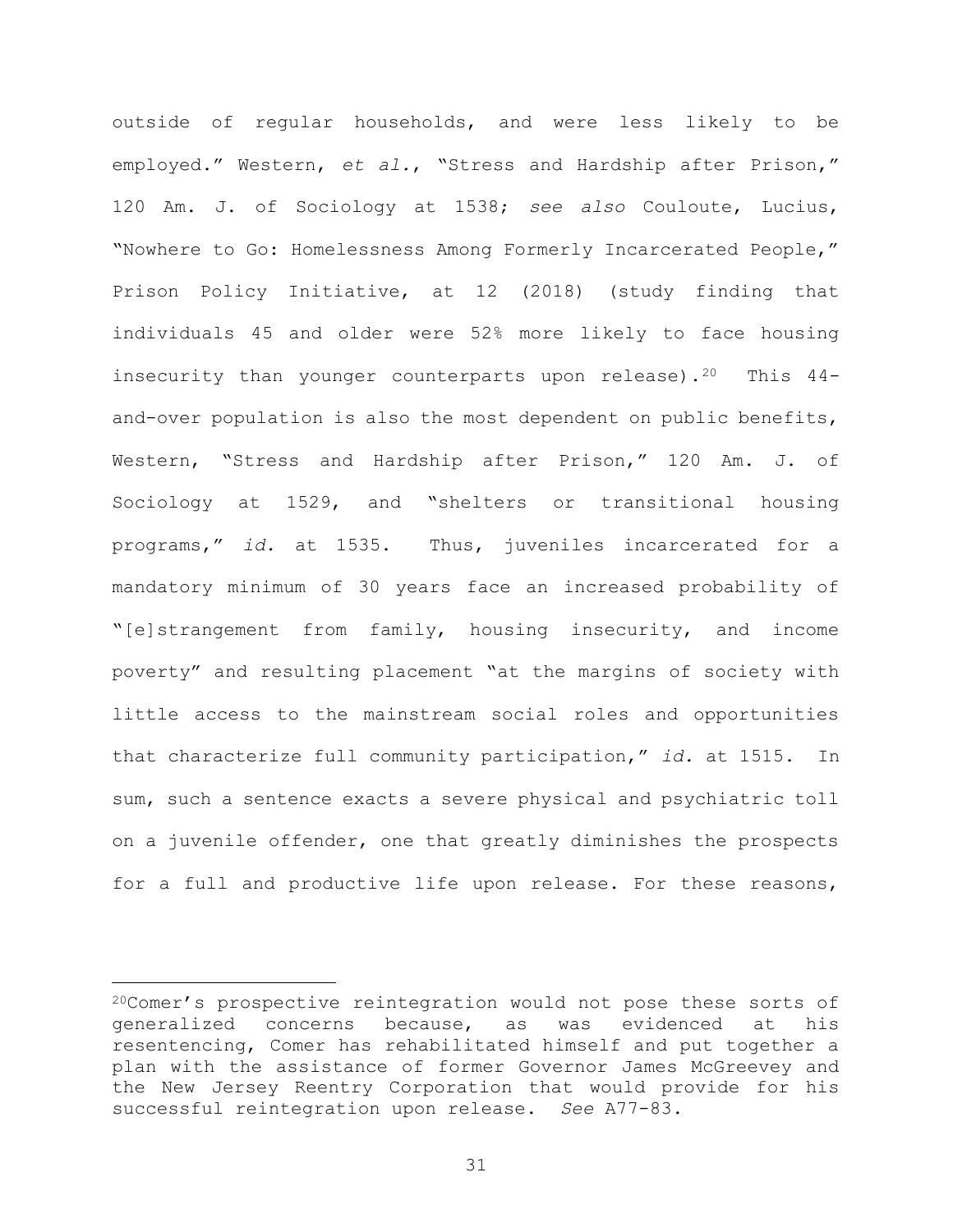outside of regular households, and were less likely to be employed." Western, et al., "Stress and Hardship after Prison," 120 Am. J. of Sociology at 1538; see also Couloute, Lucius, "Nowhere to Go: Homelessness Among Formerly Incarcerated People," Prison Policy Initiative, at 12 (2018) (study finding that individuals 45 and older were 52% more likely to face housing insecurity than younger counterparts upon release).<sup>20</sup> This 44and-over population is also the most dependent on public benefits, Western, "Stress and Hardship after Prison," 120 Am. J. of Sociology at 1529, and "shelters or transitional housing programs," id. at 1535. Thus, juveniles incarcerated for a mandatory minimum of 30 years face an increased probability of "[e]strangement from family, housing insecurity, and income poverty" and resulting placement "at the margins of society with little access to the mainstream social roles and opportunities that characterize full community participation," id. at 1515. In sum, such a sentence exacts a severe physical and psychiatric toll on a juvenile offender, one that greatly diminishes the prospects for a full and productive life upon release. For these reasons,

<sup>20</sup>Comer's prospective reintegration would not pose these sorts of generalized concerns because, as was evidenced at his resentencing, Comer has rehabilitated himself and put together a plan with the assistance of former Governor James McGreevey and the New Jersey Reentry Corporation that would provide for his successful reintegration upon release. See A77-83.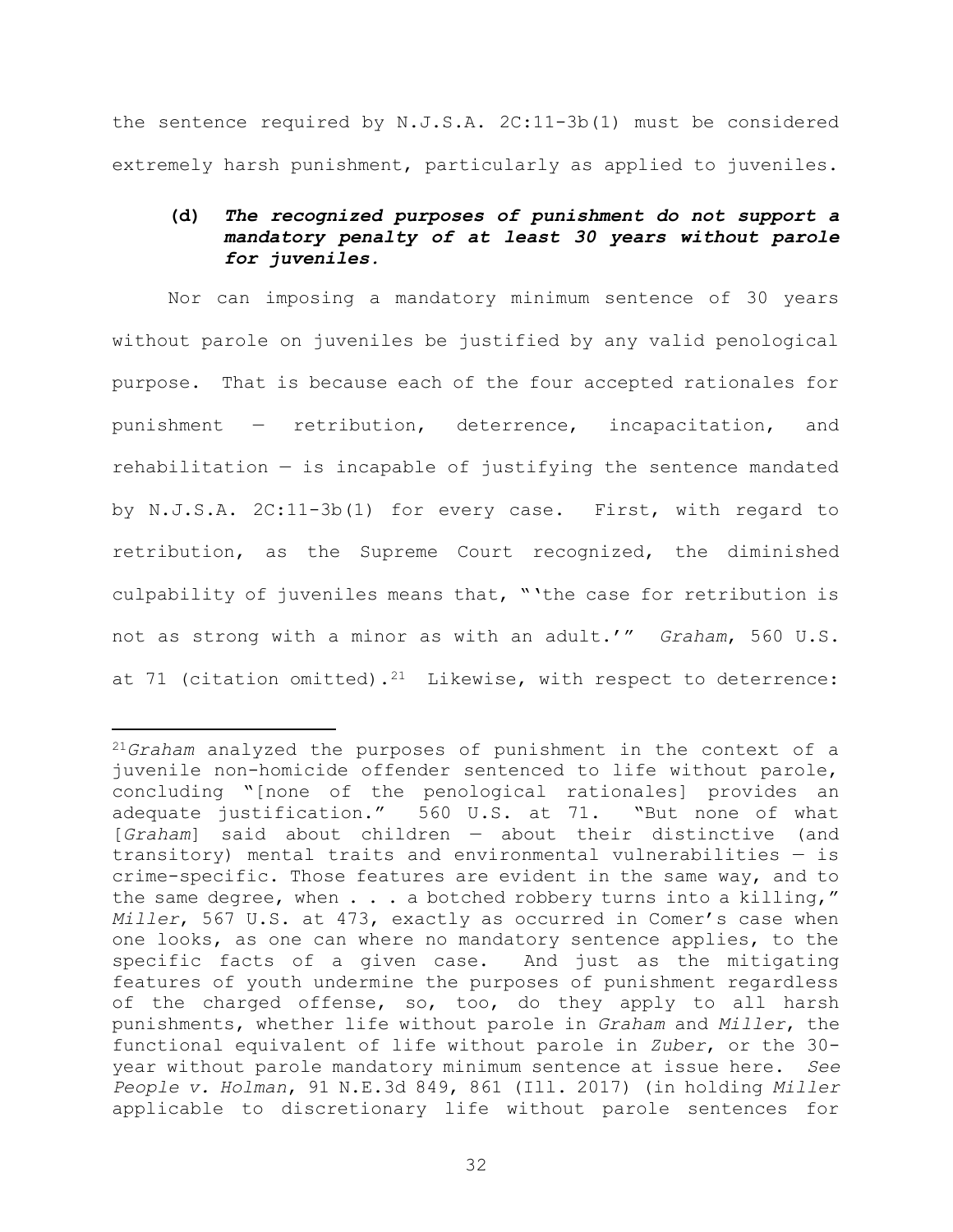the sentence required by N.J.S.A. 2C:11-3b(1) must be considered extremely harsh punishment, particularly as applied to juveniles.

## (d) The recognized purposes of punishment do not support a mandatory penalty of at least 30 years without parole for juveniles.

Nor can imposing a mandatory minimum sentence of 30 years without parole on juveniles be justified by any valid penological purpose. That is because each of the four accepted rationales for punishment — retribution, deterrence, incapacitation, and rehabilitation  $-$  is incapable of justifying the sentence mandated by N.J.S.A. 2C:11-3b(1) for every case. First, with regard to retribution, as the Supreme Court recognized, the diminished culpability of juveniles means that, "'the case for retribution is not as strong with a minor as with an adult.'" Graham, 560 U.S. at 71 (citation omitted).<sup>21</sup> Likewise, with respect to deterrence:

<sup>&</sup>lt;sup>21</sup>Graham analyzed the purposes of punishment in the context of a juvenile non-homicide offender sentenced to life without parole, concluding "[none of the penological rationales] provides an adequate justification." 560 U.S. at 71. "But none of what [Graham] said about children — about their distinctive (and transitory) mental traits and environmental vulnerabilities — is crime-specific. Those features are evident in the same way, and to the same degree, when  $\ldots$  a botched robbery turns into a killing," Miller, 567 U.S. at 473, exactly as occurred in Comer's case when one looks, as one can where no mandatory sentence applies, to the specific facts of a given case. And just as the mitigating features of youth undermine the purposes of punishment regardless of the charged offense, so, too, do they apply to all harsh punishments, whether life without parole in Graham and Miller, the functional equivalent of life without parole in Zuber, or the 30 year without parole mandatory minimum sentence at issue here. See People v. Holman, 91 N.E.3d 849, 861 (Ill. 2017) (in holding Miller applicable to discretionary life without parole sentences for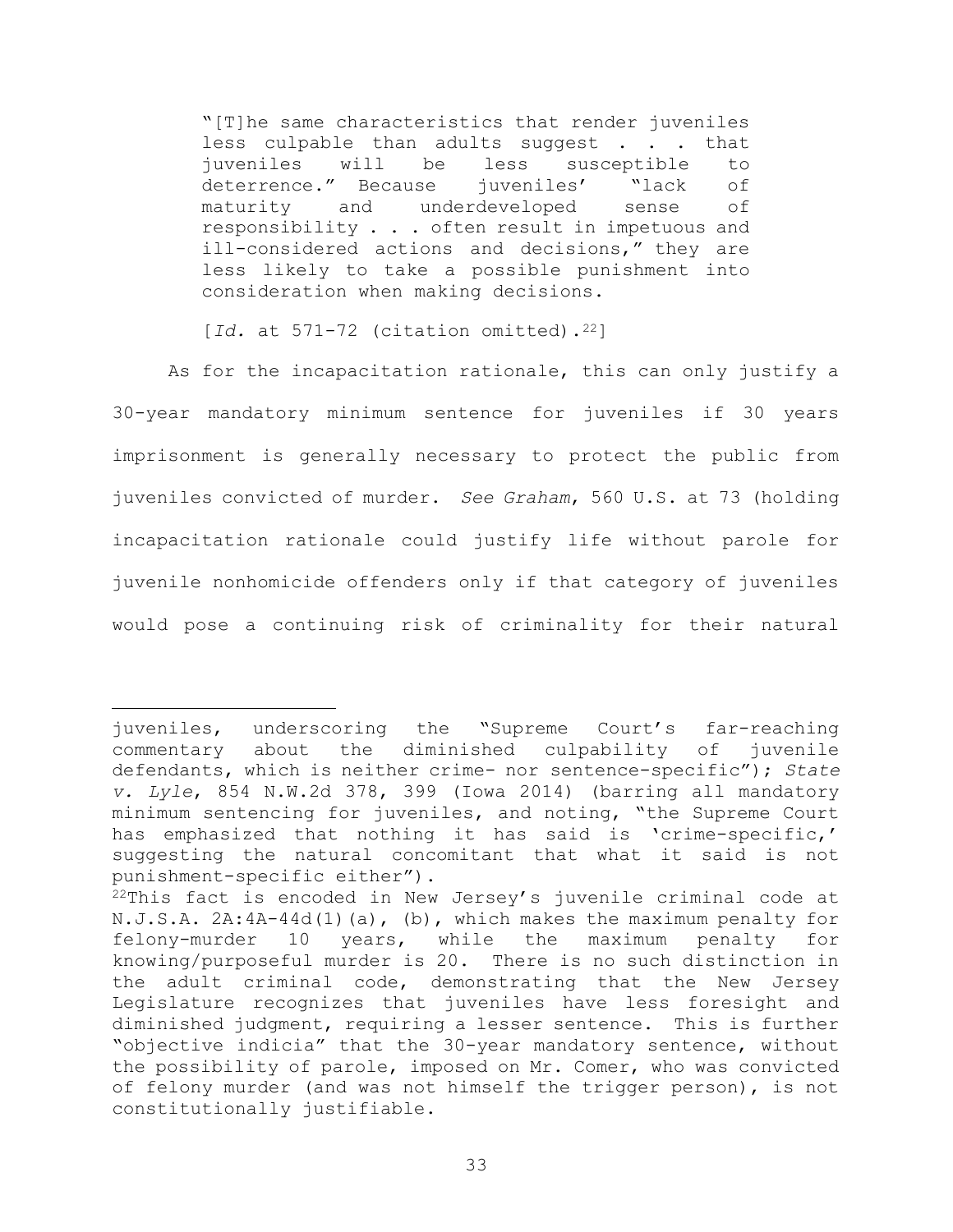"[T]he same characteristics that render juveniles less culpable than adults suggest . . . that juveniles will be less susceptible to deterrence." Because juveniles' "lack of maturity and underdeveloped sense of responsibility . . . often result in impetuous and ill-considered actions and decisions," they are less likely to take a possible punishment into consideration when making decisions.

[ $Id.$  at  $571-72$  (citation omitted).<sup>22</sup>]

As for the incapacitation rationale, this can only justify a 30-year mandatory minimum sentence for juveniles if 30 years imprisonment is generally necessary to protect the public from juveniles convicted of murder. See Graham, 560 U.S. at 73 (holding incapacitation rationale could justify life without parole for juvenile nonhomicide offenders only if that category of juveniles would pose a continuing risk of criminality for their natural

juveniles, underscoring the "Supreme Court's far-reaching commentary about the diminished culpability of juvenile defendants, which is neither crime- nor sentence-specific"); State v. Lyle, 854 N.W.2d 378, 399 (Iowa 2014) (barring all mandatory minimum sentencing for juveniles, and noting, "the Supreme Court has emphasized that nothing it has said is 'crime-specific,' suggesting the natural concomitant that what it said is not punishment-specific either").

<sup>22</sup>This fact is encoded in New Jersey's juvenile criminal code at N.J.S.A. 2A:4A-44d(1)(a), (b), which makes the maximum penalty for felony-murder 10 years, while the maximum penalty for knowing/purposeful murder is 20. There is no such distinction in the adult criminal code, demonstrating that the New Jersey Legislature recognizes that juveniles have less foresight and diminished judgment, requiring a lesser sentence. This is further "objective indicia" that the 30-year mandatory sentence, without the possibility of parole, imposed on Mr. Comer, who was convicted of felony murder (and was not himself the trigger person), is not constitutionally justifiable.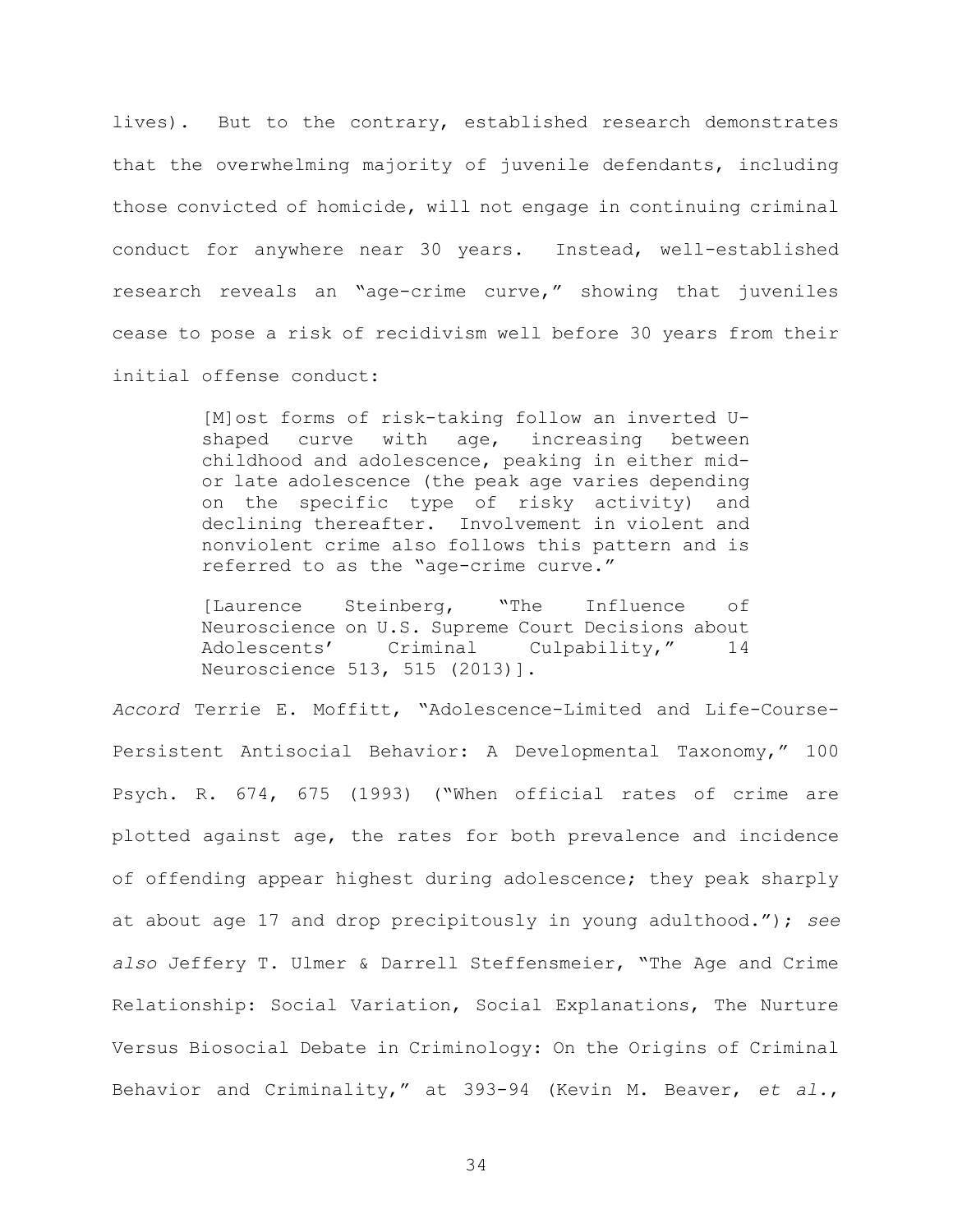lives). But to the contrary, established research demonstrates that the overwhelming majority of juvenile defendants, including those convicted of homicide, will not engage in continuing criminal conduct for anywhere near 30 years. Instead, well-established research reveals an "age-crime curve," showing that juveniles cease to pose a risk of recidivism well before 30 years from their initial offense conduct:

> [M]ost forms of risk-taking follow an inverted Ushaped curve with age, increasing between childhood and adolescence, peaking in either midor late adolescence (the peak age varies depending on the specific type of risky activity) and declining thereafter. Involvement in violent and nonviolent crime also follows this pattern and is referred to as the "age-crime curve."

> [Laurence Steinberg, "The Influence of Neuroscience on U.S. Supreme Court Decisions about Adolescents' Criminal Culpability," 14 Neuroscience 513, 515 (2013)].

Accord Terrie E. Moffitt, "Adolescence-Limited and Life-Course-Persistent Antisocial Behavior: A Developmental Taxonomy," 100 Psych. R. 674, 675 (1993) ("When official rates of crime are plotted against age, the rates for both prevalence and incidence of offending appear highest during adolescence; they peak sharply at about age 17 and drop precipitously in young adulthood."); see also Jeffery T. Ulmer & Darrell Steffensmeier, "The Age and Crime Relationship: Social Variation, Social Explanations, The Nurture Versus Biosocial Debate in Criminology: On the Origins of Criminal Behavior and Criminality," at 393-94 (Kevin M. Beaver, et al.,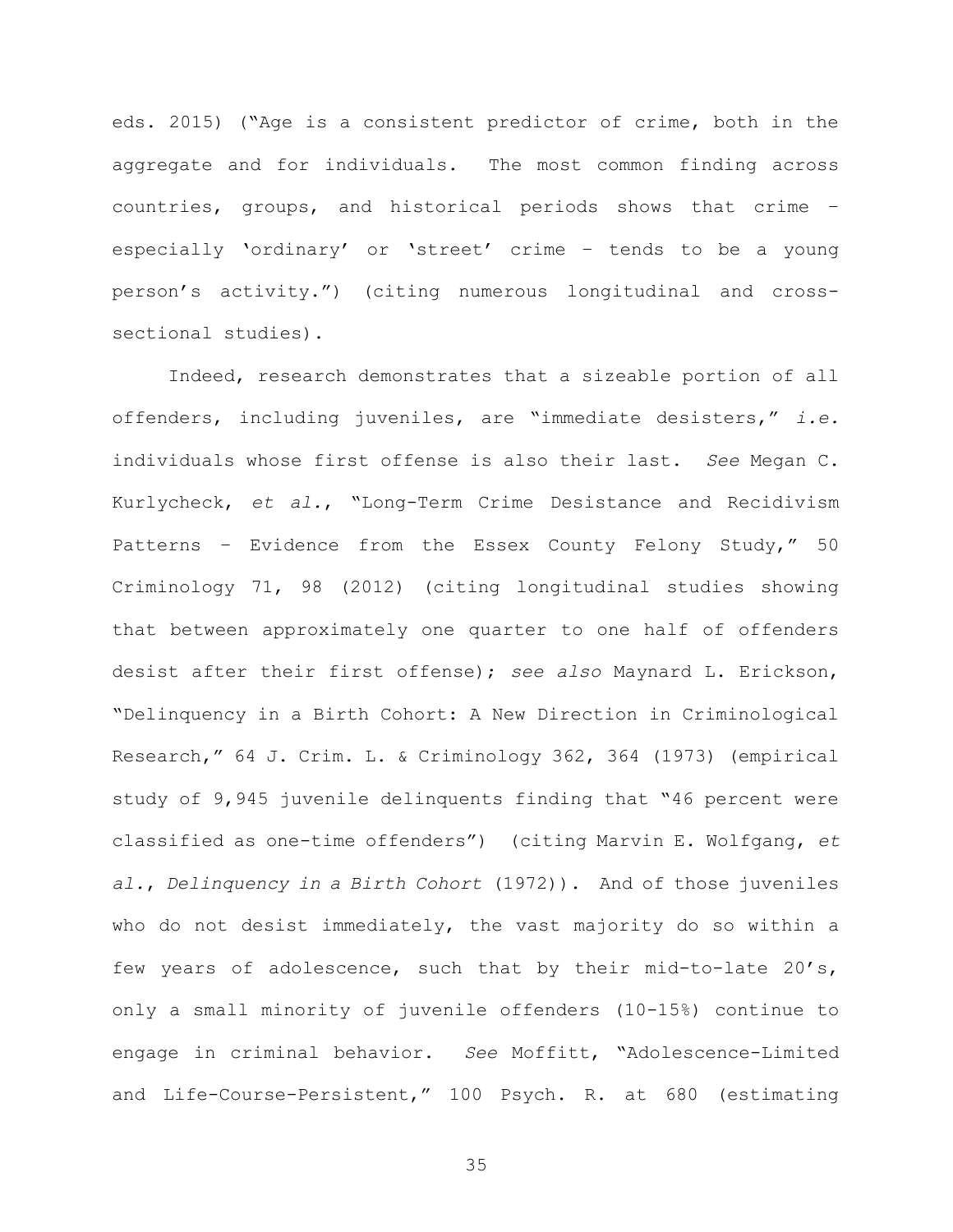eds. 2015) ("Age is a consistent predictor of crime, both in the aggregate and for individuals. The most common finding across countries, groups, and historical periods shows that crime – especially 'ordinary' or 'street' crime – tends to be a young person's activity.") (citing numerous longitudinal and crosssectional studies).

Indeed, research demonstrates that a sizeable portion of all offenders, including juveniles, are "immediate desisters," i.e. individuals whose first offense is also their last. See Megan C. Kurlycheck, et al., "Long-Term Crime Desistance and Recidivism Patterns – Evidence from the Essex County Felony Study," 50 Criminology 71, 98 (2012) (citing longitudinal studies showing that between approximately one quarter to one half of offenders desist after their first offense); see also Maynard L. Erickson, "Delinquency in a Birth Cohort: A New Direction in Criminological Research," 64 J. Crim. L. & Criminology 362, 364 (1973) (empirical study of 9,945 juvenile delinquents finding that "46 percent were classified as one-time offenders") (citing Marvin E. Wolfgang, et al., Delinquency in a Birth Cohort (1972)). And of those juveniles who do not desist immediately, the vast majority do so within a few years of adolescence, such that by their mid-to-late 20's, only a small minority of juvenile offenders (10-15%) continue to engage in criminal behavior. See Moffitt, "Adolescence-Limited and Life-Course-Persistent," 100 Psych. R. at 680 (estimating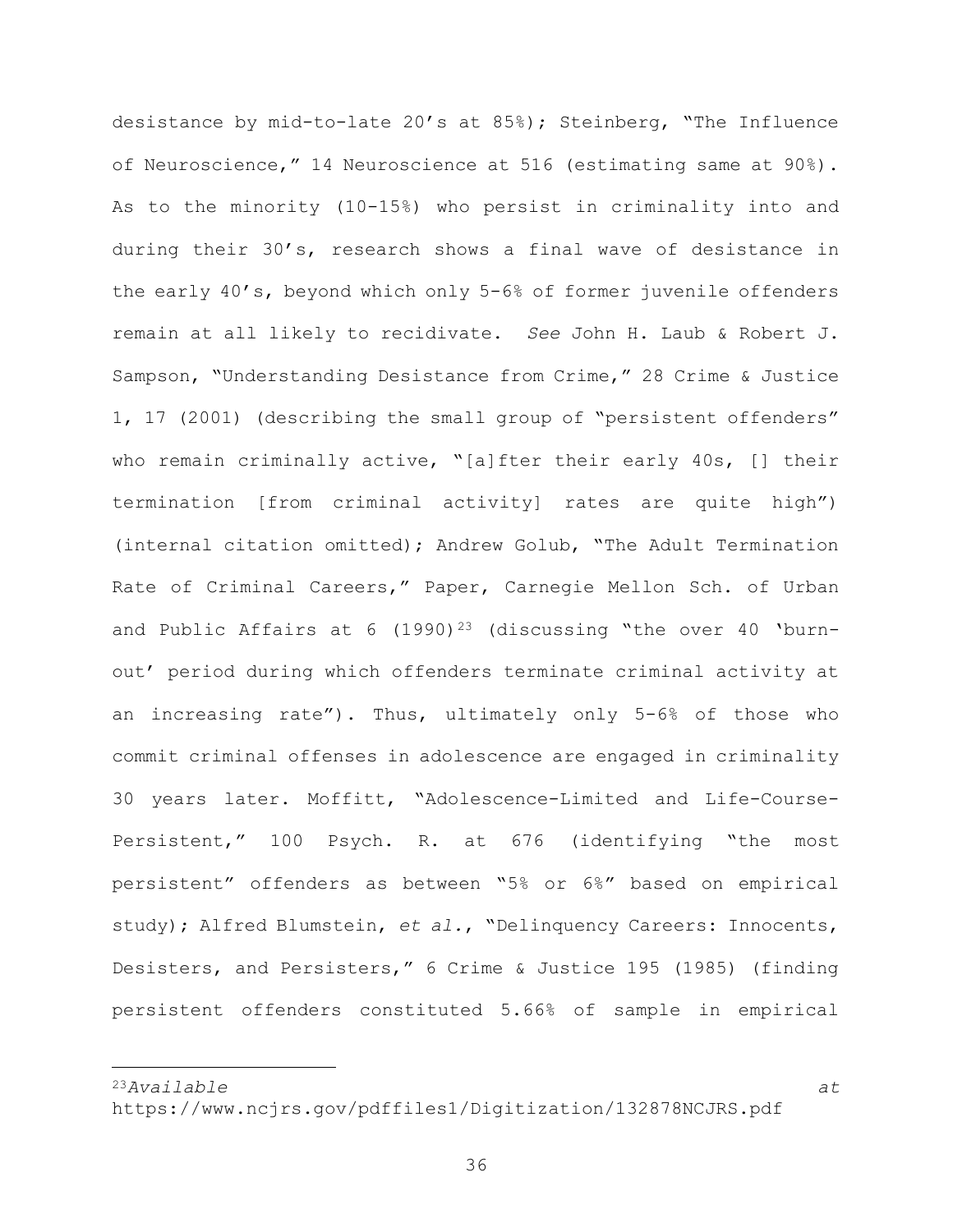desistance by mid-to-late 20's at 85%); Steinberg, "The Influence of Neuroscience," 14 Neuroscience at 516 (estimating same at 90%). As to the minority (10-15%) who persist in criminality into and during their 30's, research shows a final wave of desistance in the early 40's, beyond which only 5-6% of former juvenile offenders remain at all likely to recidivate. See John H. Laub & Robert J. Sampson, "Understanding Desistance from Crime," 28 Crime & Justice 1, 17 (2001) (describing the small group of "persistent offenders" who remain criminally active, "[a]fter their early 40s, [] their termination [from criminal activity] rates are quite high") (internal citation omitted); Andrew Golub, "The Adult Termination Rate of Criminal Careers," Paper, Carnegie Mellon Sch. of Urban and Public Affairs at 6  $(1990)^{23}$  (discussing "the over 40 'burnout' period during which offenders terminate criminal activity at an increasing rate"). Thus, ultimately only 5-6% of those who commit criminal offenses in adolescence are engaged in criminality 30 years later. Moffitt, "Adolescence-Limited and Life-Course-Persistent," 100 Psych. R. at 676 (identifying "the most persistent" offenders as between "5% or 6%" based on empirical study); Alfred Blumstein, et al., "Delinquency Careers: Innocents, Desisters, and Persisters," 6 Crime & Justice 195 (1985) (finding persistent offenders constituted 5.66% of sample in empirical

 $23A$ vailable at  $23A$ vailable at  $24$ 

https://www.ncjrs.gov/pdffiles1/Digitization/132878NCJRS.pdf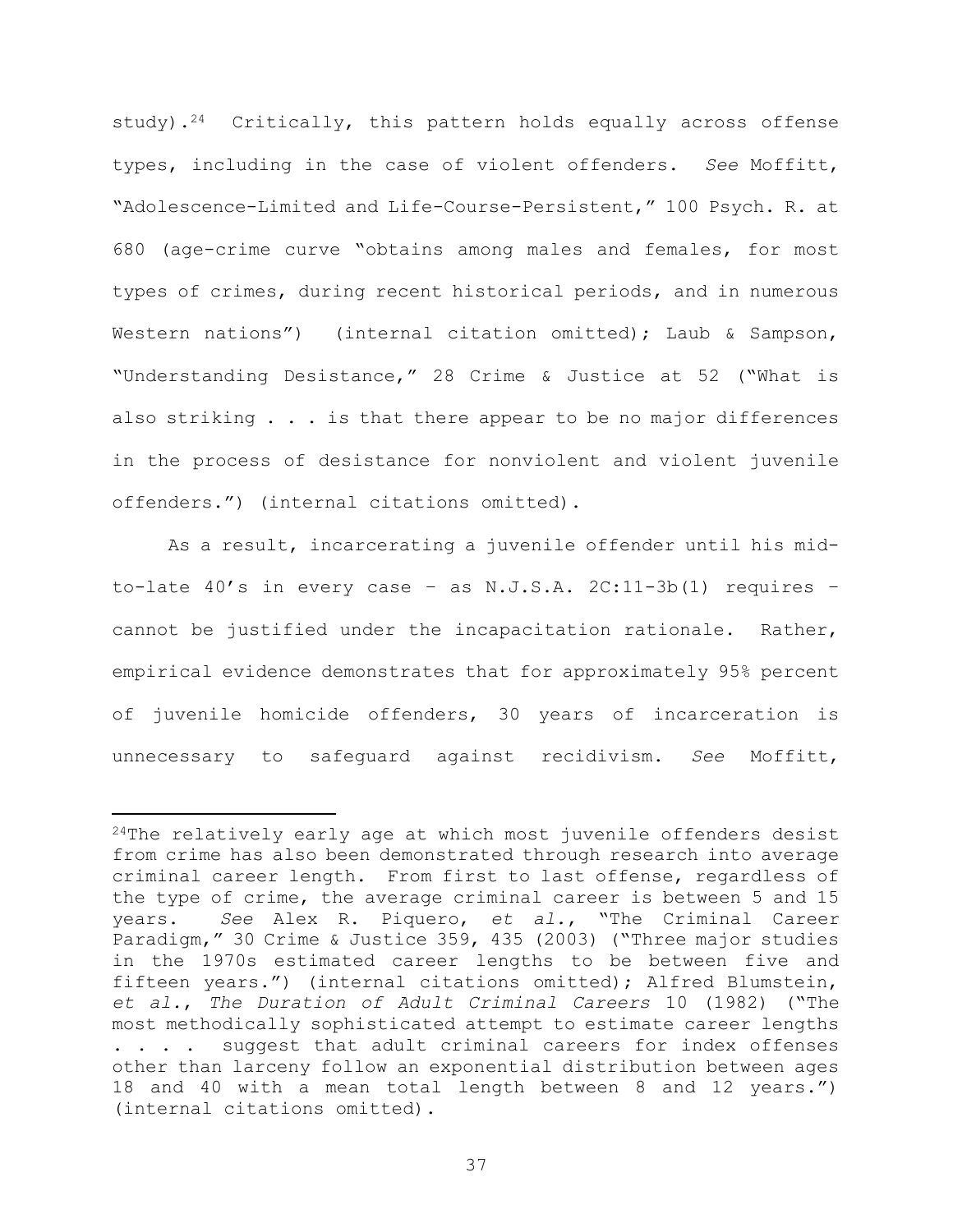study).<sup>24</sup> Critically, this pattern holds equally across offense types, including in the case of violent offenders. See Moffitt, "Adolescence-Limited and Life-Course-Persistent," 100 Psych. R. at 680 (age-crime curve "obtains among males and females, for most types of crimes, during recent historical periods, and in numerous Western nations") (internal citation omitted); Laub & Sampson, "Understanding Desistance," 28 Crime & Justice at 52 ("What is also striking . . . is that there appear to be no major differences in the process of desistance for nonviolent and violent juvenile offenders.") (internal citations omitted).

As a result, incarcerating a juvenile offender until his midto-late 40's in every case – as N.J.S.A. 2C:11-3b(1) requires – cannot be justified under the incapacitation rationale. Rather, empirical evidence demonstrates that for approximately 95% percent of juvenile homicide offenders, 30 years of incarceration is unnecessary to safeguard against recidivism. See Moffitt,

 $24$ The relatively early age at which most juvenile offenders desist from crime has also been demonstrated through research into average criminal career length. From first to last offense, regardless of the type of crime, the average criminal career is between 5 and 15 years. See Alex R. Piquero, et al., "The Criminal Career Paradigm," 30 Crime & Justice 359, 435 (2003) ("Three major studies in the 1970s estimated career lengths to be between five and fifteen years.") (internal citations omitted); Alfred Blumstein, et al., The Duration of Adult Criminal Careers 10 (1982) ("The most methodically sophisticated attempt to estimate career lengths . . . . suggest that adult criminal careers for index offenses other than larceny follow an exponential distribution between ages 18 and 40 with a mean total length between 8 and 12 years.") (internal citations omitted).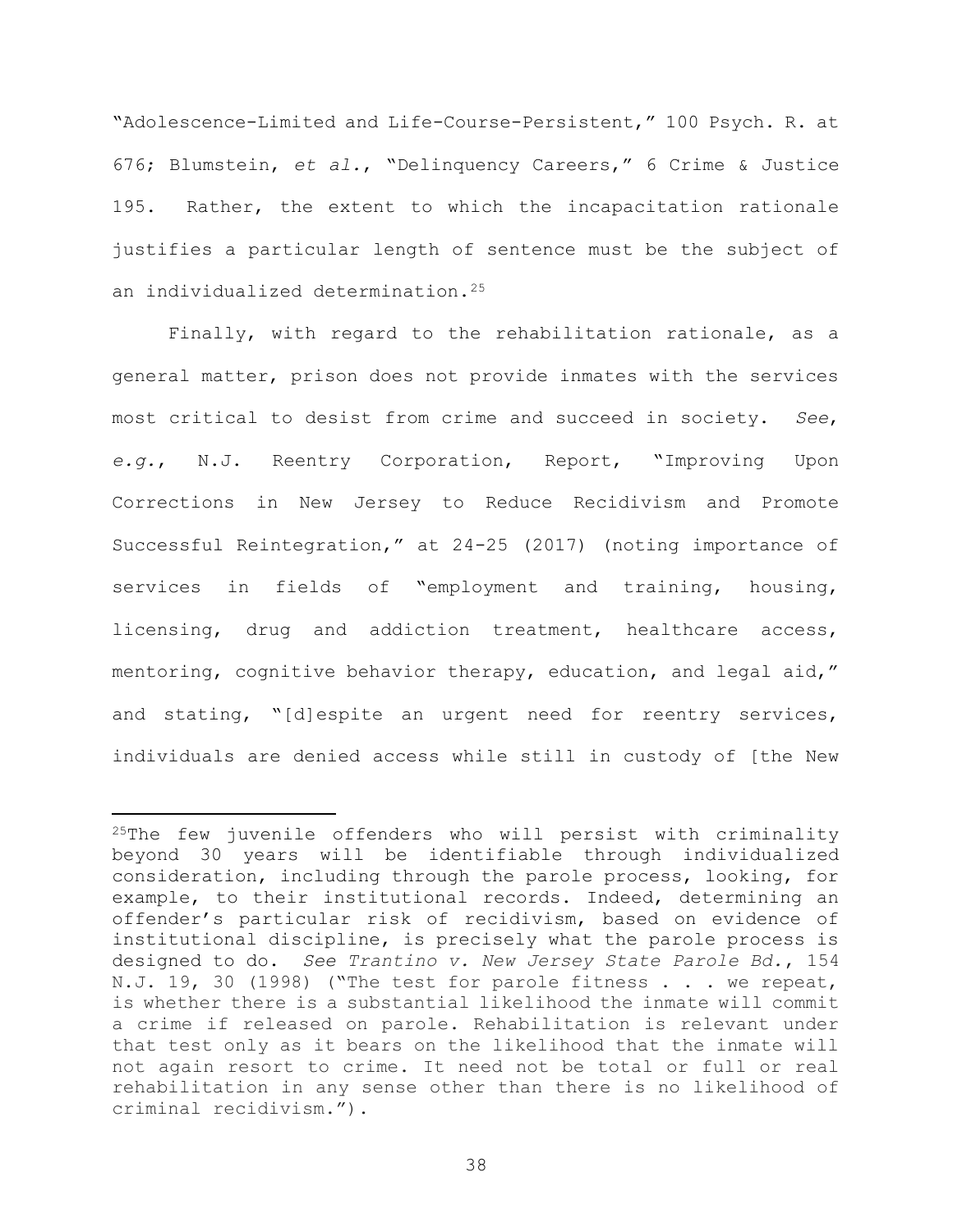"Adolescence-Limited and Life-Course-Persistent," 100 Psych. R. at 676; Blumstein, et al., "Delinquency Careers," 6 Crime & Justice 195. Rather, the extent to which the incapacitation rationale justifies a particular length of sentence must be the subject of an individualized determination.<sup>25</sup>

Finally, with regard to the rehabilitation rationale, as a general matter, prison does not provide inmates with the services most critical to desist from crime and succeed in society. See, e.g., N.J. Reentry Corporation, Report, "Improving Upon Corrections in New Jersey to Reduce Recidivism and Promote Successful Reintegration," at 24-25 (2017) (noting importance of services in fields of "employment and training, housing, licensing, drug and addiction treatment, healthcare access, mentoring, cognitive behavior therapy, education, and legal aid," and stating, "[d]espite an urgent need for reentry services, individuals are denied access while still in custody of [the New

 $25$ The few juvenile offenders who will persist with criminality beyond 30 years will be identifiable through individualized consideration, including through the parole process, looking, for example, to their institutional records. Indeed, determining an offender's particular risk of recidivism, based on evidence of institutional discipline, is precisely what the parole process is designed to do. See Trantino v. New Jersey State Parole Bd., 154 N.J. 19, 30 (1998) ("The test for parole fitness . . . we repeat, is whether there is a substantial likelihood the inmate will commit a crime if released on parole. Rehabilitation is relevant under that test only as it bears on the likelihood that the inmate will not again resort to crime. It need not be total or full or real rehabilitation in any sense other than there is no likelihood of criminal recidivism.").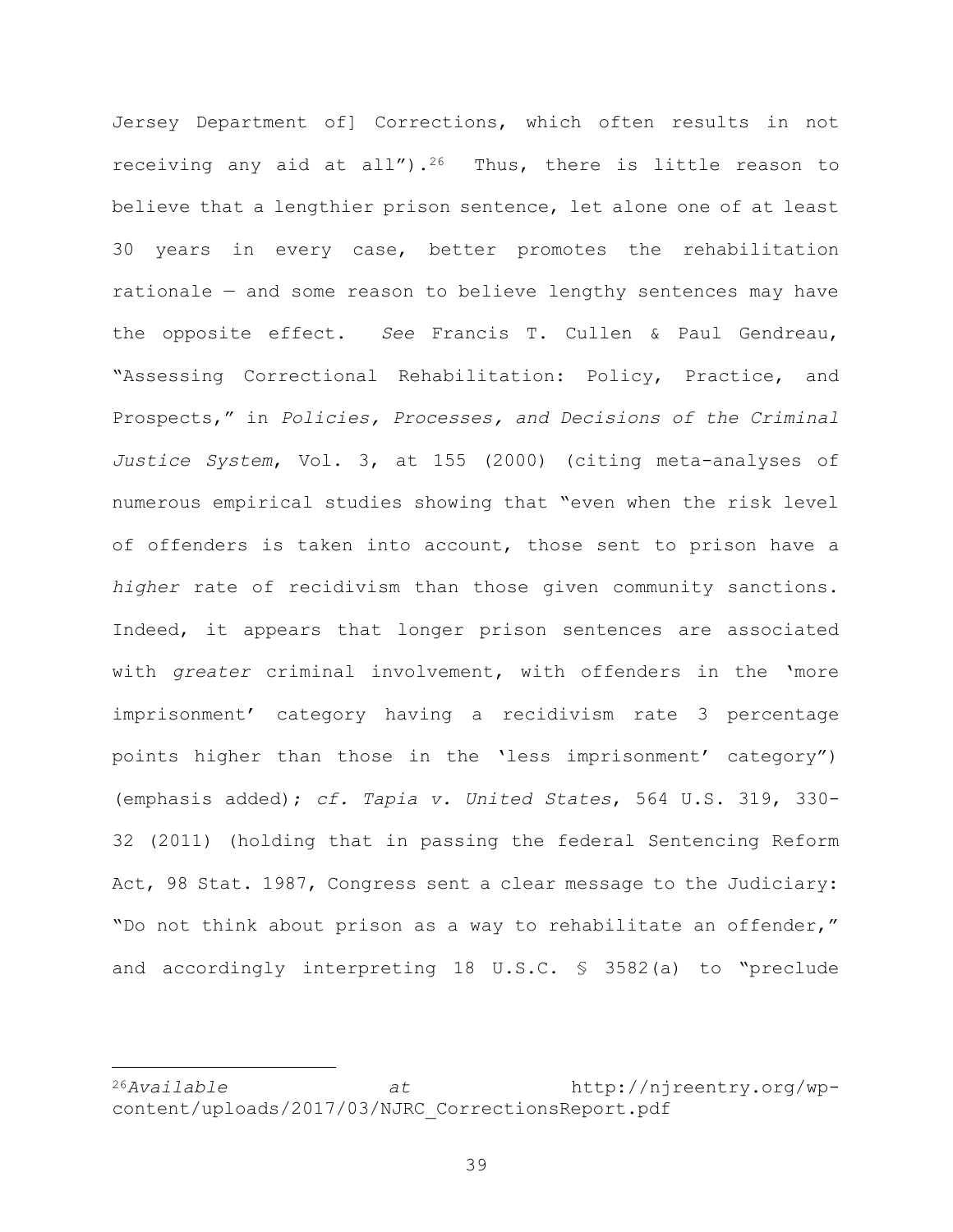Jersey Department of] Corrections, which often results in not receiving any aid at all").<sup>26</sup> Thus, there is little reason to believe that a lengthier prison sentence, let alone one of at least 30 years in every case, better promotes the rehabilitation rationale — and some reason to believe lengthy sentences may have the opposite effect. See Francis T. Cullen & Paul Gendreau, "Assessing Correctional Rehabilitation: Policy, Practice, and Prospects," in Policies, Processes, and Decisions of the Criminal Justice System, Vol. 3, at 155 (2000) (citing meta-analyses of numerous empirical studies showing that "even when the risk level of offenders is taken into account, those sent to prison have a higher rate of recidivism than those given community sanctions. Indeed, it appears that longer prison sentences are associated with greater criminal involvement, with offenders in the 'more imprisonment' category having a recidivism rate 3 percentage points higher than those in the 'less imprisonment' category") (emphasis added); cf. Tapia v. United States, 564 U.S. 319, 330- 32 (2011) (holding that in passing the federal Sentencing Reform Act, 98 Stat. 1987, Congress sent a clear message to the Judiciary: "Do not think about prison as a way to rehabilitate an offender," and accordingly interpreting 18 U.S.C. § 3582(a) to "preclude

<sup>26</sup>Available at http://njreentry.org/wpcontent/uploads/2017/03/NJRC\_CorrectionsReport.pdf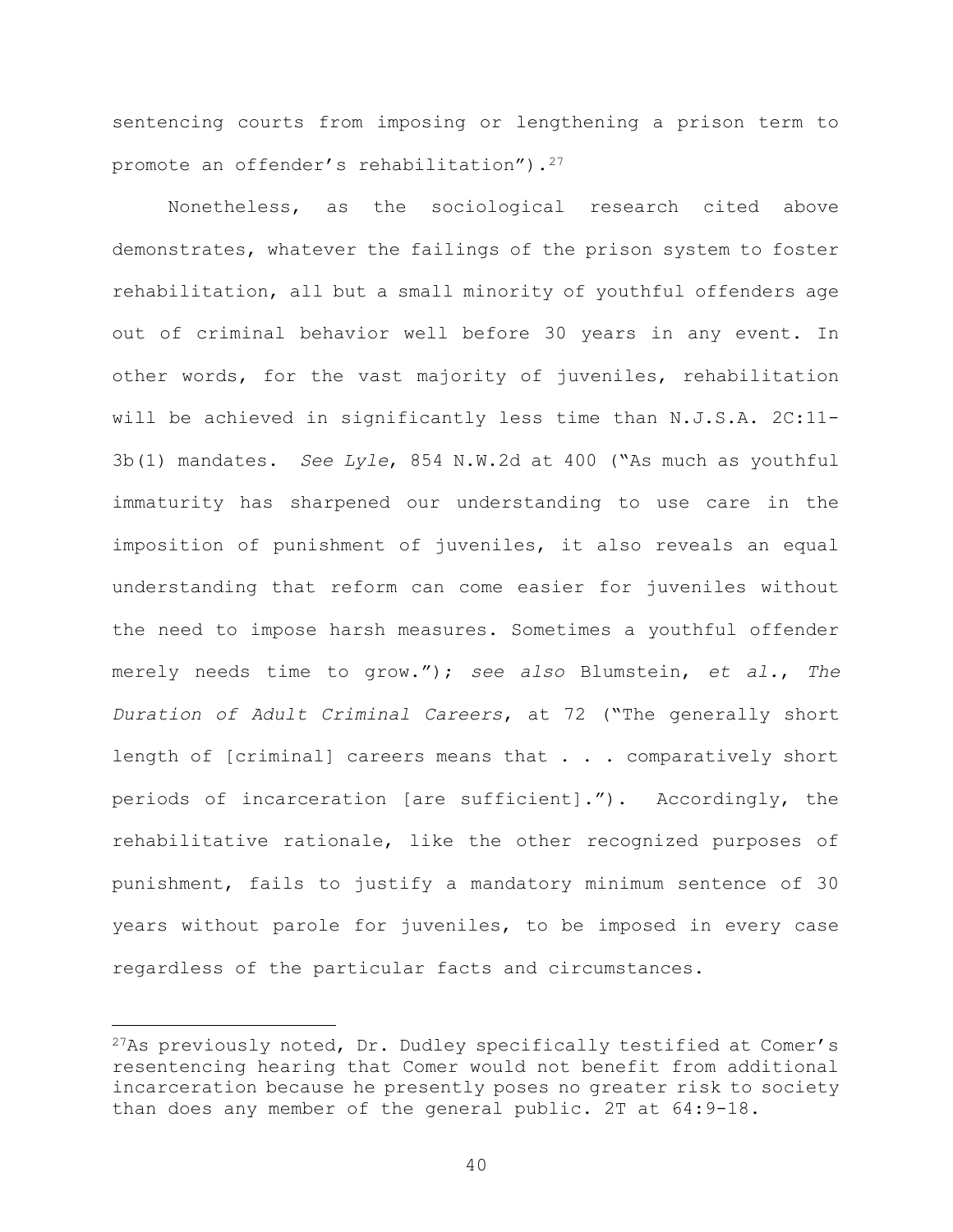sentencing courts from imposing or lengthening a prison term to promote an offender's rehabilitation").<sup>27</sup>

Nonetheless, as the sociological research cited above demonstrates, whatever the failings of the prison system to foster rehabilitation, all but a small minority of youthful offenders age out of criminal behavior well before 30 years in any event. In other words, for the vast majority of juveniles, rehabilitation will be achieved in significantly less time than N.J.S.A. 2C:11- 3b(1) mandates. See Lyle, 854 N.W.2d at 400 ("As much as youthful immaturity has sharpened our understanding to use care in the imposition of punishment of juveniles, it also reveals an equal understanding that reform can come easier for juveniles without the need to impose harsh measures. Sometimes a youthful offender merely needs time to grow."); see also Blumstein, et al., The Duration of Adult Criminal Careers, at 72 ("The generally short length of [criminal] careers means that . . . comparatively short periods of incarceration [are sufficient]."). Accordingly, the rehabilitative rationale, like the other recognized purposes of punishment, fails to justify a mandatory minimum sentence of 30 years without parole for juveniles, to be imposed in every case regardless of the particular facts and circumstances.

 $27As$  previously noted, Dr. Dudley specifically testified at Comer's resentencing hearing that Comer would not benefit from additional incarceration because he presently poses no greater risk to society than does any member of the general public. 2T at 64:9-18.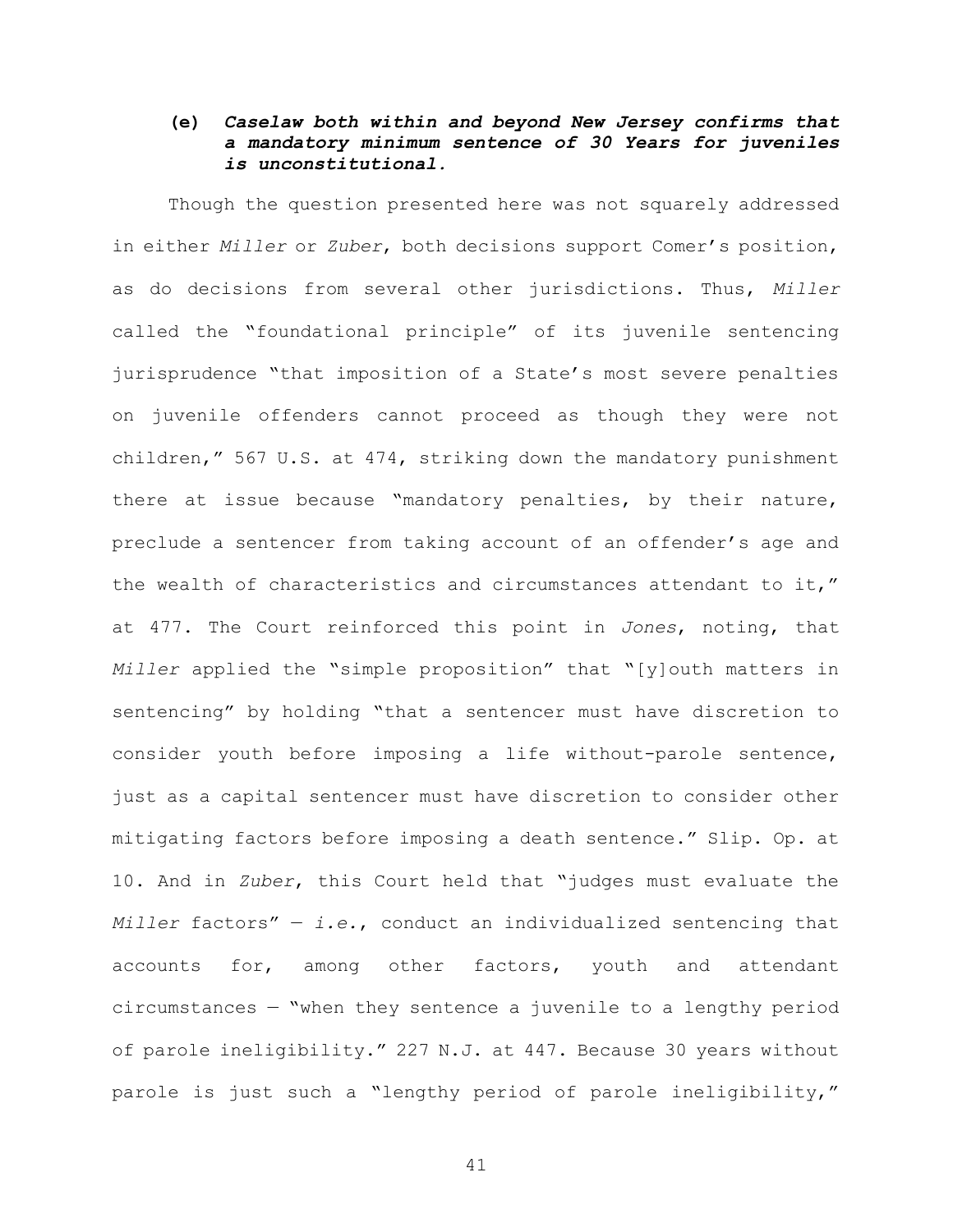## (e) Caselaw both within and beyond New Jersey confirms that a mandatory minimum sentence of 30 Years for juveniles is unconstitutional.

Though the question presented here was not squarely addressed in either Miller or Zuber, both decisions support Comer's position, as do decisions from several other jurisdictions. Thus, Miller called the "foundational principle" of its juvenile sentencing jurisprudence "that imposition of a State's most severe penalties on juvenile offenders cannot proceed as though they were not children," 567 U.S. at 474, striking down the mandatory punishment there at issue because "mandatory penalties, by their nature, preclude a sentencer from taking account of an offender's age and the wealth of characteristics and circumstances attendant to it," at 477. The Court reinforced this point in Jones, noting, that Miller applied the "simple proposition" that "[y]outh matters in sentencing" by holding "that a sentencer must have discretion to consider youth before imposing a life without-parole sentence, just as a capital sentencer must have discretion to consider other mitigating factors before imposing a death sentence." Slip. Op. at 10. And in Zuber, this Court held that "judges must evaluate the Miller factors"  $-$  i.e., conduct an individualized sentencing that accounts for, among other factors, youth and attendant circumstances — "when they sentence a juvenile to a lengthy period of parole ineligibility." 227 N.J. at 447. Because 30 years without parole is just such a "lengthy period of parole ineligibility,"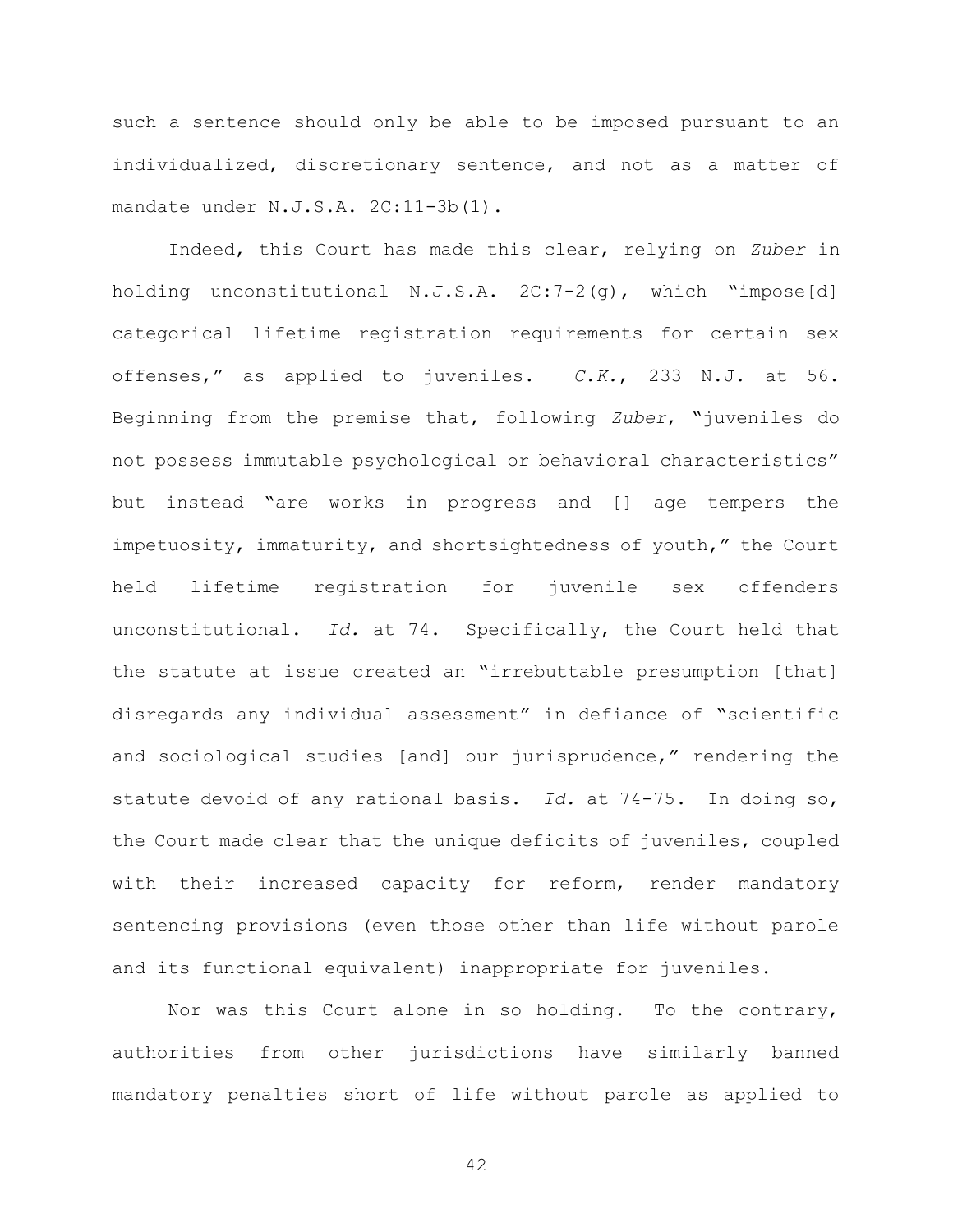such a sentence should only be able to be imposed pursuant to an individualized, discretionary sentence, and not as a matter of mandate under N.J.S.A. 2C:11-3b(1).

Indeed, this Court has made this clear, relying on Zuber in holding unconstitutional N.J.S.A. 2C:7-2(g), which "impose[d] categorical lifetime registration requirements for certain sex offenses," as applied to juveniles. C.K., 233 N.J. at 56. Beginning from the premise that, following Zuber, "juveniles do not possess immutable psychological or behavioral characteristics" but instead "are works in progress and [] age tempers the impetuosity, immaturity, and shortsightedness of youth," the Court held lifetime registration for juvenile sex offenders unconstitutional. Id. at 74. Specifically, the Court held that the statute at issue created an "irrebuttable presumption [that] disregards any individual assessment" in defiance of "scientific and sociological studies [and] our jurisprudence," rendering the statute devoid of any rational basis. Id. at 74-75. In doing so, the Court made clear that the unique deficits of juveniles, coupled with their increased capacity for reform, render mandatory sentencing provisions (even those other than life without parole and its functional equivalent) inappropriate for juveniles.

Nor was this Court alone in so holding. To the contrary, authorities from other jurisdictions have similarly banned mandatory penalties short of life without parole as applied to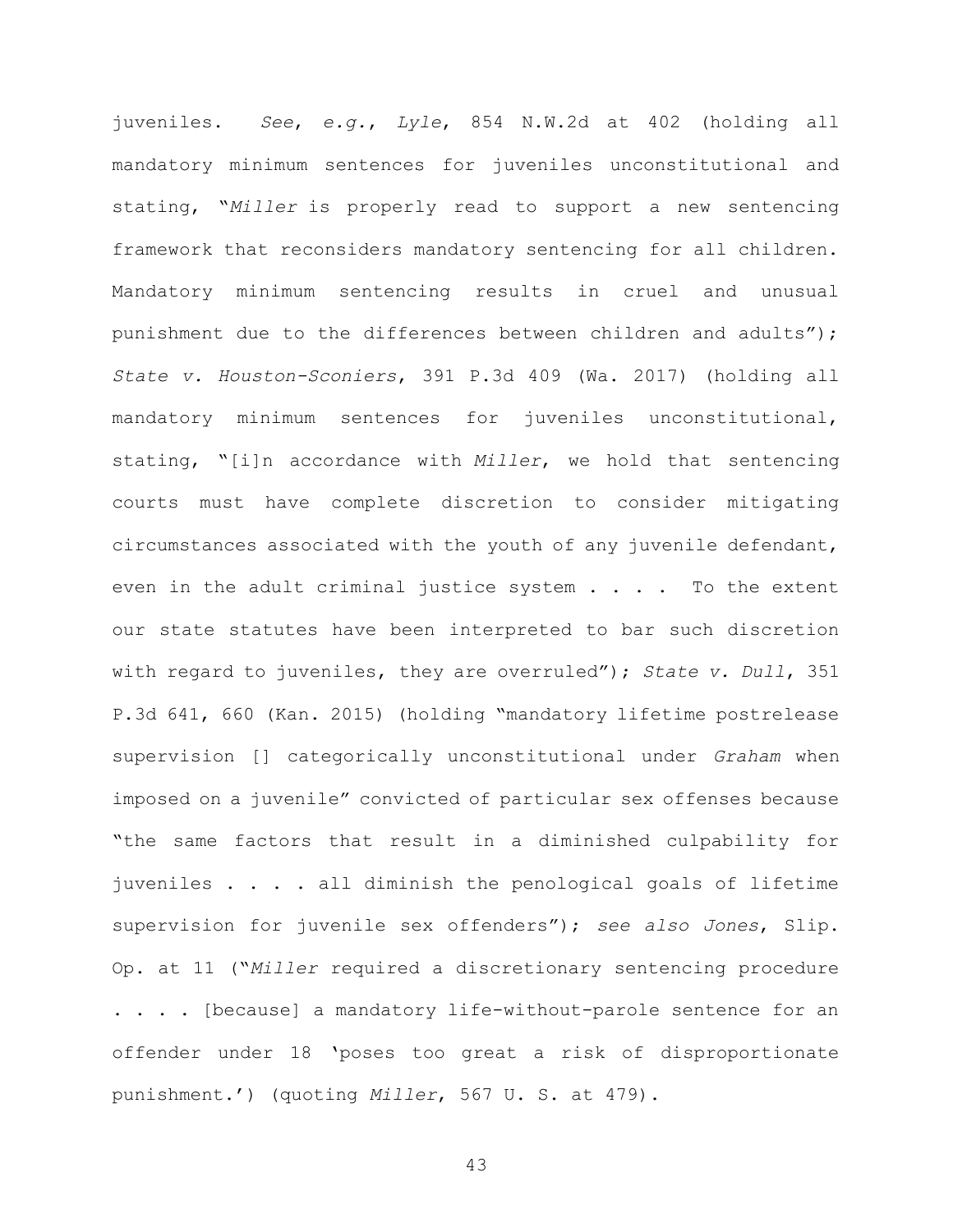juveniles. See, e.g., Lyle, 854 N.W.2d at 402 (holding all mandatory minimum sentences for juveniles unconstitutional and stating, "Miller is properly read to support a new sentencing framework that reconsiders mandatory sentencing for all children. Mandatory minimum sentencing results in cruel and unusual punishment due to the differences between children and adults"); State v. Houston-Sconiers, 391 P.3d 409 (Wa. 2017) (holding all mandatory minimum sentences for juveniles unconstitutional, stating, "[i]n accordance with Miller, we hold that sentencing courts must have complete discretion to consider mitigating circumstances associated with the youth of any juvenile defendant, even in the adult criminal justice system  $\ldots$ . To the extent our state statutes have been interpreted to bar such discretion with regard to juveniles, they are overruled"); State v. Dull, 351 P.3d 641, 660 (Kan. 2015) (holding "mandatory lifetime postrelease supervision [] categorically unconstitutional under Graham when imposed on a juvenile" convicted of particular sex offenses because "the same factors that result in a diminished culpability for juveniles . . . . all diminish the penological goals of lifetime supervision for juvenile sex offenders"); see also Jones, Slip. Op. at 11 ("Miller required a discretionary sentencing procedure . . . . [because] a mandatory life-without-parole sentence for an offender under 18 'poses too great a risk of disproportionate punishment.') (quoting Miller, 567 U. S. at 479).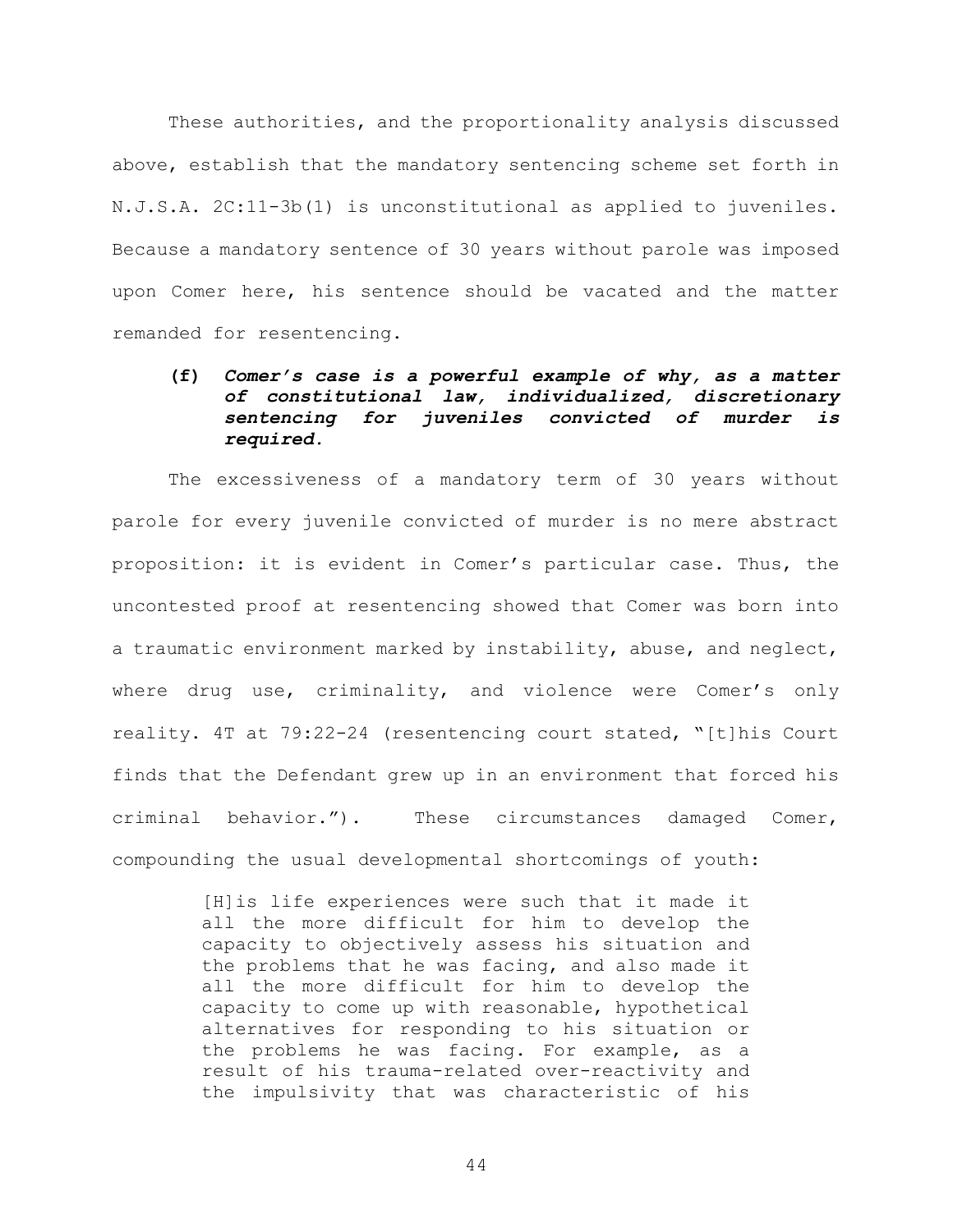These authorities, and the proportionality analysis discussed above, establish that the mandatory sentencing scheme set forth in N.J.S.A. 2C:11-3b(1) is unconstitutional as applied to juveniles. Because a mandatory sentence of 30 years without parole was imposed upon Comer here, his sentence should be vacated and the matter remanded for resentencing.

## (f) Comer's case is a powerful example of why, as a matter of constitutional law, individualized, discretionary sentencing for juveniles convicted of murder is required.

The excessiveness of a mandatory term of 30 years without parole for every juvenile convicted of murder is no mere abstract proposition: it is evident in Comer's particular case. Thus, the uncontested proof at resentencing showed that Comer was born into a traumatic environment marked by instability, abuse, and neglect, where drug use, criminality, and violence were Comer's only reality. 4T at 79:22-24 (resentencing court stated, "[t]his Court finds that the Defendant grew up in an environment that forced his criminal behavior."). These circumstances damaged Comer, compounding the usual developmental shortcomings of youth:

> [H]is life experiences were such that it made it all the more difficult for him to develop the capacity to objectively assess his situation and the problems that he was facing, and also made it all the more difficult for him to develop the capacity to come up with reasonable, hypothetical alternatives for responding to his situation or the problems he was facing. For example, as a result of his trauma-related over-reactivity and the impulsivity that was characteristic of his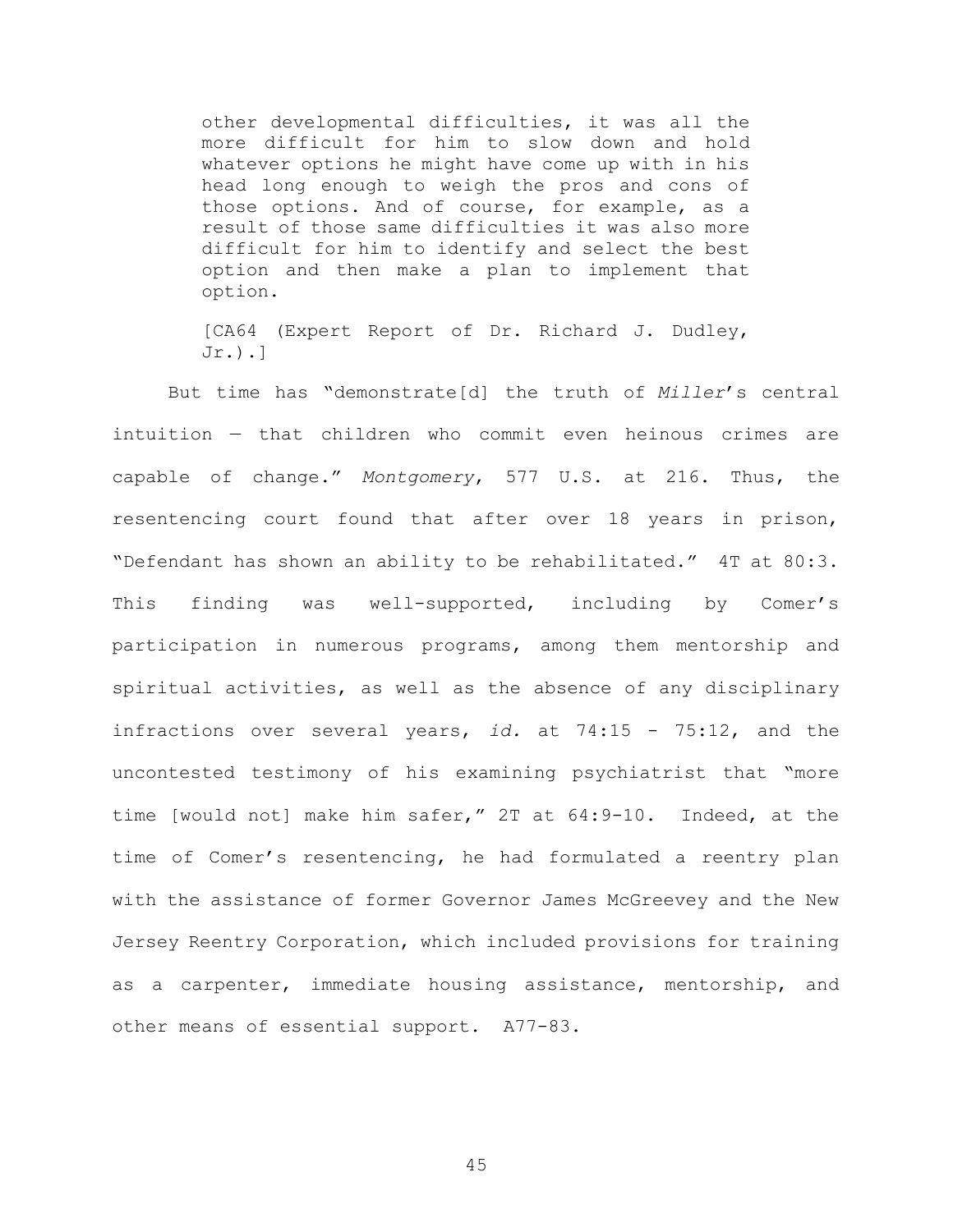other developmental difficulties, it was all the more difficult for him to slow down and hold whatever options he might have come up with in his head long enough to weigh the pros and cons of those options. And of course, for example, as a result of those same difficulties it was also more difficult for him to identify and select the best option and then make a plan to implement that option.

[CA64 (Expert Report of Dr. Richard J. Dudley, Jr.).]

But time has "demonstrate[d] the truth of Miller's central intuition — that children who commit even heinous crimes are capable of change." Montgomery, 577 U.S. at 216. Thus, the resentencing court found that after over 18 years in prison, "Defendant has shown an ability to be rehabilitated." 4T at 80:3. This finding was well-supported, including by Comer's participation in numerous programs, among them mentorship and spiritual activities, as well as the absence of any disciplinary infractions over several years, id. at  $74:15 - 75:12$ , and the uncontested testimony of his examining psychiatrist that "more time [would not] make him safer," 2T at 64:9-10. Indeed, at the time of Comer's resentencing, he had formulated a reentry plan with the assistance of former Governor James McGreevey and the New Jersey Reentry Corporation, which included provisions for training as a carpenter, immediate housing assistance, mentorship, and other means of essential support. A77-83.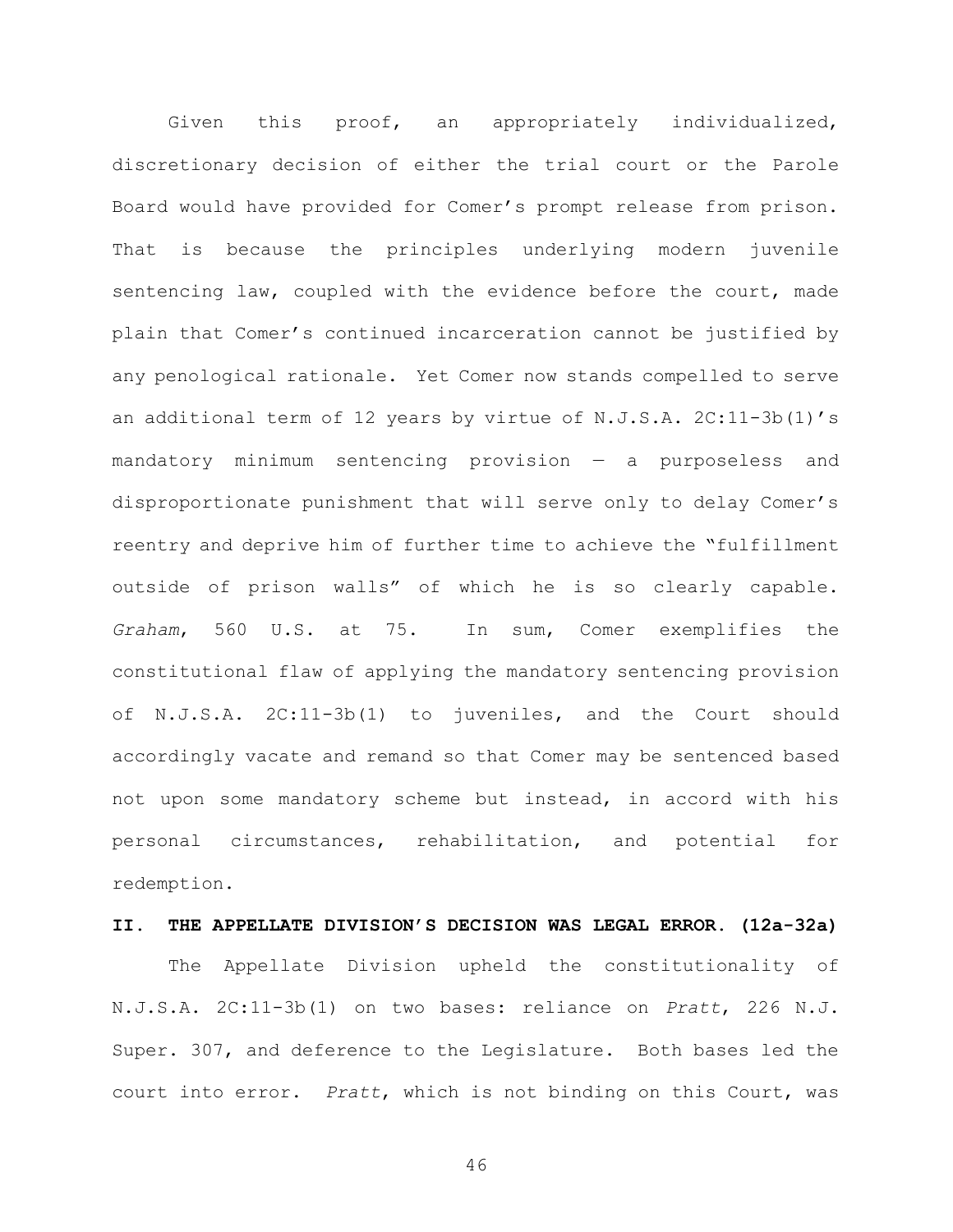Given this proof, an appropriately individualized, discretionary decision of either the trial court or the Parole Board would have provided for Comer's prompt release from prison. That is because the principles underlying modern juvenile sentencing law, coupled with the evidence before the court, made plain that Comer's continued incarceration cannot be justified by any penological rationale. Yet Comer now stands compelled to serve an additional term of 12 years by virtue of N.J.S.A. 2C:11-3b(1)'s mandatory minimum sentencing provision — a purposeless and disproportionate punishment that will serve only to delay Comer's reentry and deprive him of further time to achieve the "fulfillment outside of prison walls" of which he is so clearly capable. Graham, 560 U.S. at 75. In sum, Comer exemplifies the constitutional flaw of applying the mandatory sentencing provision of N.J.S.A. 2C:11-3b(1) to juveniles, and the Court should accordingly vacate and remand so that Comer may be sentenced based not upon some mandatory scheme but instead, in accord with his personal circumstances, rehabilitation, and potential for redemption.

#### II. THE APPELLATE DIVISION'S DECISION WAS LEGAL ERROR. (12a-32a)

The Appellate Division upheld the constitutionality of N.J.S.A. 2C:11-3b(1) on two bases: reliance on Pratt, 226 N.J. Super. 307, and deference to the Legislature. Both bases led the court into error. Pratt, which is not binding on this Court, was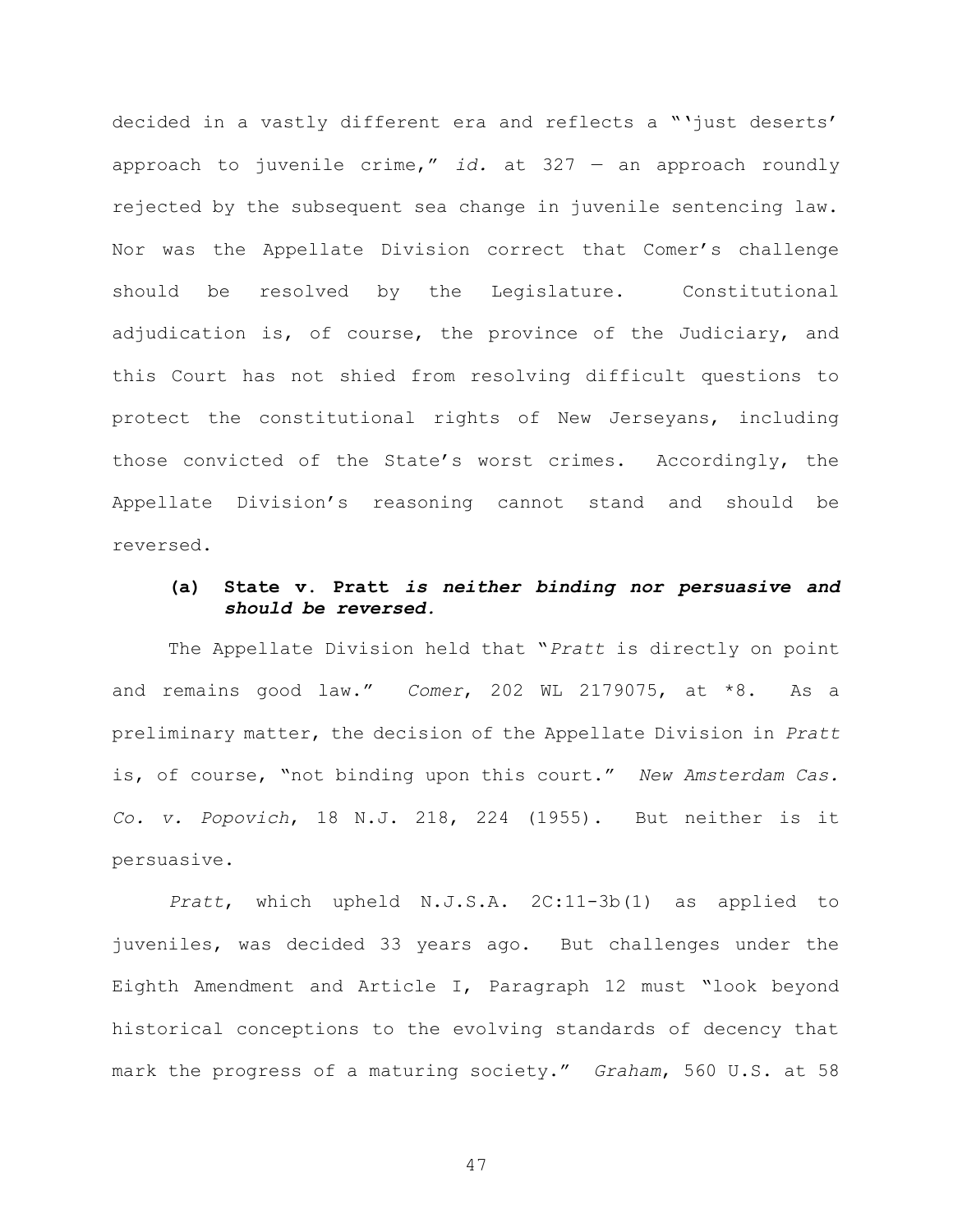decided in a vastly different era and reflects a "'just deserts' approach to juvenile crime," id. at  $327 -$  an approach roundly rejected by the subsequent sea change in juvenile sentencing law. Nor was the Appellate Division correct that Comer's challenge should be resolved by the Legislature. Constitutional adjudication is, of course, the province of the Judiciary, and this Court has not shied from resolving difficult questions to protect the constitutional rights of New Jerseyans, including those convicted of the State's worst crimes. Accordingly, the Appellate Division's reasoning cannot stand and should be reversed.

### (a) State v. Pratt is neither binding nor persuasive and should be reversed.

The Appellate Division held that "Pratt is directly on point and remains good law." Comer, 202 WL 2179075, at \*8. As a preliminary matter, the decision of the Appellate Division in Pratt is, of course, "not binding upon this court." New Amsterdam Cas. Co. v. Popovich, 18 N.J. 218, 224 (1955). But neither is it persuasive.

Pratt, which upheld N.J.S.A. 2C:11-3b(1) as applied to juveniles, was decided 33 years ago. But challenges under the Eighth Amendment and Article I, Paragraph 12 must "look beyond historical conceptions to the evolving standards of decency that mark the progress of a maturing society." Graham, 560 U.S. at 58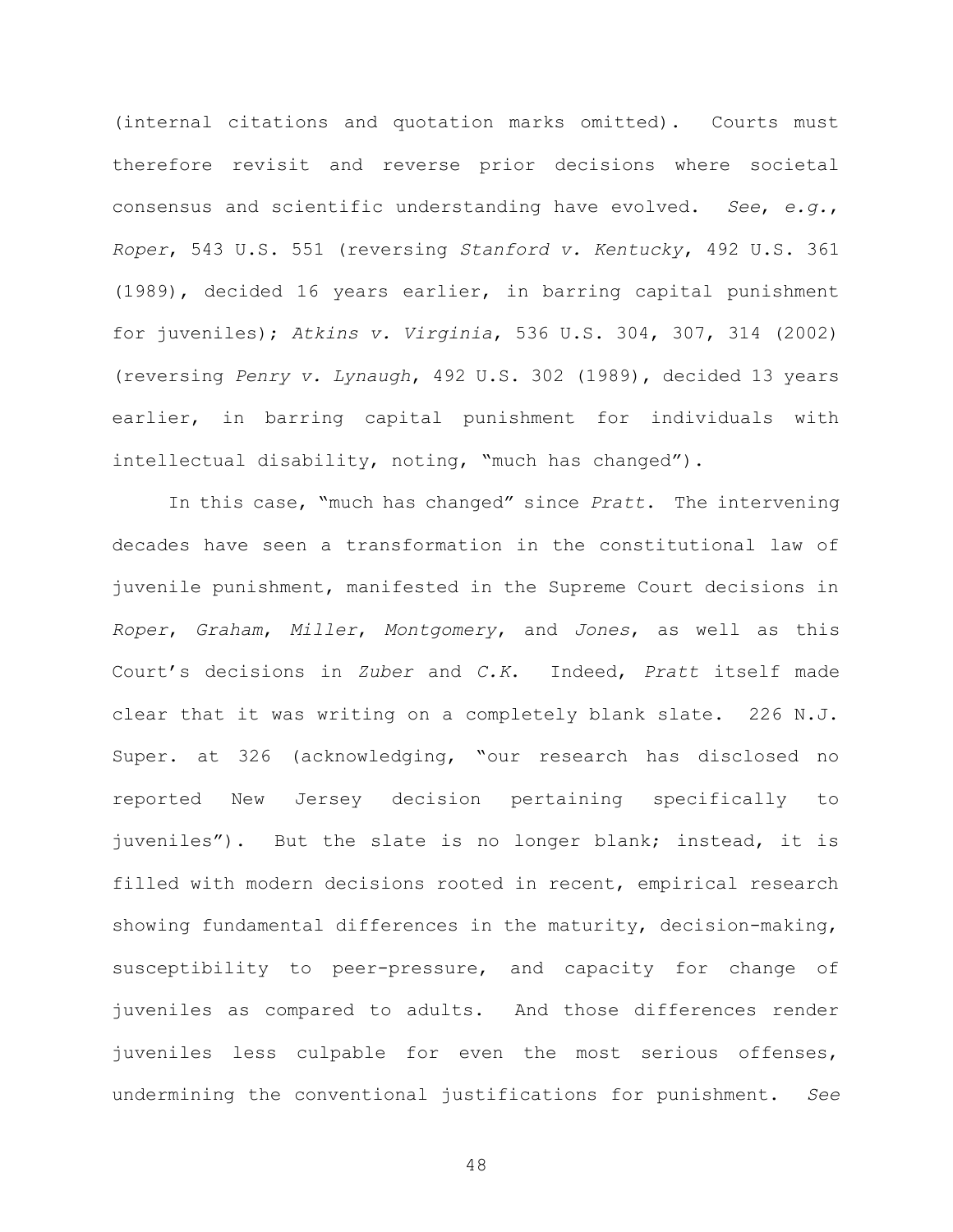(internal citations and quotation marks omitted). Courts must therefore revisit and reverse prior decisions where societal consensus and scientific understanding have evolved. See, e.g., Roper, 543 U.S. 551 (reversing Stanford v. Kentucky, 492 U.S. 361 (1989), decided 16 years earlier, in barring capital punishment for juveniles); Atkins v. Virginia, 536 U.S. 304, 307, 314 (2002) (reversing Penry v. Lynaugh, 492 U.S. 302 (1989), decided 13 years earlier, in barring capital punishment for individuals with intellectual disability, noting, "much has changed").

In this case, "much has changed" since Pratt. The intervening decades have seen a transformation in the constitutional law of juvenile punishment, manifested in the Supreme Court decisions in Roper, Graham, Miller, Montgomery, and Jones, as well as this Court's decisions in Zuber and C.K. Indeed, Pratt itself made clear that it was writing on a completely blank slate. 226 N.J. Super. at 326 (acknowledging, "our research has disclosed no reported New Jersey decision pertaining specifically to juveniles"). But the slate is no longer blank; instead, it is filled with modern decisions rooted in recent, empirical research showing fundamental differences in the maturity, decision-making, susceptibility to peer-pressure, and capacity for change of juveniles as compared to adults. And those differences render juveniles less culpable for even the most serious offenses, undermining the conventional justifications for punishment. See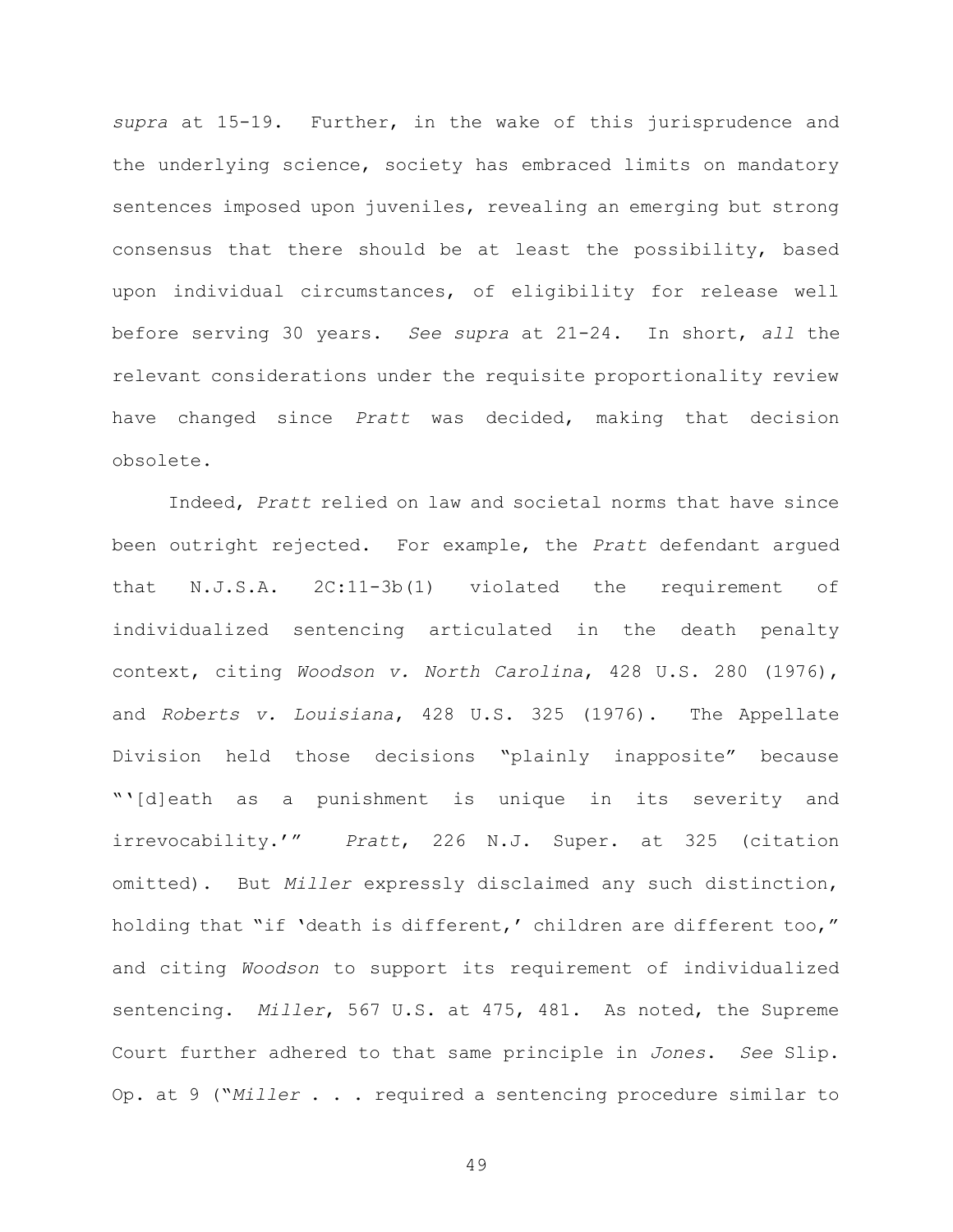supra at 15-19. Further, in the wake of this jurisprudence and the underlying science, society has embraced limits on mandatory sentences imposed upon juveniles, revealing an emerging but strong consensus that there should be at least the possibility, based upon individual circumstances, of eligibility for release well before serving 30 years. See supra at 21-24. In short, all the relevant considerations under the requisite proportionality review have changed since Pratt was decided, making that decision obsolete.

Indeed, Pratt relied on law and societal norms that have since been outright rejected. For example, the Pratt defendant argued that N.J.S.A. 2C:11-3b(1) violated the requirement of individualized sentencing articulated in the death penalty context, citing Woodson v. North Carolina, 428 U.S. 280 (1976), and Roberts v. Louisiana, 428 U.S. 325 (1976). The Appellate Division held those decisions "plainly inapposite" because "'[d]eath as a punishment is unique in its severity and irrevocability.'" Pratt, 226 N.J. Super. at 325 (citation omitted). But Miller expressly disclaimed any such distinction, holding that "if 'death is different,' children are different too," and citing Woodson to support its requirement of individualized sentencing. Miller, 567 U.S. at 475, 481. As noted, the Supreme Court further adhered to that same principle in Jones. See Slip. Op. at 9 ("Miller . . . required a sentencing procedure similar to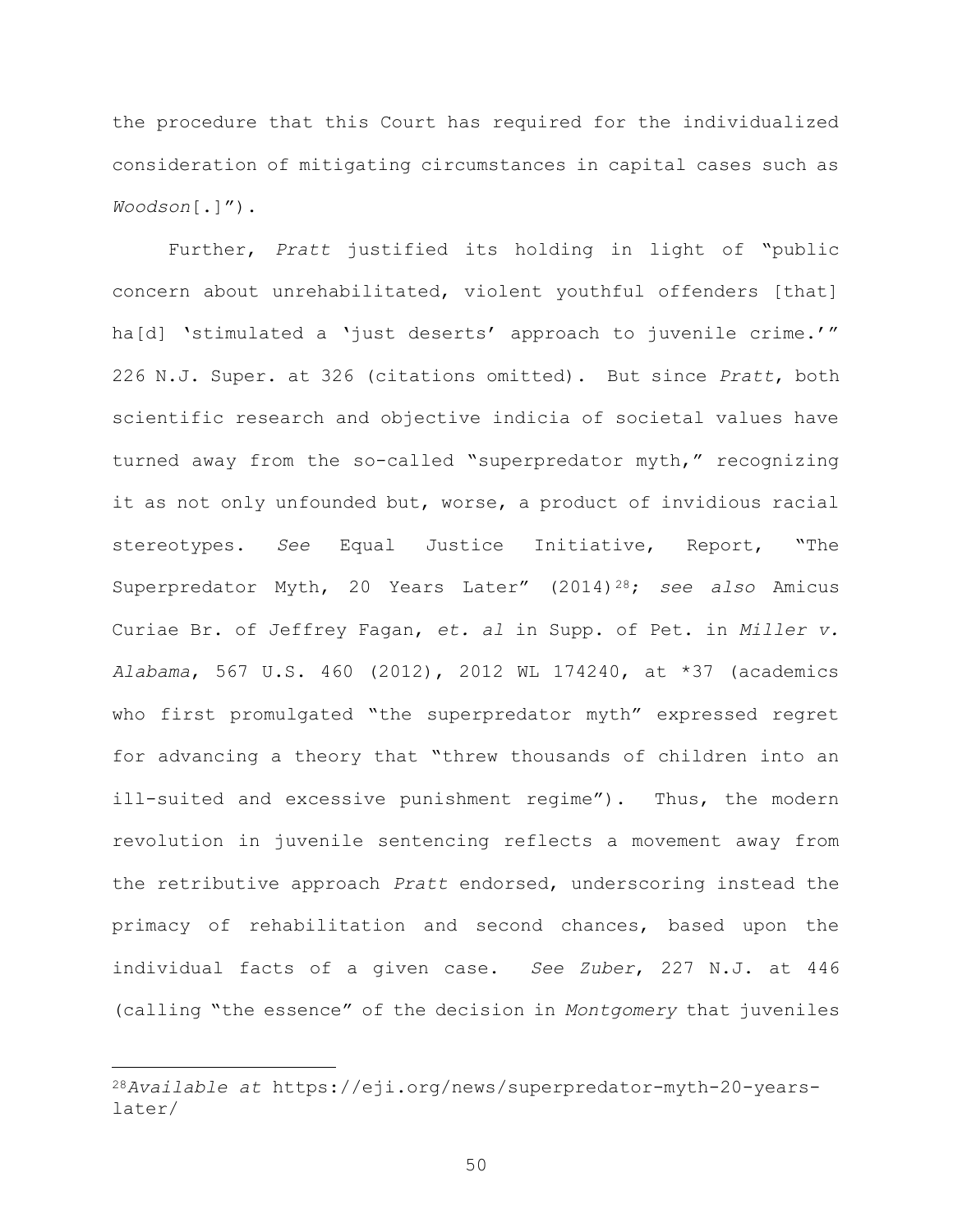the procedure that this Court has required for the individualized consideration of mitigating circumstances in capital cases such as Woodson[.]").

Further, Pratt justified its holding in light of "public concern about unrehabilitated, violent youthful offenders [that] ha[d] 'stimulated a 'just deserts' approach to juvenile crime.'" 226 N.J. Super. at 326 (citations omitted). But since Pratt, both scientific research and objective indicia of societal values have turned away from the so-called "superpredator myth," recognizing it as not only unfounded but, worse, a product of invidious racial stereotypes. See Equal Justice Initiative, Report, "The Superpredator Myth, 20 Years Later" (2014)<sup>28</sup>; see also Amicus Curiae Br. of Jeffrey Fagan, et. al in Supp. of Pet. in Miller v. Alabama, 567 U.S. 460 (2012), 2012 WL 174240, at \*37 (academics who first promulgated "the superpredator myth" expressed regret for advancing a theory that "threw thousands of children into an ill-suited and excessive punishment regime"). Thus, the modern revolution in juvenile sentencing reflects a movement away from the retributive approach Pratt endorsed, underscoring instead the primacy of rehabilitation and second chances, based upon the individual facts of a given case. See Zuber, 227 N.J. at 446 (calling "the essence" of the decision in Montgomery that juveniles

<sup>28</sup>Available at https://eji.org/news/superpredator-myth-20-yearslater/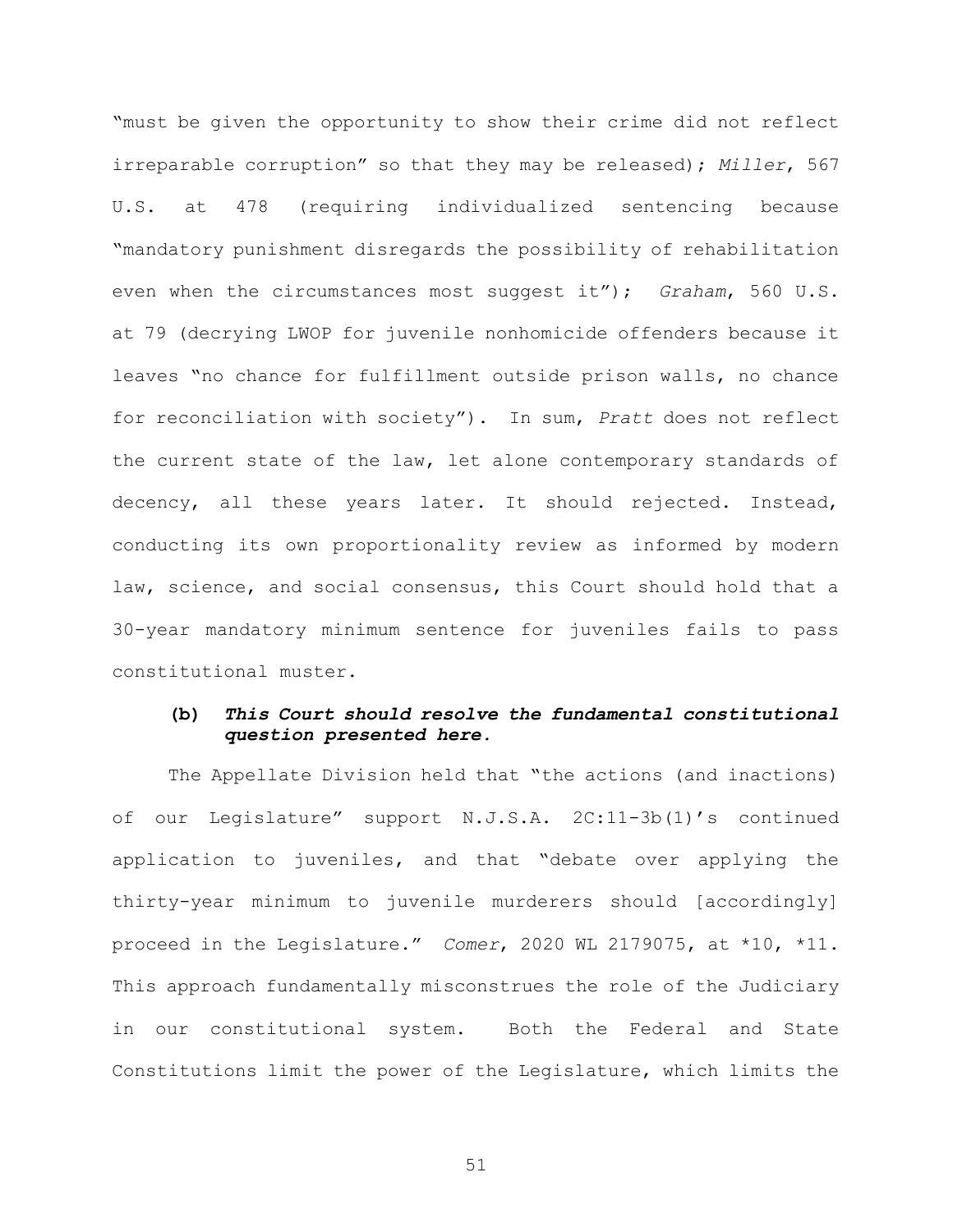"must be given the opportunity to show their crime did not reflect irreparable corruption" so that they may be released); Miller, 567 U.S. at 478 (requiring individualized sentencing because "mandatory punishment disregards the possibility of rehabilitation even when the circumstances most suggest it"); Graham, 560 U.S. at 79 (decrying LWOP for juvenile nonhomicide offenders because it leaves "no chance for fulfillment outside prison walls, no chance for reconciliation with society"). In sum, Pratt does not reflect the current state of the law, let alone contemporary standards of decency, all these years later. It should rejected. Instead, conducting its own proportionality review as informed by modern law, science, and social consensus, this Court should hold that a 30-year mandatory minimum sentence for juveniles fails to pass constitutional muster.

### (b) This Court should resolve the fundamental constitutional question presented here.

The Appellate Division held that "the actions (and inactions) of our Legislature" support N.J.S.A. 2C:11-3b(1)'s continued application to juveniles, and that "debate over applying the thirty-year minimum to juvenile murderers should [accordingly] proceed in the Legislature." Comer, 2020 WL 2179075, at \*10, \*11. This approach fundamentally misconstrues the role of the Judiciary in our constitutional system. Both the Federal and State Constitutions limit the power of the Legislature, which limits the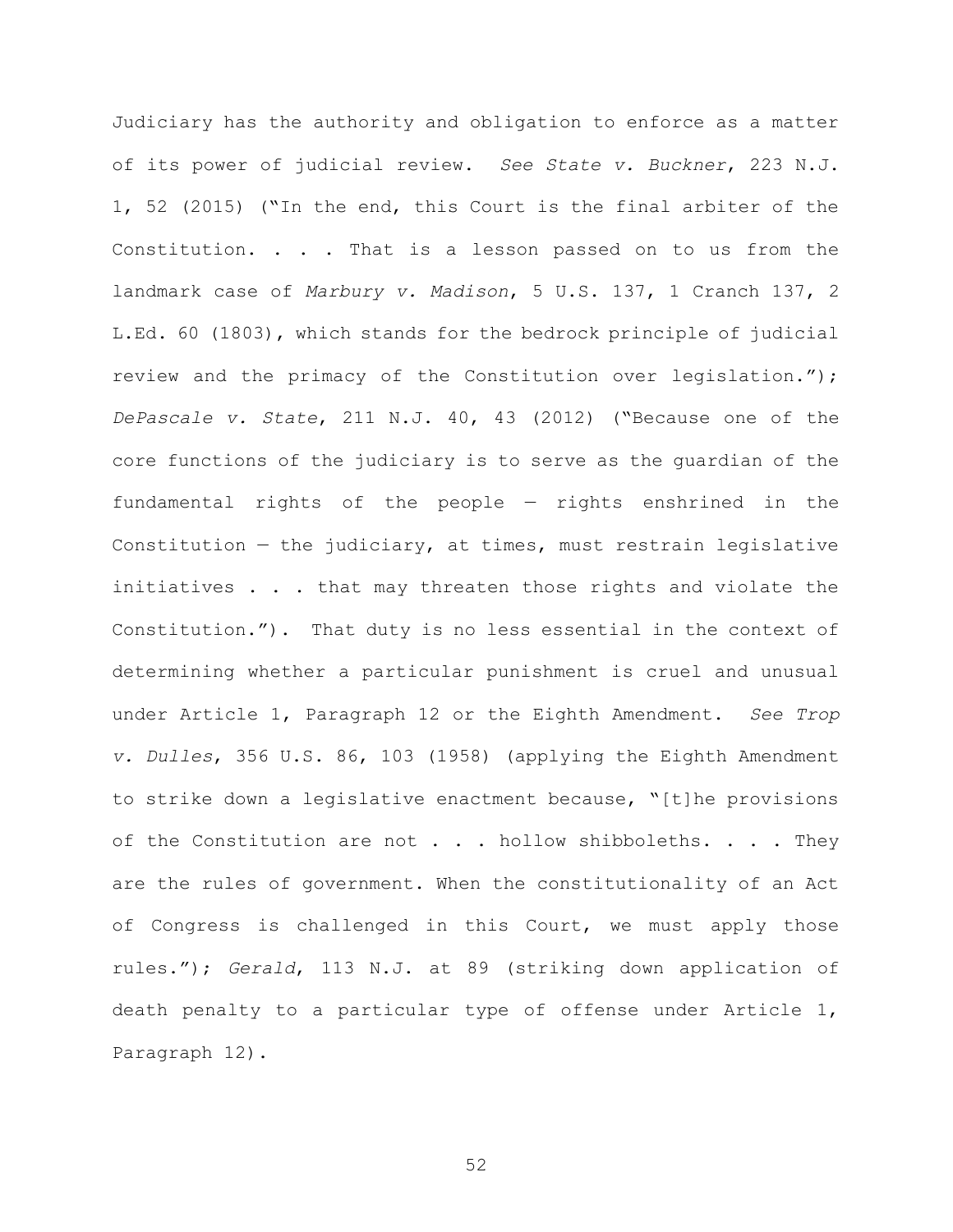Judiciary has the authority and obligation to enforce as a matter of its power of judicial review. See State v. Buckner, 223 N.J. 1, 52 (2015) ("In the end, this Court is the final arbiter of the Constitution. . . . That is a lesson passed on to us from the landmark case of Marbury v. Madison, 5 U.S. 137, 1 Cranch 137, 2 L.Ed. 60 (1803), which stands for the bedrock principle of judicial review and the primacy of the Constitution over legislation."); DePascale v. State, 211 N.J. 40, 43 (2012) ("Because one of the core functions of the judiciary is to serve as the guardian of the fundamental rights of the people — rights enshrined in the Constitution  $-$  the judiciary, at times, must restrain legislative initiatives . . . that may threaten those rights and violate the Constitution."). That duty is no less essential in the context of determining whether a particular punishment is cruel and unusual under Article 1, Paragraph 12 or the Eighth Amendment. See Trop v. Dulles, 356 U.S. 86, 103 (1958) (applying the Eighth Amendment to strike down a legislative enactment because, "[t]he provisions of the Constitution are not  $\ldots$  . hollow shibboleths.  $\ldots$  . They are the rules of government. When the constitutionality of an Act of Congress is challenged in this Court, we must apply those rules."); Gerald, 113 N.J. at 89 (striking down application of death penalty to a particular type of offense under Article 1, Paragraph 12).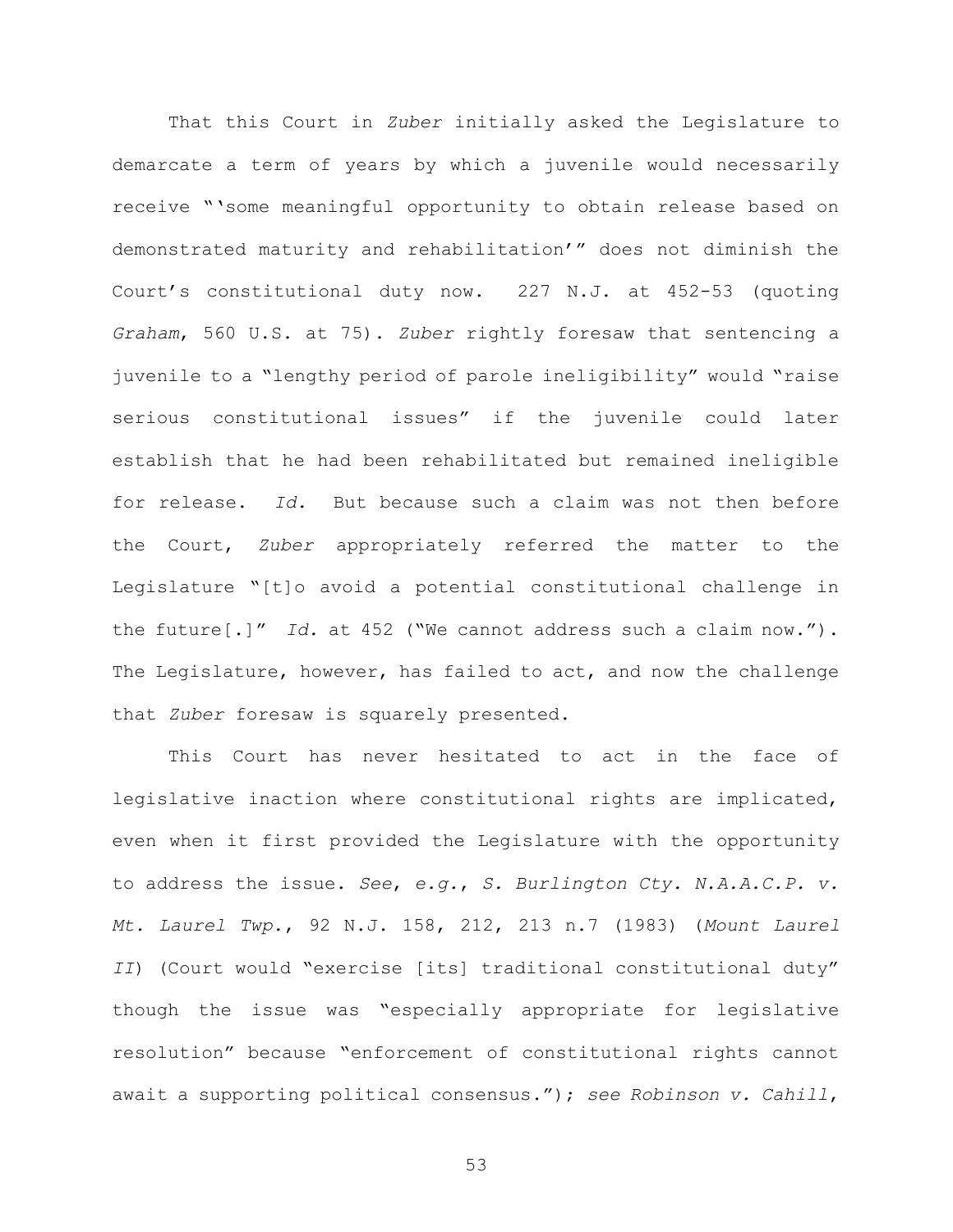That this Court in Zuber initially asked the Legislature to demarcate a term of years by which a juvenile would necessarily receive "'some meaningful opportunity to obtain release based on demonstrated maturity and rehabilitation'" does not diminish the Court's constitutional duty now. 227 N.J. at 452-53 (quoting Graham, 560 U.S. at 75). Zuber rightly foresaw that sentencing a juvenile to a "lengthy period of parole ineligibility" would "raise serious constitutional issues" if the juvenile could later establish that he had been rehabilitated but remained ineligible for release. Id. But because such a claim was not then before the Court, Zuber appropriately referred the matter to the Legislature "[t]o avoid a potential constitutional challenge in the future  $[.]''$  Id. at 452 ("We cannot address such a claim now."). The Legislature, however, has failed to act, and now the challenge that Zuber foresaw is squarely presented.

This Court has never hesitated to act in the face of legislative inaction where constitutional rights are implicated, even when it first provided the Legislature with the opportunity to address the issue. See, e.g., S. Burlington Cty. N.A.A.C.P. v. Mt. Laurel Twp., 92 N.J. 158, 212, 213 n.7 (1983) (Mount Laurel II) (Court would "exercise [its] traditional constitutional duty" though the issue was "especially appropriate for legislative resolution" because "enforcement of constitutional rights cannot await a supporting political consensus."); see Robinson v. Cahill,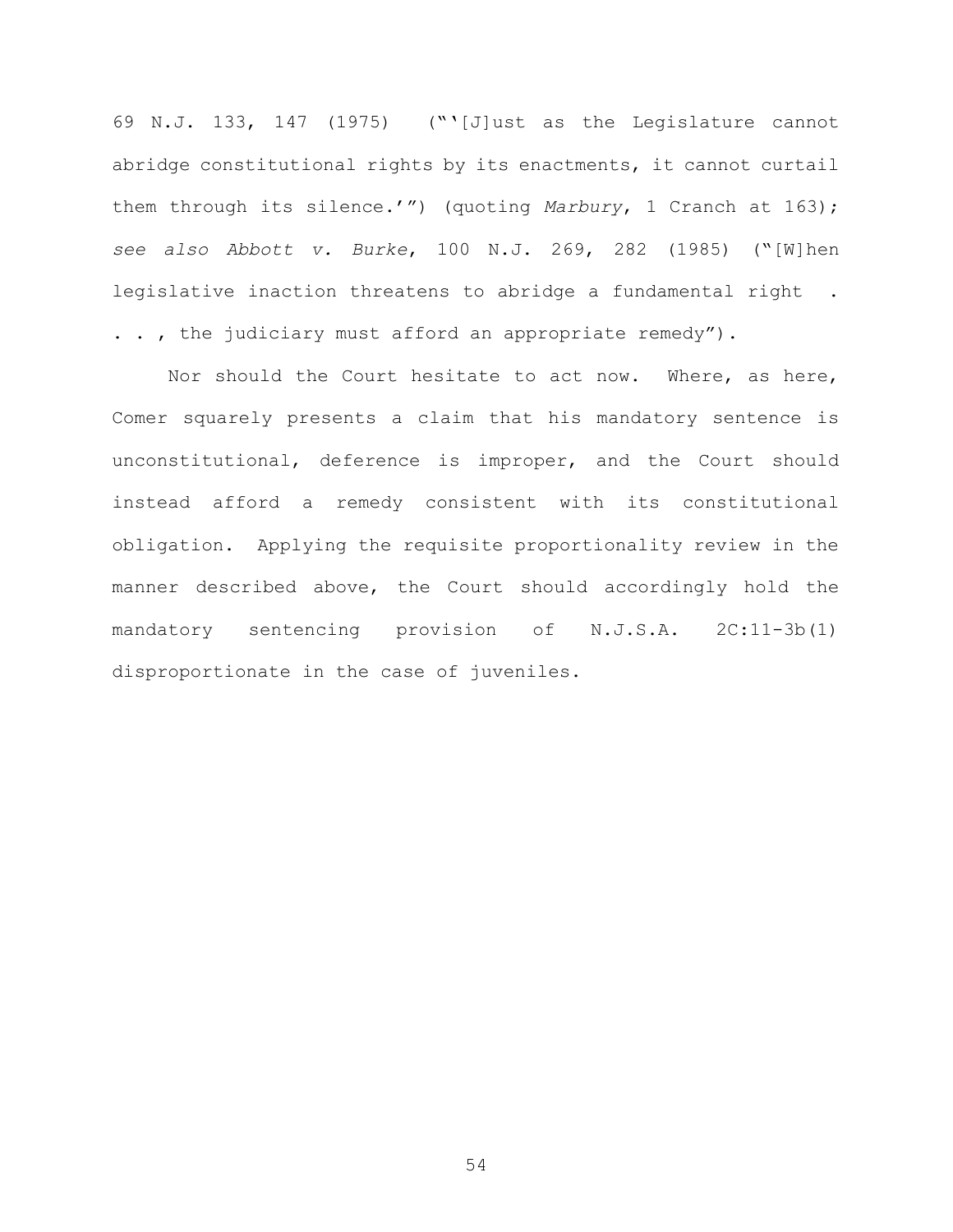69 N.J. 133, 147 (1975) ("'[J]ust as the Legislature cannot abridge constitutional rights by its enactments, it cannot curtail them through its silence.'") (quoting Marbury, 1 Cranch at 163); see also Abbott v. Burke, 100 N.J. 269, 282 (1985) ("[W]hen legislative inaction threatens to abridge a fundamental right . . . , the judiciary must afford an appropriate remedy").

Nor should the Court hesitate to act now. Where, as here, Comer squarely presents a claim that his mandatory sentence is unconstitutional, deference is improper, and the Court should instead afford a remedy consistent with its constitutional obligation. Applying the requisite proportionality review in the manner described above, the Court should accordingly hold the mandatory sentencing provision of N.J.S.A. 2C:11-3b(1) disproportionate in the case of juveniles.